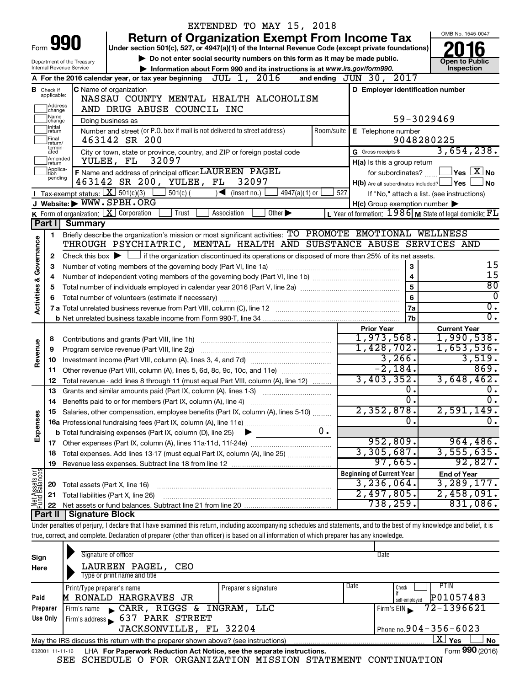|                                                                                                                                                          |                                                                           | EXTENDED TO MAY 15, 2018                                                                                                                                                   |                 |                                                         |                                                                      |  |  |  |
|----------------------------------------------------------------------------------------------------------------------------------------------------------|---------------------------------------------------------------------------|----------------------------------------------------------------------------------------------------------------------------------------------------------------------------|-----------------|---------------------------------------------------------|----------------------------------------------------------------------|--|--|--|
|                                                                                                                                                          | OMB No. 1545-0047<br><b>Return of Organization Exempt From Income Tax</b> |                                                                                                                                                                            |                 |                                                         |                                                                      |  |  |  |
| 990<br>Form<br>Under section 501(c), 527, or 4947(a)(1) of the Internal Revenue Code (except private foundations)                                        |                                                                           |                                                                                                                                                                            |                 |                                                         |                                                                      |  |  |  |
|                                                                                                                                                          |                                                                           | Do not enter social security numbers on this form as it may be made public.<br>Department of the Treasury                                                                  |                 |                                                         | <b>Open to Public</b>                                                |  |  |  |
|                                                                                                                                                          |                                                                           | Internal Revenue Service<br>Information about Form 990 and its instructions is at www.irs.gov/form990.                                                                     |                 |                                                         | Inspection                                                           |  |  |  |
|                                                                                                                                                          |                                                                           | A For the 2016 calendar year, or tax year beginning $JUL$ 1, $2016$                                                                                                        |                 | and ending $JUN$ 30, $2017$                             |                                                                      |  |  |  |
|                                                                                                                                                          | <b>B</b> Check if<br>applicable:                                          | C Name of organization                                                                                                                                                     |                 | D Employer identification number                        |                                                                      |  |  |  |
|                                                                                                                                                          | Address                                                                   | NASSAU COUNTY MENTAL HEALTH ALCOHOLISM                                                                                                                                     |                 |                                                         |                                                                      |  |  |  |
|                                                                                                                                                          | change<br>Name                                                            | AND DRUG ABUSE COUNCIL INC                                                                                                                                                 |                 |                                                         | 59-3029469                                                           |  |  |  |
| Doing business as<br>change<br>Initial<br>Number and street (or P.O. box if mail is not delivered to street address)<br>Room/suite<br>E Telephone number |                                                                           |                                                                                                                                                                            |                 |                                                         |                                                                      |  |  |  |
|                                                                                                                                                          | return<br>Final                                                           | 463142 SR 200                                                                                                                                                              |                 |                                                         | 9048280225                                                           |  |  |  |
|                                                                                                                                                          | return/<br>termin-<br>ated                                                | City or town, state or province, country, and ZIP or foreign postal code                                                                                                   |                 | G Gross receipts \$                                     | 3,654,238.                                                           |  |  |  |
|                                                                                                                                                          | Amended<br>return                                                         | 32097<br>YULEE, FL                                                                                                                                                         |                 | H(a) Is this a group return                             |                                                                      |  |  |  |
|                                                                                                                                                          | Applica-<br>tion                                                          | F Name and address of principal officer: LAUREEN PAGEL                                                                                                                     |                 |                                                         | for subordinates? $\boxed{\phantom{a}}$ Yes $\boxed{\phantom{a}}$ No |  |  |  |
|                                                                                                                                                          | pending                                                                   | 463142 SR 200, YULEE, FL<br>32097                                                                                                                                          |                 | $H(b)$ Are all subordinates included? $\Box$ Yes $\Box$ | <b>No</b>                                                            |  |  |  |
|                                                                                                                                                          |                                                                           | <b>I</b> Tax-exempt status: $X \ 501(c)(3)$<br>$\frac{1}{2}$ 501(c) (<br>$\sqrt{\frac{1}{1}}$ (insert no.)<br>4947(a)(1) or                                                | 527             |                                                         | If "No," attach a list. (see instructions)                           |  |  |  |
|                                                                                                                                                          |                                                                           | J Website: WWW.SPBH.ORG                                                                                                                                                    |                 | $H(c)$ Group exemption number $\blacktriangleright$     |                                                                      |  |  |  |
|                                                                                                                                                          |                                                                           | <b>K</b> Form of organization: $\boxed{\mathbf{X}}$ Corporation<br>Trust<br>Other $\blacktriangleright$<br>Association                                                     |                 |                                                         | L Year of formation: 1986 M State of legal domicile: FL              |  |  |  |
|                                                                                                                                                          | Part I                                                                    | <b>Summary</b>                                                                                                                                                             |                 |                                                         |                                                                      |  |  |  |
|                                                                                                                                                          | 1.                                                                        | Briefly describe the organization's mission or most significant activities: TO PROMOTE EMOTIONAL WELLNESS                                                                  |                 |                                                         |                                                                      |  |  |  |
| Governance                                                                                                                                               |                                                                           | THROUGH PSYCHIATRIC, MENTAL HEALTH AND SUBSTANCE ABUSE SERVICES AND                                                                                                        |                 |                                                         |                                                                      |  |  |  |
|                                                                                                                                                          | 2                                                                         | Check this box $\blacktriangleright$ $\Box$ if the organization discontinued its operations or disposed of more than 25% of its net assets.                                |                 |                                                         | 15                                                                   |  |  |  |
|                                                                                                                                                          | З                                                                         | Number of voting members of the governing body (Part VI, line 1a)                                                                                                          |                 | 3<br>$\overline{\mathbf{4}}$                            | 15                                                                   |  |  |  |
|                                                                                                                                                          | 4                                                                         |                                                                                                                                                                            | $\overline{80}$ |                                                         |                                                                      |  |  |  |
|                                                                                                                                                          | 5<br>6                                                                    |                                                                                                                                                                            | $\overline{0}$  |                                                         |                                                                      |  |  |  |
| <b>Activities &amp;</b>                                                                                                                                  |                                                                           |                                                                                                                                                                            |                 | 6<br>7a                                                 | $\overline{0}$ .                                                     |  |  |  |
|                                                                                                                                                          |                                                                           |                                                                                                                                                                            |                 | 7b                                                      | $\overline{0}$ .                                                     |  |  |  |
|                                                                                                                                                          |                                                                           |                                                                                                                                                                            |                 | <b>Prior Year</b>                                       | <b>Current Year</b>                                                  |  |  |  |
|                                                                                                                                                          | 8                                                                         |                                                                                                                                                                            |                 | 1,973,568.                                              | 1,990,538.                                                           |  |  |  |
| Revenue                                                                                                                                                  | 9                                                                         | Program service revenue (Part VIII, line 2g)                                                                                                                               |                 | 1,428,702.                                              | 1,653,536.                                                           |  |  |  |
|                                                                                                                                                          | 10                                                                        |                                                                                                                                                                            |                 | 3,266.                                                  | 3,519.                                                               |  |  |  |
|                                                                                                                                                          |                                                                           | 11 Other revenue (Part VIII, column (A), lines 5, 6d, 8c, 9c, 10c, and 11e)                                                                                                |                 | $-2,184.$                                               | 869.                                                                 |  |  |  |
|                                                                                                                                                          | 12                                                                        | Total revenue - add lines 8 through 11 (must equal Part VIII, column (A), line 12)                                                                                         |                 | 3,403,352.                                              | 3,648,462.                                                           |  |  |  |
|                                                                                                                                                          | 13                                                                        | Grants and similar amounts paid (Part IX, column (A), lines 1-3)                                                                                                           |                 | $\overline{0}$ .<br>$\overline{\mathfrak{o}}$ .         | $\overline{0}$ .<br>$\overline{0}$ .                                 |  |  |  |
|                                                                                                                                                          | 14                                                                        | Benefits paid to or for members (Part IX, column (A), line 4)                                                                                                              |                 | 2,352,878.                                              | 2,591,149.                                                           |  |  |  |
| Expenses                                                                                                                                                 |                                                                           | 15 Salaries, other compensation, employee benefits (Part IX, column (A), lines 5-10)                                                                                       |                 | о.                                                      | $\overline{0}$ .                                                     |  |  |  |
|                                                                                                                                                          |                                                                           | <b>b</b> Total fundraising expenses (Part IX, column (D), line 25)                                                                                                         | 0.              |                                                         |                                                                      |  |  |  |
|                                                                                                                                                          |                                                                           | ▸                                                                                                                                                                          |                 | 952,809.                                                | 964,486.                                                             |  |  |  |
|                                                                                                                                                          | 18                                                                        | Total expenses. Add lines 13-17 (must equal Part IX, column (A), line 25)                                                                                                  |                 | 3,305,687.                                              | 3,555,635.                                                           |  |  |  |
|                                                                                                                                                          | 19                                                                        |                                                                                                                                                                            |                 | 97,665.                                                 | 92,827.                                                              |  |  |  |
|                                                                                                                                                          |                                                                           |                                                                                                                                                                            |                 | <b>Beginning of Current Year</b>                        | <b>End of Year</b>                                                   |  |  |  |
| Net Assets or<br>Fund Balances                                                                                                                           | 20                                                                        | Total assets (Part X, line 16)                                                                                                                                             |                 | $3,236,064$ .                                           | 3,289,177.                                                           |  |  |  |
|                                                                                                                                                          | 21                                                                        | Total liabilities (Part X, line 26)                                                                                                                                        |                 | 2,497,805.                                              | 2,458,091.                                                           |  |  |  |
|                                                                                                                                                          | 22                                                                        |                                                                                                                                                                            |                 | 738,259.                                                | 831,086.                                                             |  |  |  |
|                                                                                                                                                          | Part II                                                                   | <b>Signature Block</b>                                                                                                                                                     |                 |                                                         |                                                                      |  |  |  |
|                                                                                                                                                          |                                                                           | Under penalties of perjury, I declare that I have examined this return, including accompanying schedules and statements, and to the best of my knowledge and belief, it is |                 |                                                         |                                                                      |  |  |  |
|                                                                                                                                                          |                                                                           | true, correct, and complete. Declaration of preparer (other than officer) is based on all information of which preparer has any knowledge.                                 |                 |                                                         |                                                                      |  |  |  |
|                                                                                                                                                          |                                                                           | Signature of officer                                                                                                                                                       |                 |                                                         |                                                                      |  |  |  |
| Sign                                                                                                                                                     |                                                                           | LAIIRRRN DACRI.<br>CFA                                                                                                                                                     |                 | Date                                                    |                                                                      |  |  |  |

| Here     | LAUREEN PAGEL,<br>CEO                                                                                |                      |      |                                     |  |  |  |
|----------|------------------------------------------------------------------------------------------------------|----------------------|------|-------------------------------------|--|--|--|
|          | Type or print name and title                                                                         |                      |      |                                     |  |  |  |
|          | Print/Type preparer's name                                                                           | Preparer's signature | Date | PIIN<br>Check                       |  |  |  |
| Paid     | M RONALD HARGRAVES JR                                                                                |                      |      | P01057483<br>self-employed          |  |  |  |
| Preparer | CARR, RIGGS & INGRAM, LLC<br>Firm's name                                                             |                      |      | 72-1396621<br>Firm's $EIN$          |  |  |  |
| Use Only | Firm's address 637 PARK STREET                                                                       |                      |      |                                     |  |  |  |
|          | JACKSONVILLE, FL 32204                                                                               |                      |      | l Phone no. 9 0 4 – 3 5 6 – 6 0 2 3 |  |  |  |
|          | x.<br>No<br>Yes<br>May the IRS discuss this return with the preparer shown above? (see instructions) |                      |      |                                     |  |  |  |
|          | $0.00 \div 0.00$<br>$\overline{\phantom{0}}$                                                         |                      |      |                                     |  |  |  |

| 632001 11-11-16 LHA For Paperwork Reduction Act Notice, see the separate instructions. |  |  |                                                                |  |  | Form 990 (2016) |  |  |  |
|----------------------------------------------------------------------------------------|--|--|----------------------------------------------------------------|--|--|-----------------|--|--|--|
|                                                                                        |  |  | SEE SCHEDULE O FOR ORGANIZATION MISSION STATEMENT CONTINUATION |  |  |                 |  |  |  |

Form **990** (2016)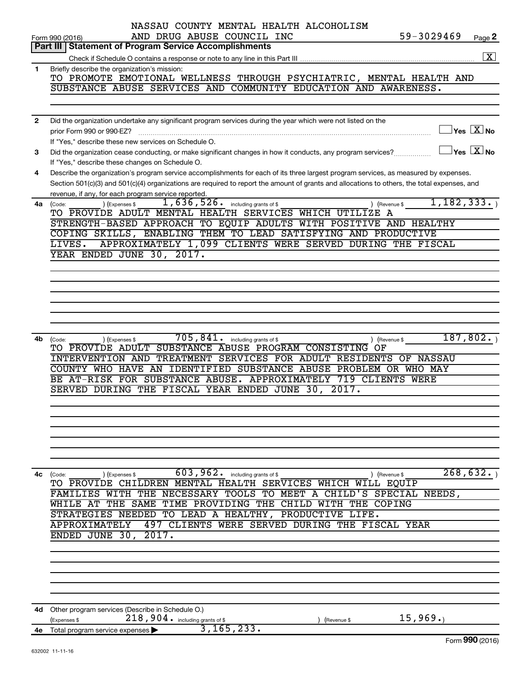|              | NASSAU COUNTY MENTAL HEALTH ALCOHOLISM                                                                                                                                                  |
|--------------|-----------------------------------------------------------------------------------------------------------------------------------------------------------------------------------------|
|              | 59-3029469<br>AND DRUG ABUSE COUNCIL INC<br>Form 990 (2016)<br>Page 2                                                                                                                   |
|              | Part III Statement of Program Service Accomplishments<br>$\boxed{\text{X}}$                                                                                                             |
| 1            | Briefly describe the organization's mission:                                                                                                                                            |
|              | TO PROMOTE EMOTIONAL WELLNESS THROUGH PSYCHIATRIC, MENTAL HEALTH AND                                                                                                                    |
|              | SUBSTANCE ABUSE SERVICES AND COMMUNITY EDUCATION AND AWARENESS.                                                                                                                         |
|              |                                                                                                                                                                                         |
|              |                                                                                                                                                                                         |
| $\mathbf{2}$ | Did the organization undertake any significant program services during the year which were not listed on the                                                                            |
|              | $\exists$ Yes $\boxed{\text{X}}$ No<br>prior Form 990 or 990-EZ?                                                                                                                        |
|              | If "Yes," describe these new services on Schedule O.<br>$\boxed{\phantom{1}}$ Yes $\boxed{\text{X}}$ No                                                                                 |
| 3            | Did the organization cease conducting, or make significant changes in how it conducts, any program services?                                                                            |
| 4            | If "Yes," describe these changes on Schedule O.<br>Describe the organization's program service accomplishments for each of its three largest program services, as measured by expenses. |
|              | Section 501(c)(3) and 501(c)(4) organizations are required to report the amount of grants and allocations to others, the total expenses, and                                            |
|              | revenue, if any, for each program service reported.                                                                                                                                     |
| 4a           | 1, 182, 333.<br>$\overline{1,636}$ , 526. including grants of \$<br>) (Expenses \$<br>) (Revenue \$<br>(Code:                                                                           |
|              | TO PROVIDE ADULT MENTAL HEALTH SERVICES WHICH UTILIZE A                                                                                                                                 |
|              | STRENGTH-BASED APPROACH TO EQUIP ADULTS WITH POSITIVE AND HEALTHY                                                                                                                       |
|              | COPING SKILLS, ENABLING THEM TO LEAD SATISFYING AND PRODUCTIVE                                                                                                                          |
|              | APPROXIMATELY 1,099 CLIENTS WERE SERVED DURING THE FISCAL<br>LIVES.                                                                                                                     |
|              | YEAR ENDED JUNE 30, 2017.                                                                                                                                                               |
|              |                                                                                                                                                                                         |
|              |                                                                                                                                                                                         |
|              |                                                                                                                                                                                         |
|              |                                                                                                                                                                                         |
|              |                                                                                                                                                                                         |
|              |                                                                                                                                                                                         |
| 4b           | 187, 802.<br>$\overline{705}$ , $\overline{841}$ including grants of \$<br>) (Revenue \$<br>(Expenses \$<br>(Code:                                                                      |
|              | TO PROVIDE ADULT SUBSTANCE ABUSE PROGRAM CONSISTING OF                                                                                                                                  |
|              | INTERVENTION AND TREATMENT SERVICES FOR ADULT RESIDENTS OF NASSAU                                                                                                                       |
|              | COUNTY WHO HAVE AN IDENTIFIED SUBSTANCE ABUSE PROBLEM OR WHO MAY                                                                                                                        |
|              | BE AT-RISK FOR SUBSTANCE ABUSE. APPROXIMATELY 719 CLIENTS WERE<br>SERVED DURING THE FISCAL YEAR ENDED JUNE 30, 2017.                                                                    |
|              |                                                                                                                                                                                         |
|              |                                                                                                                                                                                         |
|              |                                                                                                                                                                                         |
|              |                                                                                                                                                                                         |
|              |                                                                                                                                                                                         |
|              |                                                                                                                                                                                         |
|              |                                                                                                                                                                                         |
| 4с           | 268,632.<br>603,962.<br>including grants of \$<br>(Code:<br>) (Expenses \$<br>) (Revenue \$                                                                                             |
|              | TO PROVIDE CHILDREN MENTAL HEALTH SERVICES WHICH WILL EQUIP<br>NECESSARY TOOLS TO MEET A CHILD'S SPECIAL NEEDS,<br>FAMILIES WITH<br>THE                                                 |
|              | TIME PROVIDING THE CHILD WITH THE COPING<br>THE SAME<br>WHILE AT                                                                                                                        |
|              | STRATEGIES NEEDED TO LEAD A HEALTHY, PRODUCTIVE LIFE.                                                                                                                                   |
|              | <b>APPROXIMATELY</b><br>497 CLIENTS WERE SERVED DURING THE FISCAL<br>YEAR                                                                                                               |
|              | ENDED JUNE 30,<br>2017.                                                                                                                                                                 |
|              |                                                                                                                                                                                         |
|              |                                                                                                                                                                                         |
|              |                                                                                                                                                                                         |
|              |                                                                                                                                                                                         |
|              |                                                                                                                                                                                         |
|              |                                                                                                                                                                                         |
| 4d -         | Other program services (Describe in Schedule O.)                                                                                                                                        |
|              | 15,969.<br>$218,904$ . including grants of \$<br>(Expenses \$<br>(Revenue \$<br>3, 165, 233.                                                                                            |
| 4е           | Total program service expenses<br>Form 990 (2016)                                                                                                                                       |
|              |                                                                                                                                                                                         |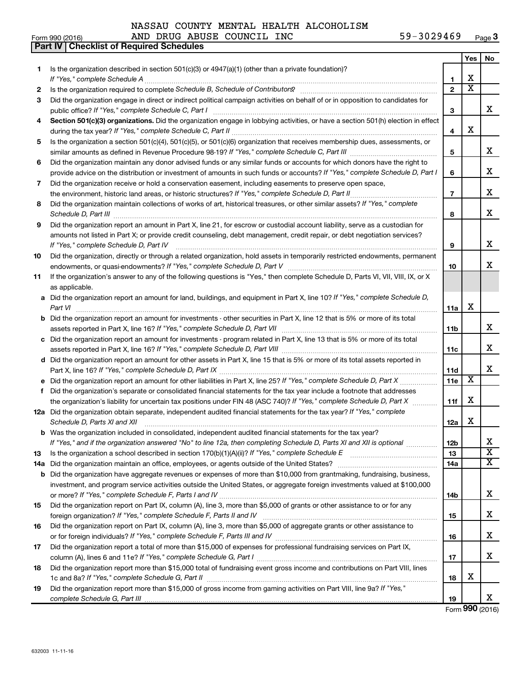| NASSAU COUNTY MENTAL HEALTH ALCOHOLISM |  |  |  |  |  |
|----------------------------------------|--|--|--|--|--|
|----------------------------------------|--|--|--|--|--|

Form 990 (2016) Page **3** AND DRUG ABUSE COUNCIL INC 59-3029469

|    | Part IV   Checklist of Required Schedules                                                                                                                             |                 |                         |                         |
|----|-----------------------------------------------------------------------------------------------------------------------------------------------------------------------|-----------------|-------------------------|-------------------------|
|    |                                                                                                                                                                       |                 | Yes                     | No                      |
| 1  | Is the organization described in section 501(c)(3) or $4947(a)(1)$ (other than a private foundation)?                                                                 |                 |                         |                         |
|    | If "Yes," complete Schedule A                                                                                                                                         | 1               | х                       |                         |
| 2  | Is the organization required to complete Schedule B, Schedule of Contributors? [111] [12] the organization required to complete Schedule B, Schedule of Contributors? | $\overline{2}$  | $\overline{\text{x}}$   |                         |
| 3  | Did the organization engage in direct or indirect political campaign activities on behalf of or in opposition to candidates for                                       |                 |                         |                         |
|    |                                                                                                                                                                       | 3               |                         | x                       |
| 4  | Section 501(c)(3) organizations. Did the organization engage in lobbying activities, or have a section 501(h) election in effect                                      |                 |                         |                         |
|    |                                                                                                                                                                       | 4               | х                       |                         |
| 5  | Is the organization a section 501(c)(4), 501(c)(5), or 501(c)(6) organization that receives membership dues, assessments, or                                          |                 |                         |                         |
|    |                                                                                                                                                                       | 5               |                         | x                       |
| 6  | Did the organization maintain any donor advised funds or any similar funds or accounts for which donors have the right to                                             |                 |                         |                         |
|    | provide advice on the distribution or investment of amounts in such funds or accounts? If "Yes," complete Schedule D, Part I                                          | 6               |                         | x                       |
| 7  | Did the organization receive or hold a conservation easement, including easements to preserve open space,                                                             |                 |                         |                         |
|    | the environment, historic land areas, or historic structures? If "Yes," complete Schedule D, Part II                                                                  | $\overline{7}$  |                         | x                       |
| 8  | Did the organization maintain collections of works of art, historical treasures, or other similar assets? If "Yes," complete                                          |                 |                         |                         |
|    |                                                                                                                                                                       | 8               |                         | x                       |
| 9  | Did the organization report an amount in Part X, line 21, for escrow or custodial account liability, serve as a custodian for                                         |                 |                         |                         |
|    | amounts not listed in Part X; or provide credit counseling, debt management, credit repair, or debt negotiation services?                                             |                 |                         |                         |
|    | If "Yes," complete Schedule D, Part IV                                                                                                                                | 9               |                         | x                       |
| 10 | Did the organization, directly or through a related organization, hold assets in temporarily restricted endowments, permanent                                         |                 |                         |                         |
|    |                                                                                                                                                                       | 10              |                         | x                       |
| 11 | If the organization's answer to any of the following questions is "Yes," then complete Schedule D, Parts VI, VII, VIII, IX, or X                                      |                 |                         |                         |
|    | as applicable.                                                                                                                                                        |                 |                         |                         |
|    | a Did the organization report an amount for land, buildings, and equipment in Part X, line 10? If "Yes," complete Schedule D,                                         |                 |                         |                         |
|    | Part VI                                                                                                                                                               | 11a             | X                       |                         |
|    | <b>b</b> Did the organization report an amount for investments - other securities in Part X, line 12 that is 5% or more of its total                                  |                 |                         |                         |
|    |                                                                                                                                                                       | 11b             |                         | x                       |
|    | c Did the organization report an amount for investments - program related in Part X, line 13 that is 5% or more of its total                                          |                 |                         |                         |
|    |                                                                                                                                                                       | 11c             |                         | x                       |
|    | d Did the organization report an amount for other assets in Part X, line 15 that is 5% or more of its total assets reported in                                        |                 |                         |                         |
|    |                                                                                                                                                                       | 11d             |                         | x                       |
|    | e Did the organization report an amount for other liabilities in Part X, line 25? If "Yes," complete Schedule D, Part X                                               | 11e             | $\overline{\mathbf{X}}$ |                         |
| f. | Did the organization's separate or consolidated financial statements for the tax year include a footnote that addresses                                               |                 |                         |                         |
|    | the organization's liability for uncertain tax positions under FIN 48 (ASC 740)? If "Yes," complete Schedule D, Part X                                                | 11f             | х                       |                         |
|    | 12a Did the organization obtain separate, independent audited financial statements for the tax year? If "Yes," complete                                               |                 |                         |                         |
|    | Schedule D, Parts XI and XII                                                                                                                                          | 12a             | х                       |                         |
|    | b Was the organization included in consolidated, independent audited financial statements for the tax year?                                                           |                 |                         |                         |
|    | If "Yes," and if the organization answered "No" to line 12a, then completing Schedule D, Parts XI and XII is optional                                                 | 12 <sub>b</sub> |                         | х                       |
| 13 |                                                                                                                                                                       | 13              |                         | $\overline{\textbf{X}}$ |
|    |                                                                                                                                                                       | 14a             |                         | $\overline{X}$          |
|    | <b>b</b> Did the organization have aggregate revenues or expenses of more than \$10,000 from grantmaking, fundraising, business,                                      |                 |                         |                         |
|    | investment, and program service activities outside the United States, or aggregate foreign investments valued at \$100,000                                            |                 |                         |                         |
|    |                                                                                                                                                                       | 14b             |                         | Χ                       |
| 15 | Did the organization report on Part IX, column (A), line 3, more than \$5,000 of grants or other assistance to or for any                                             |                 |                         |                         |
|    | foreign organization? If "Yes," complete Schedule F, Parts II and IV                                                                                                  | 15              |                         | x                       |
| 16 | Did the organization report on Part IX, column (A), line 3, more than \$5,000 of aggregate grants or other assistance to                                              |                 |                         |                         |
|    |                                                                                                                                                                       | 16              |                         | x                       |
| 17 | Did the organization report a total of more than \$15,000 of expenses for professional fundraising services on Part IX,                                               |                 |                         |                         |
|    |                                                                                                                                                                       | 17              |                         | X                       |
| 18 | Did the organization report more than \$15,000 total of fundraising event gross income and contributions on Part VIII, lines                                          |                 |                         |                         |

**19** Did the organization report more than \$15,000 of gross income from gaming activities on Part VIII, line 9a? If "Yes,"

1c and 8a? ~~~~~~~~~~~~~~~~~~~~~~~~~~~~~~~~~~~~~

*If "Yes," complete Schedule G, Part II*

*complete Schedule G, Part III*

Form (2016) **990**

X

X

**18**

**19**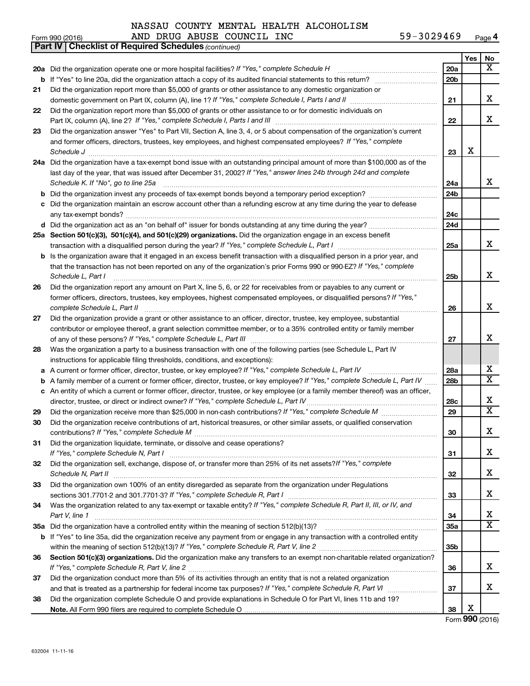|    | AND DRUG ABUSE COUNCIL INC<br>Form 990 (2016)                                                                                       | 59-3029469      |     | Page 4                  |
|----|-------------------------------------------------------------------------------------------------------------------------------------|-----------------|-----|-------------------------|
|    | <b>Part IV   Checklist of Required Schedules (continued)</b>                                                                        |                 |     |                         |
|    |                                                                                                                                     |                 | Yes | No                      |
|    | 20a Did the organization operate one or more hospital facilities? If "Yes," complete Schedule H                                     | 20a             |     | x                       |
|    | <b>b</b> If "Yes" to line 20a, did the organization attach a copy of its audited financial statements to this return?               | 20 <sub>b</sub> |     |                         |
| 21 | Did the organization report more than \$5,000 of grants or other assistance to any domestic organization or                         |                 |     |                         |
|    | domestic government on Part IX, column (A), line 1? If "Yes," complete Schedule I, Parts I and II                                   | 21              |     | x                       |
| 22 | Did the organization report more than \$5,000 of grants or other assistance to or for domestic individuals on                       |                 |     |                         |
|    |                                                                                                                                     | 22              |     | x                       |
| 23 | Did the organization answer "Yes" to Part VII, Section A, line 3, 4, or 5 about compensation of the organization's current          |                 |     |                         |
|    | and former officers, directors, trustees, key employees, and highest compensated employees? If "Yes," complete                      |                 |     |                         |
|    | Schedule J                                                                                                                          | 23              | х   |                         |
|    | 24a Did the organization have a tax-exempt bond issue with an outstanding principal amount of more than \$100,000 as of the         |                 |     |                         |
|    | last day of the year, that was issued after December 31, 2002? If "Yes," answer lines 24b through 24d and complete                  |                 |     |                         |
|    | Schedule K. If "No", go to line 25a                                                                                                 | 24a             |     | x                       |
| b  | Did the organization invest any proceeds of tax-exempt bonds beyond a temporary period exception?                                   | 24 <sub>b</sub> |     |                         |
| с  | Did the organization maintain an escrow account other than a refunding escrow at any time during the year to defease                |                 |     |                         |
|    |                                                                                                                                     | 24c             |     |                         |
|    | d Did the organization act as an "on behalf of" issuer for bonds outstanding at any time during the year?                           | 24d             |     |                         |
|    | 25a Section 501(c)(3), 501(c)(4), and 501(c)(29) organizations. Did the organization engage in an excess benefit                    |                 |     |                         |
|    |                                                                                                                                     | 25a             |     | x                       |
|    | <b>b</b> Is the organization aware that it engaged in an excess benefit transaction with a disqualified person in a prior year, and |                 |     |                         |
|    | that the transaction has not been reported on any of the organization's prior Forms 990 or 990-EZ? If "Yes," complete               |                 |     |                         |
|    | Schedule L, Part I                                                                                                                  | 25 <sub>b</sub> |     | x                       |
| 26 | Did the organization report any amount on Part X, line 5, 6, or 22 for receivables from or payables to any current or               |                 |     |                         |
|    | former officers, directors, trustees, key employees, highest compensated employees, or disqualified persons? If "Yes,"              |                 |     |                         |
|    | complete Schedule L, Part II                                                                                                        | 26              |     | x                       |
| 27 | Did the organization provide a grant or other assistance to an officer, director, trustee, key employee, substantial                |                 |     |                         |
|    | contributor or employee thereof, a grant selection committee member, or to a 35% controlled entity or family member                 |                 |     |                         |
|    |                                                                                                                                     | 27              |     | х                       |
| 28 | Was the organization a party to a business transaction with one of the following parties (see Schedule L, Part IV                   |                 |     |                         |
|    | instructions for applicable filing thresholds, conditions, and exceptions):                                                         |                 |     |                         |
| а  | A current or former officer, director, trustee, or key employee? If "Yes," complete Schedule L, Part IV                             | 28a             |     | х                       |
| b  | A family member of a current or former officer, director, trustee, or key employee? If "Yes," complete Schedule L, Part IV          | 28 <sub>b</sub> |     | $\overline{\textbf{X}}$ |
|    | c An entity of which a current or former officer, director, trustee, or key employee (or a family member thereof) was an officer,   |                 |     |                         |
|    | director, trustee, or direct or indirect owner? If "Yes," complete Schedule L, Part IV                                              | 28c             |     | х                       |
| 29 |                                                                                                                                     | 29              |     | $\overline{\textbf{X}}$ |
| 30 | Did the organization receive contributions of art, historical treasures, or other similar assets, or qualified conservation         |                 |     |                         |
|    |                                                                                                                                     | 30              |     | x                       |
| 31 | Did the organization liquidate, terminate, or dissolve and cease operations?                                                        |                 |     |                         |
|    |                                                                                                                                     | 31              |     | х                       |
| 32 | Did the organization sell, exchange, dispose of, or transfer more than 25% of its net assets? If "Yes," complete                    |                 |     |                         |
|    | Schedule N, Part II                                                                                                                 | 32              |     | х                       |
| 33 | Did the organization own 100% of an entity disregarded as separate from the organization under Regulations                          |                 |     |                         |
|    |                                                                                                                                     | 33              |     | x                       |
| 34 | Was the organization related to any tax-exempt or taxable entity? If "Yes," complete Schedule R, Part II, III, or IV, and           |                 |     |                         |
|    | Part V, line 1                                                                                                                      | 34              |     | х                       |
|    |                                                                                                                                     | 35a             |     | $\overline{\text{X}}$   |
|    | b If "Yes" to line 35a, did the organization receive any payment from or engage in any transaction with a controlled entity         |                 |     |                         |
|    |                                                                                                                                     | 35 <sub>b</sub> |     |                         |
| 36 | Section 501(c)(3) organizations. Did the organization make any transfers to an exempt non-charitable related organization?          |                 |     |                         |
|    |                                                                                                                                     | 36              |     | x                       |
| 37 | Did the organization conduct more than 5% of its activities through an entity that is not a related organization                    |                 |     |                         |
|    |                                                                                                                                     | 37              |     | x                       |
| 38 | Did the organization complete Schedule O and provide explanations in Schedule O for Part VI, lines 11b and 19?                      |                 |     |                         |
|    |                                                                                                                                     | 38              | х   |                         |
|    |                                                                                                                                     |                 |     |                         |

Form (2016) **990**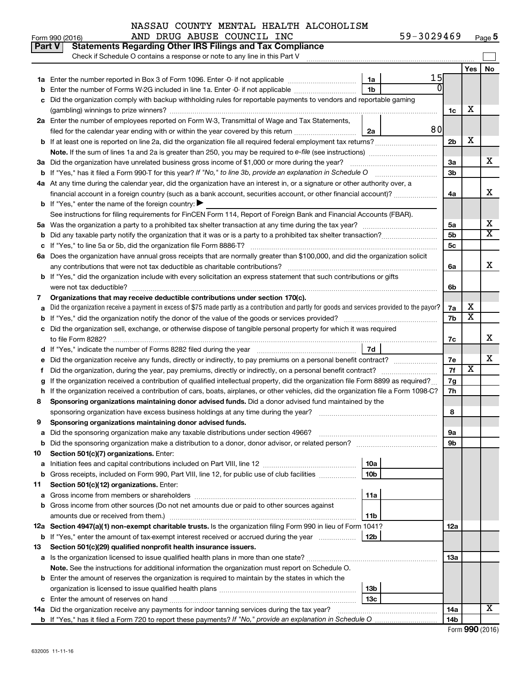|     | NASSAU COUNII MENIAU HEAUIR AUCOROUISM<br>59-3029469<br>AND DRUG ABUSE COUNCIL INC                                                              |                |     | Page 5                  |  |
|-----|-------------------------------------------------------------------------------------------------------------------------------------------------|----------------|-----|-------------------------|--|
|     | Form 990 (2016)<br><b>Statements Regarding Other IRS Filings and Tax Compliance</b><br>Part V                                                   |                |     |                         |  |
|     | Check if Schedule O contains a response or note to any line in this Part V                                                                      |                |     |                         |  |
|     |                                                                                                                                                 |                | Yes | No                      |  |
|     | 1a Enter the number reported in Box 3 of Form 1096. Enter -0- if not applicable<br>1a                                                           | 15             |     |                         |  |
| b   | 1 <sub>b</sub><br>Enter the number of Forms W-2G included in line 1a. Enter -0- if not applicable                                               |                |     |                         |  |
| c   | Did the organization comply with backup withholding rules for reportable payments to vendors and reportable gaming                              |                |     |                         |  |
|     |                                                                                                                                                 | 1c             | х   |                         |  |
|     | 2a Enter the number of employees reported on Form W-3, Transmittal of Wage and Tax Statements,                                                  |                |     |                         |  |
|     | 80<br>filed for the calendar year ending with or within the year covered by this return <i>manumumumum</i><br>2a                                |                |     |                         |  |
|     |                                                                                                                                                 | 2 <sub>b</sub> | X   |                         |  |
|     | Note. If the sum of lines 1a and 2a is greater than 250, you may be required to e-file (see instructions) <i>managererigion</i> ,               |                |     |                         |  |
| За  | Did the organization have unrelated business gross income of \$1,000 or more during the year?                                                   | За             |     | x                       |  |
| b   | If "Yes," has it filed a Form 990-T for this year? If "No," to line 3b, provide an explanation in Schedule O                                    | 3b             |     |                         |  |
|     | 4a At any time during the calendar year, did the organization have an interest in, or a signature or other authority over, a                    |                |     |                         |  |
|     | financial account in a foreign country (such as a bank account, securities account, or other financial account)?                                | 4a             |     | х                       |  |
|     | <b>b</b> If "Yes," enter the name of the foreign country:                                                                                       |                |     |                         |  |
|     | See instructions for filing requirements for FinCEN Form 114, Report of Foreign Bank and Financial Accounts (FBAR).                             |                |     |                         |  |
| 5a  |                                                                                                                                                 | 5a             |     | x                       |  |
| b   |                                                                                                                                                 | 5b             |     | $\overline{\mathtt{x}}$ |  |
| с   | If "Yes," to line 5a or 5b, did the organization file Form 8886-T?                                                                              | 5c             |     |                         |  |
|     | 6a Does the organization have annual gross receipts that are normally greater than \$100,000, and did the organization solicit                  |                |     |                         |  |
|     | any contributions that were not tax deductible as charitable contributions?                                                                     |                |     |                         |  |
|     | 6a<br><b>b</b> If "Yes," did the organization include with every solicitation an express statement that such contributions or gifts             |                |     |                         |  |
|     | were not tax deductible?<br>6b                                                                                                                  |                |     |                         |  |
| 7   | Organizations that may receive deductible contributions under section 170(c).                                                                   |                | х   |                         |  |
| а   | Did the organization receive a payment in excess of \$75 made partly as a contribution and partly for goods and services provided to the payor? |                |     |                         |  |
| b   | If "Yes," did the organization notify the donor of the value of the goods or services provided?                                                 |                |     |                         |  |
| с   | Did the organization sell, exchange, or otherwise dispose of tangible personal property for which it was required                               |                |     |                         |  |
|     | to file Form 8282?                                                                                                                              | 7c             |     | x                       |  |
|     | 7d<br>d If "Yes," indicate the number of Forms 8282 filed during the year                                                                       |                |     | х                       |  |
| е   |                                                                                                                                                 |                |     |                         |  |
|     |                                                                                                                                                 |                |     |                         |  |
| g   | If the organization received a contribution of qualified intellectual property, did the organization file Form 8899 as required?                |                |     |                         |  |
| h   | If the organization received a contribution of cars, boats, airplanes, or other vehicles, did the organization file a Form 1098-C?              | 7h             |     |                         |  |
| 8   | Sponsoring organizations maintaining donor advised funds. Did a donor advised fund maintained by the                                            |                |     |                         |  |
|     | sponsoring organization have excess business holdings at any time during the year?                                                              | 8              |     |                         |  |
| 9   | Sponsoring organizations maintaining donor advised funds.                                                                                       |                |     |                         |  |
| а   | Did the sponsoring organization make any taxable distributions under section 4966?                                                              | 9а             |     |                         |  |
| b   | Did the sponsoring organization make a distribution to a donor, donor advisor, or related person?                                               | 9b             |     |                         |  |
| 10  | Section 501(c)(7) organizations. Enter:                                                                                                         |                |     |                         |  |
| а   | 10a                                                                                                                                             |                |     |                         |  |
| b   | 10 <sub>b</sub><br>Gross receipts, included on Form 990, Part VIII, line 12, for public use of club facilities                                  |                |     |                         |  |
| 11  | Section 501(c)(12) organizations. Enter:                                                                                                        |                |     |                         |  |
| а   | 11a<br>Gross income from members or shareholders                                                                                                |                |     |                         |  |
| b   | Gross income from other sources (Do not net amounts due or paid to other sources against                                                        |                |     |                         |  |
|     | 11b<br>amounts due or received from them.)                                                                                                      |                |     |                         |  |
| 12a | Section 4947(a)(1) non-exempt charitable trusts. Is the organization filing Form 990 in lieu of Form 1041?                                      | 12a            |     |                         |  |
| b   | 12 <sub>b</sub><br>If "Yes," enter the amount of tax-exempt interest received or accrued during the year                                        |                |     |                         |  |
| 13  | Section 501(c)(29) qualified nonprofit health insurance issuers.                                                                                |                |     |                         |  |
| а   | Is the organization licensed to issue qualified health plans in more than one state?                                                            | 1За            |     |                         |  |
|     | Note. See the instructions for additional information the organization must report on Schedule O.                                               |                |     |                         |  |
| b   | Enter the amount of reserves the organization is required to maintain by the states in which the                                                |                |     |                         |  |
|     | 13 <sub>b</sub><br>13 <sub>c</sub>                                                                                                              |                |     |                         |  |
| с   | Did the organization receive any payments for indoor tanning services during the tax year?                                                      | 14a            |     | $\overline{\mathbf{X}}$ |  |
| 14a | <b>b</b> If "Yes," has it filed a Form 720 to report these payments? If "No," provide an explanation in Schedule O                              | 14b            |     |                         |  |
|     |                                                                                                                                                 |                |     |                         |  |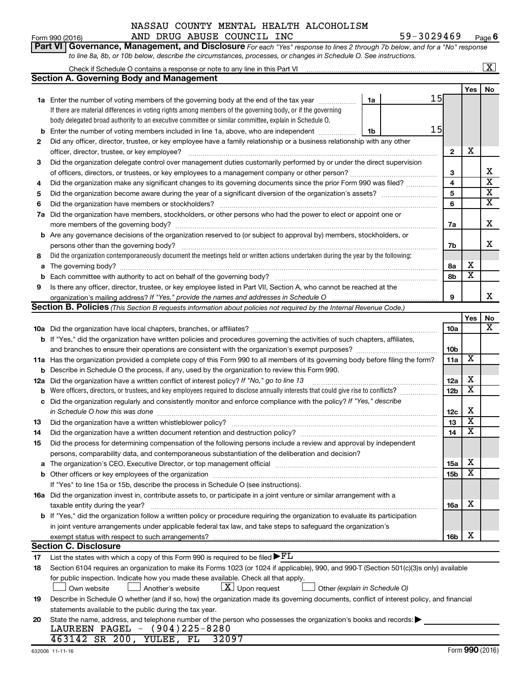# Form 990 (2016) Page AND DRUG ABUSE COUNCIL INC 59-3029469 NASSAU COUNTY MENTAL HEALTH ALCOHOLISM

|  |  | Part VI   Governance, Management, and Disclosure For each "Yes" response to lines 2 through 7b below, and for a "No" response |  |  |  |
|--|--|-------------------------------------------------------------------------------------------------------------------------------|--|--|--|
|  |  | to line 8a, 8b, or 10b below, describe the circumstances, processes, or changes in Schedule O. See instructions.              |  |  |  |

| $\boxed{\text{X}}$ |                                                                                                                                                                                                                                |                         |                         |                         |  |  |
|--------------------|--------------------------------------------------------------------------------------------------------------------------------------------------------------------------------------------------------------------------------|-------------------------|-------------------------|-------------------------|--|--|
|                    | <b>Section A. Governing Body and Management</b>                                                                                                                                                                                |                         |                         |                         |  |  |
|                    |                                                                                                                                                                                                                                |                         | Yes                     | No                      |  |  |
|                    | 15<br>1a<br>1a Enter the number of voting members of the governing body at the end of the tax year                                                                                                                             |                         |                         |                         |  |  |
|                    | If there are material differences in voting rights among members of the governing body, or if the governing                                                                                                                    |                         |                         |                         |  |  |
|                    | body delegated broad authority to an executive committee or similar committee, explain in Schedule O.                                                                                                                          |                         |                         |                         |  |  |
|                    | 15<br><b>b</b> Enter the number of voting members included in line 1a, above, who are independent <i>manument</i><br>1b                                                                                                        |                         |                         |                         |  |  |
| 2                  | Did any officer, director, trustee, or key employee have a family relationship or a business relationship with any other                                                                                                       |                         |                         |                         |  |  |
|                    |                                                                                                                                                                                                                                | $\mathbf{2}$            | X                       |                         |  |  |
| 3                  | Did the organization delegate control over management duties customarily performed by or under the direct supervision                                                                                                          |                         |                         |                         |  |  |
|                    | of officers, directors, or trustees, or key employees to a management company or other person?                                                                                                                                 | 3                       |                         | x                       |  |  |
| 4                  | Did the organization make any significant changes to its governing documents since the prior Form 990 was filed?                                                                                                               | $\overline{\mathbf{4}}$ |                         | $\overline{\mathtt{x}}$ |  |  |
| 5                  |                                                                                                                                                                                                                                | 5                       |                         | $\overline{\text{x}}$   |  |  |
| 6                  |                                                                                                                                                                                                                                | 6                       |                         | $\overline{\text{x}}$   |  |  |
|                    | 7a Did the organization have members, stockholders, or other persons who had the power to elect or appoint one or                                                                                                              |                         |                         |                         |  |  |
|                    |                                                                                                                                                                                                                                | 7a                      |                         | x                       |  |  |
|                    | <b>b</b> Are any governance decisions of the organization reserved to (or subject to approval by) members, stockholders, or                                                                                                    |                         |                         |                         |  |  |
|                    | persons other than the governing body?                                                                                                                                                                                         | 7b                      |                         | X                       |  |  |
| 8                  | Did the organization contemporaneously document the meetings held or written actions undertaken during the year by the following:                                                                                              |                         |                         |                         |  |  |
|                    |                                                                                                                                                                                                                                | 8а                      | х                       |                         |  |  |
|                    |                                                                                                                                                                                                                                | 8b                      | $\overline{\textbf{x}}$ |                         |  |  |
| 9                  | Is there any officer, director, trustee, or key employee listed in Part VII, Section A, who cannot be reached at the                                                                                                           |                         |                         |                         |  |  |
|                    |                                                                                                                                                                                                                                | 9                       |                         | x                       |  |  |
|                    | Section B. Policies (This Section B requests information about policies not required by the Internal Revenue Code.)                                                                                                            |                         |                         |                         |  |  |
|                    |                                                                                                                                                                                                                                |                         | Yes                     | No                      |  |  |
|                    |                                                                                                                                                                                                                                | 10a                     |                         | $\overline{\mathbf{X}}$ |  |  |
|                    | <b>b</b> If "Yes," did the organization have written policies and procedures governing the activities of such chapters, affiliates,                                                                                            |                         |                         |                         |  |  |
|                    |                                                                                                                                                                                                                                | 10 <sub>b</sub>         |                         |                         |  |  |
|                    | 11a Has the organization provided a complete copy of this Form 990 to all members of its governing body before filing the form?                                                                                                | 11a                     | X                       |                         |  |  |
|                    | <b>b</b> Describe in Schedule O the process, if any, used by the organization to review this Form 990.                                                                                                                         |                         |                         |                         |  |  |
|                    | 12a Did the organization have a written conflict of interest policy? If "No," go to line 13                                                                                                                                    | 12a                     | х                       |                         |  |  |
|                    | <b>b</b> Were officers, directors, or trustees, and key employees required to disclose annually interests that could give rise to conflicts?                                                                                   | 12 <sub>b</sub>         | $\overline{\textbf{x}}$ |                         |  |  |
|                    | c Did the organization regularly and consistently monitor and enforce compliance with the policy? If "Yes," describe                                                                                                           |                         |                         |                         |  |  |
|                    | in Schedule O how this was done manufactured and an according to the way to the state of the state of the state of the state of the state of the state of the state of the state of the state of the state of the state of the | 12c                     | х                       |                         |  |  |
| 13                 |                                                                                                                                                                                                                                | 13                      | $\overline{\texttt{x}}$ |                         |  |  |
| 14                 |                                                                                                                                                                                                                                | 14                      | $\overline{\mathbf{x}}$ |                         |  |  |
| 15                 | Did the process for determining compensation of the following persons include a review and approval by independent                                                                                                             |                         |                         |                         |  |  |
|                    | persons, comparability data, and contemporaneous substantiation of the deliberation and decision?                                                                                                                              |                         |                         |                         |  |  |
|                    | a The organization's CEO, Executive Director, or top management official manufactured content content of the o                                                                                                                 | 15a                     | х                       |                         |  |  |
|                    |                                                                                                                                                                                                                                | 15b                     | X                       |                         |  |  |
|                    | If "Yes" to line 15a or 15b, describe the process in Schedule O (see instructions).                                                                                                                                            |                         |                         |                         |  |  |
|                    | 16a Did the organization invest in, contribute assets to, or participate in a joint venture or similar arrangement with a                                                                                                      |                         | х                       |                         |  |  |
|                    | taxable entity during the year?                                                                                                                                                                                                | 16a                     |                         |                         |  |  |
|                    | b If "Yes," did the organization follow a written policy or procedure requiring the organization to evaluate its participation                                                                                                 |                         |                         |                         |  |  |
|                    | in joint venture arrangements under applicable federal tax law, and take steps to safeguard the organization's                                                                                                                 |                         | х                       |                         |  |  |
|                    | exempt status with respect to such arrangements?<br><b>Section C. Disclosure</b>                                                                                                                                               | 16b                     |                         |                         |  |  |
|                    | List the states with which a copy of this Form 990 is required to be filed $\blacktriangleright\mathbf{FL}$                                                                                                                    |                         |                         |                         |  |  |
| 17<br>18           | Section 6104 requires an organization to make its Forms 1023 (or 1024 if applicable), 990, and 990-T (Section 501(c)(3)s only) available                                                                                       |                         |                         |                         |  |  |
|                    | for public inspection. Indicate how you made these available. Check all that apply.                                                                                                                                            |                         |                         |                         |  |  |
|                    | $\lfloor x \rfloor$ Upon request<br>Own website<br>Another's website<br>Other (explain in Schedule O)                                                                                                                          |                         |                         |                         |  |  |
| 19                 | Describe in Schedule O whether (and if so, how) the organization made its governing documents, conflict of interest policy, and financial                                                                                      |                         |                         |                         |  |  |
|                    | statements available to the public during the tax year.                                                                                                                                                                        |                         |                         |                         |  |  |
| 20                 | State the name, address, and telephone number of the person who possesses the organization's books and records:                                                                                                                |                         |                         |                         |  |  |
|                    | LAUREEN PAGEL - (904)225-8280                                                                                                                                                                                                  |                         |                         |                         |  |  |
|                    | 463142 SR 200, YULEE, FL<br>32097                                                                                                                                                                                              |                         |                         |                         |  |  |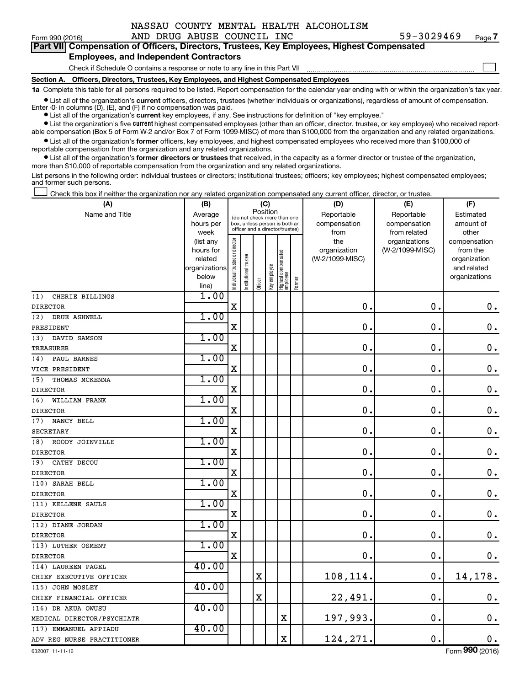| NASSAU COUNTY MENTAL HEALTH ALCOHOLISM |  |
|----------------------------------------|--|
|----------------------------------------|--|

 $\Box$ 

|  | Part VII Compensation of Officers, Directors, Trustees, Key Employees, Highest Compensated |
|--|--------------------------------------------------------------------------------------------|
|  | <b>Employees, and Independent Contractors</b>                                              |

## Check if Schedule O contains a response or note to any line in this Part VII

**Section A. Officers, Directors, Trustees, Key Employees, and Highest Compensated Employees**

**1a**  Complete this table for all persons required to be listed. Report compensation for the calendar year ending with or within the organization's tax year.

**•** List all of the organization's current officers, directors, trustees (whether individuals or organizations), regardless of amount of compensation.

Enter  $-0$ - in columns  $(D)$ ,  $(E)$ , and  $(F)$  if no compensation was paid.

**•** List all of the organization's **current** key employees, if any. See instructions for definition of "key employee."

**•** List the organization's five current highest compensated employees (other than an officer, director, trustee, or key employee) who received reportable compensation (Box 5 of Form W-2 and/or Box 7 of Form 1099-MISC) of more than \$100,000 from the organization and any related organizations.

**•** List all of the organization's former officers, key employees, and highest compensated employees who received more than \$100,000 of reportable compensation from the organization and any related organizations.

**•** List all of the organization's former directors or trustees that received, in the capacity as a former director or trustee of the organization, more than \$10,000 of reportable compensation from the organization and any related organizations.

List persons in the following order: individual trustees or directors; institutional trustees; officers; key employees; highest compensated employees; and former such persons.

Check this box if neither the organization nor any related organization compensated any current officer, director, or trustee.  $\overline{a}$ 

| (A)                        | (B)               |                                |                                                                  | (C)         |              |                                 |        | (D)             | (E)                           | (F)                   |
|----------------------------|-------------------|--------------------------------|------------------------------------------------------------------|-------------|--------------|---------------------------------|--------|-----------------|-------------------------------|-----------------------|
| Name and Title             | Average           |                                | (do not check more than one                                      | Position    |              |                                 |        | Reportable      | Reportable                    | Estimated             |
|                            | hours per         |                                | box, unless person is both an<br>officer and a director/trustee) |             |              |                                 |        | compensation    | compensation                  | amount of             |
|                            | week<br>(list any |                                |                                                                  |             |              |                                 |        | from<br>the     | from related<br>organizations | other<br>compensation |
|                            | hours for         |                                |                                                                  |             |              |                                 |        | organization    | (W-2/1099-MISC)               | from the              |
|                            | related           |                                |                                                                  |             |              |                                 |        | (W-2/1099-MISC) |                               | organization          |
|                            | organizations     |                                |                                                                  |             |              |                                 |        |                 |                               | and related           |
|                            | below             | Individual trustee or director | Institutional trustee                                            |             | Key employee | Highest compensated<br>employee |        |                 |                               | organizations         |
|                            | line)             |                                |                                                                  | Officer     |              |                                 | Former |                 |                               |                       |
| (1)<br>CHERIE BILLINGS     | 1.00              |                                |                                                                  |             |              |                                 |        |                 |                               |                       |
| <b>DIRECTOR</b>            |                   | X                              |                                                                  |             |              |                                 |        | $\mathbf 0$ .   | $\mathbf 0$ .                 | $\mathbf 0$ .         |
| (2)<br>DRUE ASHWELL        | 1.00              |                                |                                                                  |             |              |                                 |        |                 |                               |                       |
| PRESIDENT                  |                   | X                              |                                                                  |             |              |                                 |        | 0               | $\mathbf 0$ .                 | $\mathbf 0$ .         |
| DAVID SAMSON<br>(3)        | 1.00              |                                |                                                                  |             |              |                                 |        |                 |                               |                       |
| <b>TREASURER</b>           |                   | X                              |                                                                  |             |              |                                 |        | $\mathbf 0$ .   | $\mathbf 0$ .                 | $\mathbf 0$ .         |
| PAUL BARNES<br>(4)         | 1.00              |                                |                                                                  |             |              |                                 |        |                 |                               |                       |
| VICE PRESIDENT             |                   | X                              |                                                                  |             |              |                                 |        | $\mathbf 0$ .   | $\mathbf 0$ .                 | $\mathbf 0$ .         |
| THOMAS MCKENNA<br>(5)      | 1.00              |                                |                                                                  |             |              |                                 |        |                 |                               |                       |
| <b>DIRECTOR</b>            |                   | X                              |                                                                  |             |              |                                 |        | $\mathbf 0$     | $\mathbf 0$ .                 | $\mathbf 0$ .         |
| (6)<br>WILLIAM FRANK       | 1.00              |                                |                                                                  |             |              |                                 |        |                 |                               |                       |
| <b>DIRECTOR</b>            |                   | X                              |                                                                  |             |              |                                 |        | $\mathbf 0$     | $\mathbf 0$ .                 | $\mathbf 0$ .         |
| (7)<br>NANCY BELL          | 1.00              |                                |                                                                  |             |              |                                 |        |                 |                               |                       |
| <b>SECRETARY</b>           |                   | X                              |                                                                  |             |              |                                 |        | $\mathbf 0$ .   | $\mathbf 0$ .                 | $\mathbf 0$ .         |
| ROODY JOINVILLE<br>(8)     | 1.00              |                                |                                                                  |             |              |                                 |        |                 |                               |                       |
| <b>DIRECTOR</b>            |                   | $\mathbf X$                    |                                                                  |             |              |                                 |        | $\mathbf 0$ .   | $\mathbf 0$ .                 | $\mathbf 0$ .         |
| CATHY DECOU<br>(9)         | 1.00              |                                |                                                                  |             |              |                                 |        |                 |                               |                       |
| <b>DIRECTOR</b>            |                   | X                              |                                                                  |             |              |                                 |        | $\mathbf 0$ .   | $\mathbf 0$ .                 | $\boldsymbol{0}$ .    |
| (10) SARAH BELL            | 1.00              |                                |                                                                  |             |              |                                 |        |                 |                               |                       |
| <b>DIRECTOR</b>            |                   | $\mathbf X$                    |                                                                  |             |              |                                 |        | $\mathbf 0$     | $\mathbf 0$ .                 | $\mathbf 0$ .         |
| (11) KELLENE SAULS         | 1.00              |                                |                                                                  |             |              |                                 |        |                 |                               |                       |
| <b>DIRECTOR</b>            |                   | $\mathbf X$                    |                                                                  |             |              |                                 |        | $\mathbf 0$ .   | $\mathbf 0$ .                 | $\mathbf 0$ .         |
| (12) DIANE JORDAN          | 1.00              |                                |                                                                  |             |              |                                 |        |                 |                               |                       |
| <b>DIRECTOR</b>            |                   | $\rm X$                        |                                                                  |             |              |                                 |        | $\mathbf 0$ .   | $\mathbf 0$ .                 | $\mathbf 0$ .         |
| (13) LUTHER OSMENT         | 1.00              |                                |                                                                  |             |              |                                 |        |                 |                               |                       |
| <b>DIRECTOR</b>            |                   | $\mathbf X$                    |                                                                  |             |              |                                 |        | $\mathbf 0$ .   | $\mathbf 0$ .                 | 0.                    |
| (14) LAUREEN PAGEL         | 40.00             |                                |                                                                  |             |              |                                 |        |                 |                               |                       |
| CHIEF EXECUTIVE OFFICER    |                   |                                |                                                                  | X           |              |                                 |        | 108,114.        | $\mathbf 0$ .                 | 14,178.               |
| (15) JOHN MOSLEY           | 40.00             |                                |                                                                  |             |              |                                 |        |                 |                               |                       |
| CHIEF FINANCIAL OFFICER    |                   |                                |                                                                  | $\mathbf X$ |              |                                 |        | 22,491.         | $\mathbf 0$ .                 | $\mathbf 0$ .         |
| (16) DR AKUA OWUSU         | 40.00             |                                |                                                                  |             |              |                                 |        |                 |                               |                       |
| MEDICAL DIRECTOR/PSYCHIATR |                   |                                |                                                                  |             |              | X                               |        | 197,993.        | $\mathbf 0$ .                 | $\mathbf 0$ .         |
| (17) EMMANUEL APPIADU      | 40.00             |                                |                                                                  |             |              |                                 |        |                 |                               |                       |
| ADV REG NURSE PRACTITIONER |                   |                                |                                                                  |             |              | $\mathbf X$                     |        | 124, 271.       | $\mathbf 0$ .                 | $\mathbf 0$ .         |

632007 11-11-16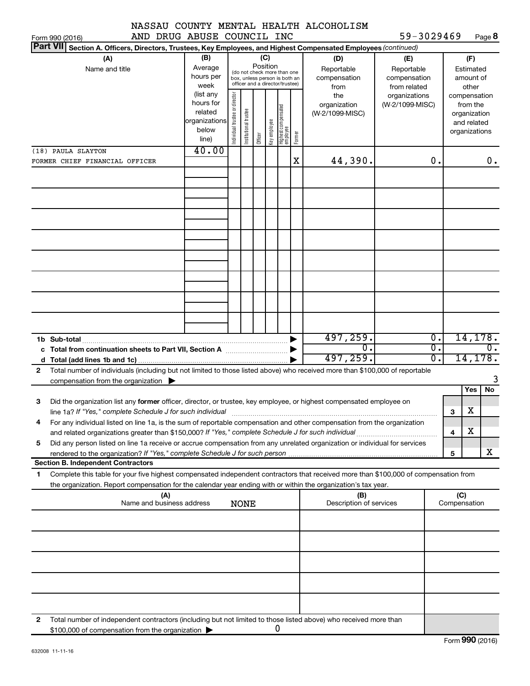|  |  | NASSAU COUNTY MENTAL HEALTH ALCOHOLISM |
|--|--|----------------------------------------|
|  |  |                                        |

| 59-3029469 | Page 8 |
|------------|--------|
|------------|--------|

|   | AND DRUG ABUSE COUNCIL INC<br>Form 990 (2016)                                                                                                                                                                                                                      |                                                         |                                |                       |                 |              |                                                                                                 |        |                                           | 59-3029469                                        |                        |                     |                                                          | Page 8                       |  |
|---|--------------------------------------------------------------------------------------------------------------------------------------------------------------------------------------------------------------------------------------------------------------------|---------------------------------------------------------|--------------------------------|-----------------------|-----------------|--------------|-------------------------------------------------------------------------------------------------|--------|-------------------------------------------|---------------------------------------------------|------------------------|---------------------|----------------------------------------------------------|------------------------------|--|
|   | <b>Part VII</b><br>Section A. Officers, Directors, Trustees, Key Employees, and Highest Compensated Employees (continued)                                                                                                                                          |                                                         |                                |                       |                 |              |                                                                                                 |        |                                           |                                                   |                        |                     |                                                          |                              |  |
|   | (A)<br>Name and title                                                                                                                                                                                                                                              | (B)<br>Average<br>hours per<br>week<br>(list any        |                                |                       | (C)<br>Position |              | (do not check more than one<br>box, unless person is both an<br>officer and a director/trustee) |        | (D)<br>Reportable<br>compensation<br>from | (E)<br>Reportable<br>compensation<br>from related |                        |                     | (F)<br>Estimated<br>amount of<br>other<br>compensation   |                              |  |
|   |                                                                                                                                                                                                                                                                    | hours for<br>related<br>organizations<br>below<br>line) | Individual trustee or director | Institutional trustee | Officer         | Key employee | Highest compensated<br>employee                                                                 | Former | the<br>organization<br>(W-2/1099-MISC)    | organizations<br>(W-2/1099-MISC)                  |                        |                     | from the<br>organization<br>and related<br>organizations |                              |  |
|   | (18) PAULA SLAYTON                                                                                                                                                                                                                                                 | 40.00                                                   |                                |                       |                 |              |                                                                                                 |        |                                           |                                                   |                        |                     |                                                          |                              |  |
|   | FORMER CHIEF FINANCIAL OFFICER                                                                                                                                                                                                                                     |                                                         |                                |                       |                 |              |                                                                                                 | X      | 44,390.                                   |                                                   | 0.                     |                     |                                                          | 0.                           |  |
|   |                                                                                                                                                                                                                                                                    |                                                         |                                |                       |                 |              |                                                                                                 |        |                                           |                                                   |                        |                     |                                                          |                              |  |
|   |                                                                                                                                                                                                                                                                    |                                                         |                                |                       |                 |              |                                                                                                 |        |                                           |                                                   |                        |                     |                                                          |                              |  |
|   |                                                                                                                                                                                                                                                                    |                                                         |                                |                       |                 |              |                                                                                                 |        |                                           |                                                   |                        |                     |                                                          |                              |  |
|   |                                                                                                                                                                                                                                                                    |                                                         |                                |                       |                 |              |                                                                                                 |        |                                           |                                                   |                        |                     |                                                          |                              |  |
|   |                                                                                                                                                                                                                                                                    |                                                         |                                |                       |                 |              |                                                                                                 |        |                                           |                                                   |                        |                     |                                                          |                              |  |
|   |                                                                                                                                                                                                                                                                    |                                                         |                                |                       |                 |              |                                                                                                 |        |                                           |                                                   |                        |                     |                                                          |                              |  |
|   |                                                                                                                                                                                                                                                                    |                                                         |                                |                       |                 |              |                                                                                                 |        |                                           |                                                   |                        |                     |                                                          |                              |  |
|   | 1b Sub-total                                                                                                                                                                                                                                                       |                                                         |                                |                       |                 |              |                                                                                                 |        | 497, 259.                                 |                                                   | $\overline{0}$ .       |                     |                                                          | 14, 178.                     |  |
|   | c Total from continuation sheets to Part VII, Section A manufactured by                                                                                                                                                                                            |                                                         |                                |                       |                 |              |                                                                                                 |        | 0.<br>497,259.                            |                                                   | $\overline{0}$ .<br>0. |                     |                                                          | $\overline{0}$ .<br>14, 178. |  |
| 2 | Total number of individuals (including but not limited to those listed above) who received more than \$100,000 of reportable<br>compensation from the organization $\blacktriangleright$                                                                           |                                                         |                                |                       |                 |              |                                                                                                 |        |                                           |                                                   |                        |                     |                                                          | 3                            |  |
|   |                                                                                                                                                                                                                                                                    |                                                         |                                |                       |                 |              |                                                                                                 |        |                                           |                                                   |                        |                     | Yes                                                      | No                           |  |
| 3 | Did the organization list any former officer, director, or trustee, key employee, or highest compensated employee on<br>line 1a? If "Yes," complete Schedule J for such individual manufacture content to the set of the set of the schedule J for such individual |                                                         |                                |                       |                 |              |                                                                                                 |        |                                           |                                                   |                        | 3                   | х                                                        |                              |  |
|   | For any individual listed on line 1a, is the sum of reportable compensation and other compensation from the organization<br>and related organizations greater than \$150,000? If "Yes," complete Schedule J for such individual                                    |                                                         |                                |                       |                 |              |                                                                                                 |        |                                           |                                                   |                        | 4                   | х                                                        |                              |  |
| 5 | Did any person listed on line 1a receive or accrue compensation from any unrelated organization or individual for services                                                                                                                                         |                                                         |                                |                       |                 |              |                                                                                                 |        |                                           |                                                   |                        | 5                   |                                                          | x                            |  |
|   | <b>Section B. Independent Contractors</b>                                                                                                                                                                                                                          |                                                         |                                |                       |                 |              |                                                                                                 |        |                                           |                                                   |                        |                     |                                                          |                              |  |
| 1 | Complete this table for your five highest compensated independent contractors that received more than \$100,000 of compensation from<br>the organization. Report compensation for the calendar year ending with or within the organization's tax year.             |                                                         |                                |                       |                 |              |                                                                                                 |        |                                           |                                                   |                        |                     |                                                          |                              |  |
|   | (A)<br>Name and business address                                                                                                                                                                                                                                   |                                                         |                                | <b>NONE</b>           |                 |              |                                                                                                 |        | (B)<br>Description of services            |                                                   |                        | (C)<br>Compensation |                                                          |                              |  |
|   |                                                                                                                                                                                                                                                                    |                                                         |                                |                       |                 |              |                                                                                                 |        |                                           |                                                   |                        |                     |                                                          |                              |  |
|   |                                                                                                                                                                                                                                                                    |                                                         |                                |                       |                 |              |                                                                                                 |        |                                           |                                                   |                        |                     |                                                          |                              |  |
|   |                                                                                                                                                                                                                                                                    |                                                         |                                |                       |                 |              |                                                                                                 |        |                                           |                                                   |                        |                     |                                                          |                              |  |
|   |                                                                                                                                                                                                                                                                    |                                                         |                                |                       |                 |              |                                                                                                 |        |                                           |                                                   |                        |                     |                                                          |                              |  |
|   |                                                                                                                                                                                                                                                                    |                                                         |                                |                       |                 |              |                                                                                                 |        |                                           |                                                   |                        |                     |                                                          |                              |  |
| 2 | Total number of independent contractors (including but not limited to those listed above) who received more than<br>\$100,000 of compensation from the organization                                                                                                |                                                         |                                |                       |                 |              | 0                                                                                               |        |                                           |                                                   |                        |                     |                                                          |                              |  |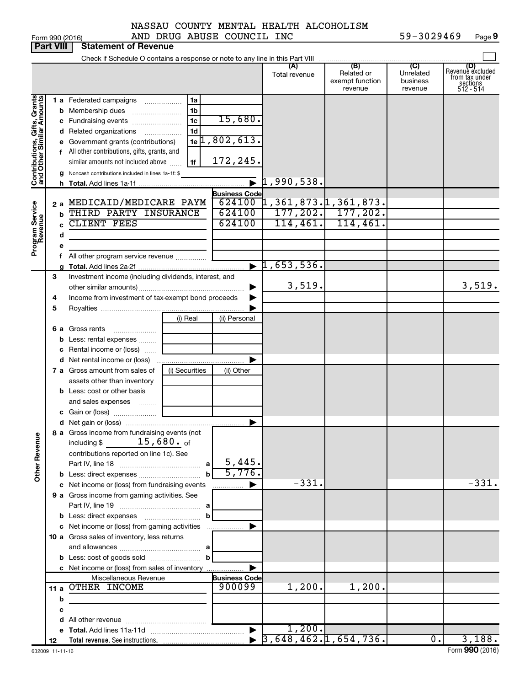| $\sim$ $\sim$ |  |  |  |
|---------------|--|--|--|

# Form 990 (2016) Page AND DRUG ABUSE COUNCIL INC 59-3029469 NASSAU COUNTY MENTAL HEALTH ALCOHOLISM

|                              | <b>Part VIII</b> |        | <b>Statement of Revenue</b>                                                                                                                                                                                                                                                                                                                                      |                                                                                        |                                                                                             |                                                 |                                         |                                                                    |  |  |  |  |  |  |  |
|------------------------------|------------------|--------|------------------------------------------------------------------------------------------------------------------------------------------------------------------------------------------------------------------------------------------------------------------------------------------------------------------------------------------------------------------|----------------------------------------------------------------------------------------|---------------------------------------------------------------------------------------------|-------------------------------------------------|-----------------------------------------|--------------------------------------------------------------------|--|--|--|--|--|--|--|
|                              |                  |        |                                                                                                                                                                                                                                                                                                                                                                  |                                                                                        |                                                                                             |                                                 |                                         |                                                                    |  |  |  |  |  |  |  |
|                              |                  |        |                                                                                                                                                                                                                                                                                                                                                                  |                                                                                        | (A)<br>Total revenue                                                                        | (B)<br>Related or<br>exempt function<br>revenue | (C)<br>Unrelated<br>business<br>revenue | (D)<br>Revenue excluded<br>from tax under<br>sections<br>512 - 514 |  |  |  |  |  |  |  |
| Contributions, Gifts, Grants |                  | g      | 1 a Federated campaigns<br>1a<br>1 <sub>b</sub><br><b>b</b> Membership dues<br>1 <sub>c</sub><br>c Fundraising events<br>1 <sub>d</sub><br>d Related organizations<br>.<br>e Government grants (contributions)<br>f All other contributions, gifts, grants, and<br>1f<br>similar amounts not included above<br>Noncash contributions included in lines 1a-1f: \$ | 15,680.<br>$1e$ <sup>1</sup> ,802,613.<br>172,245.<br>$\overline{\blacktriangleright}$ | 1,990,538.                                                                                  |                                                 |                                         |                                                                    |  |  |  |  |  |  |  |
| Program Service<br>Revenue   |                  | b<br>d | 2 a MEDICAID/MEDICARE PAYM<br>THIRD PARTY INSURANCE<br><b>CLIENT FEES</b><br>f All other program service revenue                                                                                                                                                                                                                                                 | <b>Business Code</b><br>624100<br>$\blacktriangleright$                                | $\frac{624100}{624100}$ $\frac{1,361,873}{177,202}$ $\frac{177,202}{177,202}$<br>1,653,536. | $114, 461.$ $114, 461.$                         |                                         |                                                                    |  |  |  |  |  |  |  |
|                              | З<br>4<br>5      |        | Investment income (including dividends, interest, and<br>Income from investment of tax-exempt bond proceeds                                                                                                                                                                                                                                                      |                                                                                        | 3,519.                                                                                      |                                                 |                                         | 3,519.                                                             |  |  |  |  |  |  |  |
|                              |                  | b<br>с | (i) Real<br><b>6 a</b> Gross rents<br>Less: rental expenses<br>Rental income or (loss)                                                                                                                                                                                                                                                                           | (ii) Personal                                                                          |                                                                                             |                                                 |                                         |                                                                    |  |  |  |  |  |  |  |
|                              |                  |        | 7 a Gross amount from sales of<br>(i) Securities<br>assets other than inventory<br><b>b</b> Less: cost or other basis<br>and sales expenses                                                                                                                                                                                                                      | ▶<br>(ii) Other                                                                        |                                                                                             |                                                 |                                         |                                                                    |  |  |  |  |  |  |  |
|                              |                  |        | 8 a Gross income from fundraising events (not<br>$15$ ,680. $_{\rm of}$<br>including \$                                                                                                                                                                                                                                                                          | ▶                                                                                      |                                                                                             |                                                 |                                         |                                                                    |  |  |  |  |  |  |  |
| <b>Other Revenue</b>         |                  |        | contributions reported on line 1c). See<br>c Net income or (loss) from fundraising events                                                                                                                                                                                                                                                                        | 5,445.<br>5,776.<br>$\mathbf b$<br>▶                                                   | $-331.$                                                                                     |                                                 |                                         | $-331.$                                                            |  |  |  |  |  |  |  |
|                              |                  |        | 9 a Gross income from gaming activities. See<br>c Net income or (loss) from gaming activities                                                                                                                                                                                                                                                                    | b<br>▶                                                                                 |                                                                                             |                                                 |                                         |                                                                    |  |  |  |  |  |  |  |
|                              |                  |        | 10 a Gross sales of inventory, less returns<br>c Net income or (loss) from sales of inventory                                                                                                                                                                                                                                                                    | ▶                                                                                      |                                                                                             |                                                 |                                         |                                                                    |  |  |  |  |  |  |  |
|                              |                  | b<br>с | Miscellaneous Revenue<br>11 a OTHER INCOME<br>the control of the control of the control of                                                                                                                                                                                                                                                                       | <b>Business Code</b><br>900099                                                         | 1,200.                                                                                      | 1,200.                                          |                                         |                                                                    |  |  |  |  |  |  |  |
|                              | 12               |        |                                                                                                                                                                                                                                                                                                                                                                  |                                                                                        | 1,200.<br>$\blacktriangleright$ 3,648,462.1,654,736.                                        |                                                 | 0.1                                     | 3,188.                                                             |  |  |  |  |  |  |  |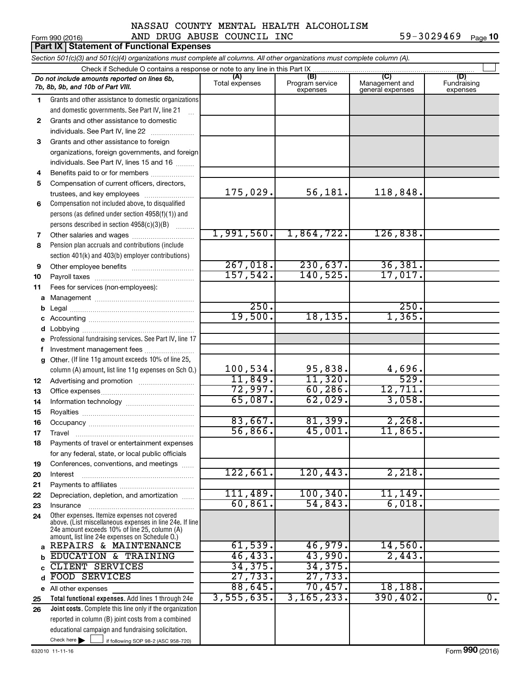#### Form 990 (2016) Page NASSAU COUNTY MENTAL HEALTH ALCOHOLISM AND DRUG ABUSE COUNCIL INC  $59-3029469$

59-3029469 Page 10

| Part IX   Statement of Functional Expenses                                                                                 |                                                                                                                                                                                                             |                       |                                    |                                           |                                |  |  |  |  |  |  |  |
|----------------------------------------------------------------------------------------------------------------------------|-------------------------------------------------------------------------------------------------------------------------------------------------------------------------------------------------------------|-----------------------|------------------------------------|-------------------------------------------|--------------------------------|--|--|--|--|--|--|--|
| Section 501(c)(3) and 501(c)(4) organizations must complete all columns. All other organizations must complete column (A). |                                                                                                                                                                                                             |                       |                                    |                                           |                                |  |  |  |  |  |  |  |
|                                                                                                                            | Check if Schedule O contains a response or note to any line in this Part IX                                                                                                                                 |                       |                                    |                                           |                                |  |  |  |  |  |  |  |
|                                                                                                                            | Do not include amounts reported on lines 6b,<br>7b, 8b, 9b, and 10b of Part VIII.                                                                                                                           | (A)<br>Total expenses | (B)<br>Program service<br>expenses | (C)<br>Management and<br>general expenses | (D)<br>Fundraising<br>expenses |  |  |  |  |  |  |  |
| 1                                                                                                                          | Grants and other assistance to domestic organizations                                                                                                                                                       |                       |                                    |                                           |                                |  |  |  |  |  |  |  |
|                                                                                                                            | and domestic governments. See Part IV, line 21                                                                                                                                                              |                       |                                    |                                           |                                |  |  |  |  |  |  |  |
| $\mathbf{2}$                                                                                                               | Grants and other assistance to domestic                                                                                                                                                                     |                       |                                    |                                           |                                |  |  |  |  |  |  |  |
|                                                                                                                            | individuals. See Part IV, line 22                                                                                                                                                                           |                       |                                    |                                           |                                |  |  |  |  |  |  |  |
| 3                                                                                                                          | Grants and other assistance to foreign                                                                                                                                                                      |                       |                                    |                                           |                                |  |  |  |  |  |  |  |
|                                                                                                                            | organizations, foreign governments, and foreign                                                                                                                                                             |                       |                                    |                                           |                                |  |  |  |  |  |  |  |
|                                                                                                                            | individuals. See Part IV, lines 15 and 16                                                                                                                                                                   |                       |                                    |                                           |                                |  |  |  |  |  |  |  |
| 4                                                                                                                          | Benefits paid to or for members                                                                                                                                                                             |                       |                                    |                                           |                                |  |  |  |  |  |  |  |
| 5                                                                                                                          | Compensation of current officers, directors,                                                                                                                                                                | 175,029.              | 56,181.                            | 118,848.                                  |                                |  |  |  |  |  |  |  |
|                                                                                                                            | trustees, and key employees                                                                                                                                                                                 |                       |                                    |                                           |                                |  |  |  |  |  |  |  |
| 6                                                                                                                          | Compensation not included above, to disqualified<br>persons (as defined under section 4958(f)(1)) and                                                                                                       |                       |                                    |                                           |                                |  |  |  |  |  |  |  |
|                                                                                                                            | persons described in section 4958(c)(3)(B)                                                                                                                                                                  |                       |                                    |                                           |                                |  |  |  |  |  |  |  |
| 7                                                                                                                          |                                                                                                                                                                                                             | 1,991,560.            | 1,864,722.                         | 126,838.                                  |                                |  |  |  |  |  |  |  |
| 8                                                                                                                          | Pension plan accruals and contributions (include                                                                                                                                                            |                       |                                    |                                           |                                |  |  |  |  |  |  |  |
|                                                                                                                            | section 401(k) and 403(b) employer contributions)                                                                                                                                                           |                       |                                    |                                           |                                |  |  |  |  |  |  |  |
| 9                                                                                                                          | Other employee benefits                                                                                                                                                                                     | 267,018.              | 230,637.                           | 36,381.                                   |                                |  |  |  |  |  |  |  |
| 10                                                                                                                         |                                                                                                                                                                                                             | 157,542.              | 140, 525.                          | 17,017.                                   |                                |  |  |  |  |  |  |  |
| 11                                                                                                                         | Fees for services (non-employees):                                                                                                                                                                          |                       |                                    |                                           |                                |  |  |  |  |  |  |  |
| а                                                                                                                          |                                                                                                                                                                                                             |                       |                                    |                                           |                                |  |  |  |  |  |  |  |
| b                                                                                                                          |                                                                                                                                                                                                             | 250.                  |                                    | 250.                                      |                                |  |  |  |  |  |  |  |
| с                                                                                                                          |                                                                                                                                                                                                             | 19,500.               | 18, 135.                           | 1,365.                                    |                                |  |  |  |  |  |  |  |
| d                                                                                                                          |                                                                                                                                                                                                             |                       |                                    |                                           |                                |  |  |  |  |  |  |  |
| е                                                                                                                          | Professional fundraising services. See Part IV, line 17                                                                                                                                                     |                       |                                    |                                           |                                |  |  |  |  |  |  |  |
| f                                                                                                                          | Investment management fees                                                                                                                                                                                  |                       |                                    |                                           |                                |  |  |  |  |  |  |  |
| g                                                                                                                          | Other. (If line 11g amount exceeds 10% of line 25,                                                                                                                                                          |                       |                                    |                                           |                                |  |  |  |  |  |  |  |
|                                                                                                                            | column (A) amount, list line 11g expenses on Sch O.)                                                                                                                                                        | 100, 534.             | 95,838.                            | $\frac{4,696}{529}$                       |                                |  |  |  |  |  |  |  |
| 12                                                                                                                         |                                                                                                                                                                                                             | 11,849.               | 11,320.                            |                                           |                                |  |  |  |  |  |  |  |
| 13                                                                                                                         |                                                                                                                                                                                                             | 72,997.               | 60, 286.                           | 12,711.                                   |                                |  |  |  |  |  |  |  |
| 14                                                                                                                         |                                                                                                                                                                                                             | 65,087.               | 62,029.                            | 3,058.                                    |                                |  |  |  |  |  |  |  |
| 15                                                                                                                         |                                                                                                                                                                                                             | 83,667.               | 81,399.                            | 2,268.                                    |                                |  |  |  |  |  |  |  |
| 16                                                                                                                         |                                                                                                                                                                                                             | 56,866.               | 45,001.                            | $11,865$ .                                |                                |  |  |  |  |  |  |  |
| 17<br>18                                                                                                                   | Travel<br>Payments of travel or entertainment expenses                                                                                                                                                      |                       |                                    |                                           |                                |  |  |  |  |  |  |  |
|                                                                                                                            | for any federal, state, or local public officials                                                                                                                                                           |                       |                                    |                                           |                                |  |  |  |  |  |  |  |
| 19                                                                                                                         | Conferences, conventions, and meetings                                                                                                                                                                      |                       |                                    |                                           |                                |  |  |  |  |  |  |  |
| 20                                                                                                                         | Interest                                                                                                                                                                                                    | 122,661.              | 120, 443.                          | 2,218.                                    |                                |  |  |  |  |  |  |  |
| 21                                                                                                                         |                                                                                                                                                                                                             |                       |                                    |                                           |                                |  |  |  |  |  |  |  |
| 22                                                                                                                         | Depreciation, depletion, and amortization                                                                                                                                                                   | 111,489.              | 100, 340.                          | 11,149.                                   |                                |  |  |  |  |  |  |  |
| 23                                                                                                                         | Insurance                                                                                                                                                                                                   | 60, 861.              | 54,843.                            | 6,018.                                    |                                |  |  |  |  |  |  |  |
| 24                                                                                                                         | Other expenses. Itemize expenses not covered<br>above. (List miscellaneous expenses in line 24e. If line<br>24e amount exceeds 10% of line 25, column (A)<br>amount, list line 24e expenses on Schedule O.) |                       |                                    |                                           |                                |  |  |  |  |  |  |  |
| a                                                                                                                          | REPAIRS & MAINTENANCE                                                                                                                                                                                       | 61,539.               | 46,979.                            | 14,560.                                   |                                |  |  |  |  |  |  |  |
| b                                                                                                                          | <b>EDUCATION &amp; TRAINING</b>                                                                                                                                                                             | 46, 433.              | 43,990.                            | 2,443.                                    |                                |  |  |  |  |  |  |  |
|                                                                                                                            | CLIENT SERVICES                                                                                                                                                                                             | 34, 375.              | 34, 375.                           |                                           |                                |  |  |  |  |  |  |  |
| d                                                                                                                          | FOOD SERVICES                                                                                                                                                                                               | 27,733.               | 27,733.                            |                                           |                                |  |  |  |  |  |  |  |
|                                                                                                                            | e All other expenses                                                                                                                                                                                        | 88,645.               | 70,457.                            | 18, 188.                                  |                                |  |  |  |  |  |  |  |
| 25                                                                                                                         | Total functional expenses. Add lines 1 through 24e                                                                                                                                                          | 3,555,635.            | 3, 165, 233.                       | 390, 402.                                 | $\overline{0}$ .               |  |  |  |  |  |  |  |
| 26                                                                                                                         | Joint costs. Complete this line only if the organization                                                                                                                                                    |                       |                                    |                                           |                                |  |  |  |  |  |  |  |
|                                                                                                                            | reported in column (B) joint costs from a combined                                                                                                                                                          |                       |                                    |                                           |                                |  |  |  |  |  |  |  |
|                                                                                                                            | educational campaign and fundraising solicitation.<br>Check here $\blacktriangleright$                                                                                                                      |                       |                                    |                                           |                                |  |  |  |  |  |  |  |
|                                                                                                                            | if following SOP 98-2 (ASC 958-720)                                                                                                                                                                         |                       |                                    |                                           |                                |  |  |  |  |  |  |  |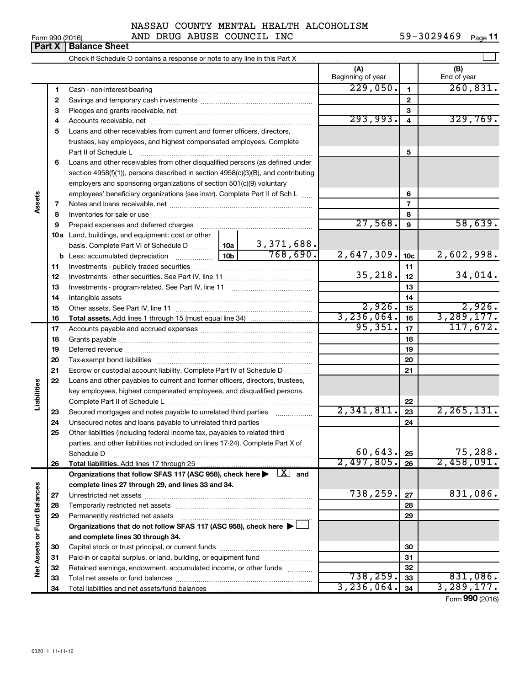# Form 990 (2016) Page AND DRUG ABUSE COUNCIL INC 59-3029469 NASSAU COUNTY MENTAL HEALTH ALCOHOLISM

59-3029469 Page 11

|                             |          |                                                                                                                                                                                                                               |        |            | (A)<br>Beginning of year |                         | (B)<br>End of year |
|-----------------------------|----------|-------------------------------------------------------------------------------------------------------------------------------------------------------------------------------------------------------------------------------|--------|------------|--------------------------|-------------------------|--------------------|
|                             | 1        |                                                                                                                                                                                                                               |        |            | 229,050.                 | $\mathbf{1}$            | 260, 831.          |
|                             | 2        |                                                                                                                                                                                                                               |        |            |                          | $\mathbf{2}$            |                    |
|                             | з        |                                                                                                                                                                                                                               |        |            |                          | 3                       |                    |
|                             | 4        |                                                                                                                                                                                                                               |        |            | 293,993.                 | $\overline{\mathbf{4}}$ | 329,769.           |
|                             | 5        | Loans and other receivables from current and former officers, directors,                                                                                                                                                      |        |            |                          |                         |                    |
|                             |          | trustees, key employees, and highest compensated employees. Complete                                                                                                                                                          |        |            |                          |                         |                    |
|                             |          | Part II of Schedule L                                                                                                                                                                                                         |        |            |                          | 5                       |                    |
|                             | 6        | Loans and other receivables from other disqualified persons (as defined under                                                                                                                                                 |        |            |                          |                         |                    |
|                             |          | section $4958(f)(1)$ , persons described in section $4958(c)(3)(B)$ , and contributing                                                                                                                                        |        |            |                          |                         |                    |
|                             |          | employers and sponsoring organizations of section 501(c)(9) voluntary                                                                                                                                                         |        |            |                          |                         |                    |
|                             |          | employees' beneficiary organizations (see instr). Complete Part II of Sch L                                                                                                                                                   |        |            |                          | 6                       |                    |
| Assets                      | 7        |                                                                                                                                                                                                                               |        |            |                          | $\overline{7}$          |                    |
|                             | 8        |                                                                                                                                                                                                                               |        |            |                          | 8                       |                    |
|                             | 9        | Prepaid expenses and deferred charges [11] [11] Prepaid expenses and deferred charges [11] [11] Martin Marian Marian Marian Marian Marian Marian Marian Marian Marian Marian Marian Marian Marian Marian Marian Marian Marian |        |            | 27,568.                  | 9                       | 58,639.            |
|                             |          | 10a Land, buildings, and equipment: cost or other                                                                                                                                                                             |        |            |                          |                         |                    |
|                             |          | basis. Complete Part VI of Schedule D  10a                                                                                                                                                                                    |        | 3,371,688. |                          |                         |                    |
|                             |          |                                                                                                                                                                                                                               |        | 768,690.   | 2,647,309.               | 10 <sub>c</sub>         | 2,602,998.         |
|                             | 11       |                                                                                                                                                                                                                               |        |            |                          | 11                      |                    |
|                             | 12       |                                                                                                                                                                                                                               |        |            | 35,218.                  | 12                      | 34,014.            |
|                             | 13       |                                                                                                                                                                                                                               |        |            |                          | 13                      |                    |
|                             | 14       |                                                                                                                                                                                                                               |        | 14         |                          |                         |                    |
|                             | 15       |                                                                                                                                                                                                                               | 2,926. | 15         | 2,926.                   |                         |                    |
|                             | 16       |                                                                                                                                                                                                                               |        |            | 3, 236, 064.             | 16                      | 3, 289, 177.       |
|                             | 17       |                                                                                                                                                                                                                               |        |            | 95, 351.                 | 17                      | 117,672.           |
|                             | 18       |                                                                                                                                                                                                                               |        | 18         |                          |                         |                    |
|                             | 19       |                                                                                                                                                                                                                               |        |            |                          | 19                      |                    |
|                             | 20       |                                                                                                                                                                                                                               |        |            |                          | 20                      |                    |
|                             | 21       | Escrow or custodial account liability. Complete Part IV of Schedule D                                                                                                                                                         |        |            |                          | 21                      |                    |
|                             | 22       | Loans and other payables to current and former officers, directors, trustees,                                                                                                                                                 |        |            |                          |                         |                    |
|                             |          | key employees, highest compensated employees, and disqualified persons.                                                                                                                                                       |        |            |                          |                         |                    |
| Liabilities                 |          |                                                                                                                                                                                                                               |        |            |                          | 22                      |                    |
|                             | 23       | Secured mortgages and notes payable to unrelated third parties                                                                                                                                                                |        |            | 2,341,811.               | 23                      | 2, 265, 131.       |
|                             | 24       | Unsecured notes and loans payable to unrelated third parties                                                                                                                                                                  |        |            |                          | 24                      |                    |
|                             | 25       | Other liabilities (including federal income tax, payables to related third                                                                                                                                                    |        |            |                          |                         |                    |
|                             |          | parties, and other liabilities not included on lines 17-24). Complete Part X of                                                                                                                                               |        |            | 60, 643.                 |                         | 75,288.            |
|                             |          | Schedule D                                                                                                                                                                                                                    |        |            | 2,497,805.               | 25                      | 2,458,091.         |
|                             | 26       |                                                                                                                                                                                                                               |        |            |                          | 26                      |                    |
|                             |          | Organizations that follow SFAS 117 (ASC 958), check here $\blacktriangleright \begin{array}{c} \perp X \\ \end{array}$ and                                                                                                    |        |            |                          |                         |                    |
|                             |          | complete lines 27 through 29, and lines 33 and 34.                                                                                                                                                                            |        |            | 738,259.                 | 27                      | 831,086.           |
|                             | 27<br>28 |                                                                                                                                                                                                                               |        |            | 28                       |                         |                    |
|                             | 29       | Permanently restricted net assets                                                                                                                                                                                             |        |            | 29                       |                         |                    |
|                             |          | Organizations that do not follow SFAS 117 (ASC 958), check here $\blacktriangleright$                                                                                                                                         |        |            |                          |                         |                    |
|                             |          | and complete lines 30 through 34.                                                                                                                                                                                             |        |            |                          |                         |                    |
| Net Assets or Fund Balances | 30       |                                                                                                                                                                                                                               |        |            |                          | 30                      |                    |
|                             | 31       | Paid-in or capital surplus, or land, building, or equipment fund                                                                                                                                                              |        |            |                          | 31                      |                    |
|                             | 32       | Retained earnings, endowment, accumulated income, or other funds                                                                                                                                                              |        |            |                          | 32                      |                    |
|                             | 33       |                                                                                                                                                                                                                               |        |            | 738, 259.                | 33                      | 831,086.           |
|                             | 34       |                                                                                                                                                                                                                               |        |            | 3, 236, 064.             | 34                      | 3, 289, 177.       |

Form (2016) **990**

# **Part X Balance Sheet**

| Form 990 (2016 |  |  |
|----------------|--|--|
|                |  |  |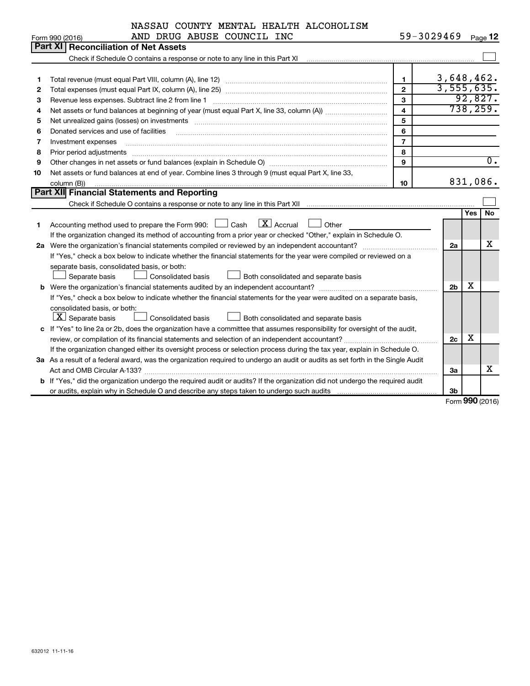|              | NASSAU COUNTY MENTAL HEALTH ALCOHOLISM                                                                                                                                                                                         |                |            |                |     |                      |  |  |  |  |
|--------------|--------------------------------------------------------------------------------------------------------------------------------------------------------------------------------------------------------------------------------|----------------|------------|----------------|-----|----------------------|--|--|--|--|
|              | AND DRUG ABUSE COUNCIL INC<br>Form 990 (2016)                                                                                                                                                                                  |                | 59-3029469 |                |     | Page 12              |  |  |  |  |
|              | Part XI   Reconciliation of Net Assets                                                                                                                                                                                         |                |            |                |     |                      |  |  |  |  |
|              | Check if Schedule O contains a response or note to any line in this Part XI [11] [12] Check if Schedule O contains a response or note to any line in this Part XI                                                              |                |            |                |     |                      |  |  |  |  |
|              |                                                                                                                                                                                                                                |                |            |                |     |                      |  |  |  |  |
| 1            |                                                                                                                                                                                                                                | 1.             |            |                |     | 3,648,462.           |  |  |  |  |
| $\mathbf{2}$ |                                                                                                                                                                                                                                | $\overline{2}$ |            |                |     | 3,555,635.           |  |  |  |  |
| З            |                                                                                                                                                                                                                                | 3              |            |                |     | 92,827.<br>738, 259. |  |  |  |  |
| 4            | 4                                                                                                                                                                                                                              |                |            |                |     |                      |  |  |  |  |
| 5            | Net unrealized gains (losses) on investments [11] matter in the contract of the contract of the contract of the contract of the contract of the contract of the contract of the contract of the contract of the contract of th | 5              |            |                |     |                      |  |  |  |  |
| 6            | Donated services and use of facilities                                                                                                                                                                                         | 6              |            |                |     |                      |  |  |  |  |
| 7            | Investment expenses                                                                                                                                                                                                            | $\overline{7}$ |            |                |     |                      |  |  |  |  |
| 8            | Prior period adjustments                                                                                                                                                                                                       | 8              |            |                |     |                      |  |  |  |  |
| 9            |                                                                                                                                                                                                                                | 9              |            |                |     | $\overline{0}$ .     |  |  |  |  |
| 10           | Net assets or fund balances at end of year. Combine lines 3 through 9 (must equal Part X, line 33,                                                                                                                             |                |            |                |     |                      |  |  |  |  |
|              | column (B))                                                                                                                                                                                                                    | 10             |            |                |     | 831,086.             |  |  |  |  |
|              | Part XII Financial Statements and Reporting                                                                                                                                                                                    |                |            |                |     |                      |  |  |  |  |
|              |                                                                                                                                                                                                                                |                |            |                |     |                      |  |  |  |  |
|              |                                                                                                                                                                                                                                |                |            |                | Yes | No                   |  |  |  |  |
| 1            | $\boxed{\text{X}}$ Accrual<br>Accounting method used to prepare the Form 990: $\Box$ Cash<br>Other                                                                                                                             |                |            |                |     |                      |  |  |  |  |
|              | If the organization changed its method of accounting from a prior year or checked "Other," explain in Schedule O.                                                                                                              |                |            |                |     |                      |  |  |  |  |
|              |                                                                                                                                                                                                                                |                |            | 2a             |     | х                    |  |  |  |  |
|              | If "Yes," check a box below to indicate whether the financial statements for the year were compiled or reviewed on a                                                                                                           |                |            |                |     |                      |  |  |  |  |
|              | separate basis, consolidated basis, or both:                                                                                                                                                                                   |                |            |                |     |                      |  |  |  |  |
|              | Separate basis<br><b>Consolidated basis</b><br>Both consolidated and separate basis                                                                                                                                            |                |            |                |     |                      |  |  |  |  |
|              |                                                                                                                                                                                                                                |                |            | 2 <sub>b</sub> | х   |                      |  |  |  |  |
|              | If "Yes," check a box below to indicate whether the financial statements for the year were audited on a separate basis,                                                                                                        |                |            |                |     |                      |  |  |  |  |
|              | consolidated basis, or both:                                                                                                                                                                                                   |                |            |                |     |                      |  |  |  |  |
|              | $\lfloor \underline{X} \rfloor$ Separate basis<br>Consolidated basis<br>Both consolidated and separate basis                                                                                                                   |                |            |                |     |                      |  |  |  |  |
|              | c If "Yes" to line 2a or 2b, does the organization have a committee that assumes responsibility for oversight of the audit,                                                                                                    |                |            |                |     |                      |  |  |  |  |
|              |                                                                                                                                                                                                                                |                |            | 2c             | х   |                      |  |  |  |  |
|              | If the organization changed either its oversight process or selection process during the tax year, explain in Schedule O.                                                                                                      |                |            |                |     |                      |  |  |  |  |
|              | 3a As a result of a federal award, was the organization required to undergo an audit or audits as set forth in the Single Audit                                                                                                |                |            |                |     |                      |  |  |  |  |
|              |                                                                                                                                                                                                                                |                |            |                |     |                      |  |  |  |  |
|              | b If "Yes," did the organization undergo the required audit or audits? If the organization did not undergo the required audit                                                                                                  |                |            |                |     |                      |  |  |  |  |
|              | or audits, explain why in Schedule O and describe any steps taken to undergo such audits matures and the matur                                                                                                                 |                |            | 3b             |     |                      |  |  |  |  |

Form (2016) **990**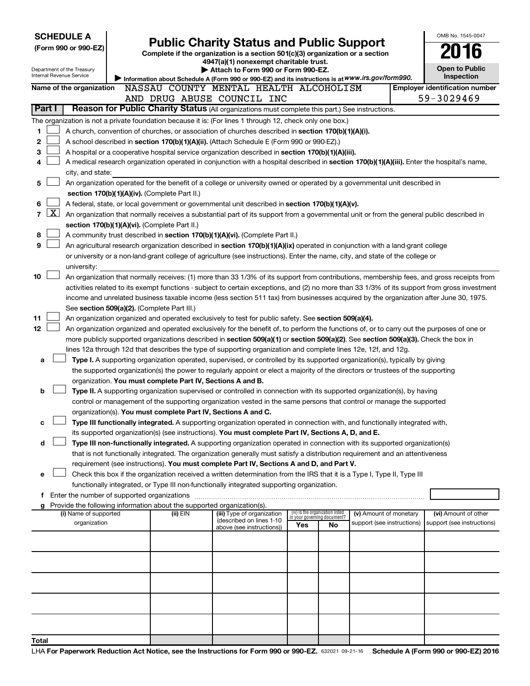| <b>SCHEDULE A</b> |                                               |                                       |  |                                                                          |                                                                                                                                                                                                                                                                                        |                                 |                            |                                                      |  | OMB No. 1545-0047                                  |  |  |
|-------------------|-----------------------------------------------|---------------------------------------|--|--------------------------------------------------------------------------|----------------------------------------------------------------------------------------------------------------------------------------------------------------------------------------------------------------------------------------------------------------------------------------|---------------------------------|----------------------------|------------------------------------------------------|--|----------------------------------------------------|--|--|
|                   |                                               | (Form 990 or 990-EZ)                  |  |                                                                          | <b>Public Charity Status and Public Support</b><br>Complete if the organization is a section 501(c)(3) organization or a section                                                                                                                                                       |                                 |                            |                                                      |  |                                                    |  |  |
|                   |                                               |                                       |  |                                                                          | 4947(a)(1) nonexempt charitable trust.                                                                                                                                                                                                                                                 |                                 |                            |                                                      |  |                                                    |  |  |
|                   |                                               | Department of the Treasury            |  |                                                                          | Attach to Form 990 or Form 990-EZ.                                                                                                                                                                                                                                                     |                                 |                            |                                                      |  | <b>Open to Public</b>                              |  |  |
|                   |                                               | Internal Revenue Service              |  |                                                                          | Information about Schedule A (Form 990 or 990-EZ) and its instructions is at WWW.irs.gov/form990.                                                                                                                                                                                      |                                 |                            |                                                      |  | Inspection                                         |  |  |
|                   |                                               | Name of the organization              |  |                                                                          | NASSAU COUNTY MENTAL HEALTH ALCOHOLISM                                                                                                                                                                                                                                                 |                                 |                            |                                                      |  | <b>Employer identification number</b>              |  |  |
|                   | Part I                                        |                                       |  |                                                                          | AND DRUG ABUSE COUNCIL INC<br>Reason for Public Charity Status (All organizations must complete this part.) See instructions.                                                                                                                                                          |                                 |                            |                                                      |  | 59-3029469                                         |  |  |
|                   |                                               |                                       |  |                                                                          |                                                                                                                                                                                                                                                                                        |                                 |                            |                                                      |  |                                                    |  |  |
| 1                 |                                               |                                       |  |                                                                          | The organization is not a private foundation because it is: (For lines 1 through 12, check only one box.)<br>A church, convention of churches, or association of churches described in section 170(b)(1)(A)(i).                                                                        |                                 |                            |                                                      |  |                                                    |  |  |
| 2                 |                                               |                                       |  |                                                                          | A school described in section 170(b)(1)(A)(ii). (Attach Schedule E (Form 990 or 990-EZ).)                                                                                                                                                                                              |                                 |                            |                                                      |  |                                                    |  |  |
| з                 |                                               |                                       |  |                                                                          | A hospital or a cooperative hospital service organization described in section 170(b)(1)(A)(iii).                                                                                                                                                                                      |                                 |                            |                                                      |  |                                                    |  |  |
| 4                 |                                               |                                       |  |                                                                          | A medical research organization operated in conjunction with a hospital described in section 170(b)(1)(A)(iii). Enter the hospital's name,                                                                                                                                             |                                 |                            |                                                      |  |                                                    |  |  |
|                   |                                               | city, and state:                      |  |                                                                          |                                                                                                                                                                                                                                                                                        |                                 |                            |                                                      |  |                                                    |  |  |
| 5                 |                                               |                                       |  |                                                                          | An organization operated for the benefit of a college or university owned or operated by a governmental unit described in                                                                                                                                                              |                                 |                            |                                                      |  |                                                    |  |  |
|                   | section 170(b)(1)(A)(iv). (Complete Part II.) |                                       |  |                                                                          |                                                                                                                                                                                                                                                                                        |                                 |                            |                                                      |  |                                                    |  |  |
| 6                 |                                               |                                       |  |                                                                          | A federal, state, or local government or governmental unit described in section 170(b)(1)(A)(v).                                                                                                                                                                                       |                                 |                            |                                                      |  |                                                    |  |  |
| $\overline{7}$    | <u>x  </u>                                    |                                       |  |                                                                          | An organization that normally receives a substantial part of its support from a governmental unit or from the general public described in                                                                                                                                              |                                 |                            |                                                      |  |                                                    |  |  |
|                   |                                               |                                       |  | section 170(b)(1)(A)(vi). (Complete Part II.)                            |                                                                                                                                                                                                                                                                                        |                                 |                            |                                                      |  |                                                    |  |  |
| 8                 |                                               |                                       |  |                                                                          | A community trust described in section 170(b)(1)(A)(vi). (Complete Part II.)                                                                                                                                                                                                           |                                 |                            |                                                      |  |                                                    |  |  |
| 9                 |                                               |                                       |  |                                                                          | An agricultural research organization described in section 170(b)(1)(A)(ix) operated in conjunction with a land-grant college                                                                                                                                                          |                                 |                            |                                                      |  |                                                    |  |  |
|                   |                                               |                                       |  |                                                                          | or university or a non-land-grant college of agriculture (see instructions). Enter the name, city, and state of the college or                                                                                                                                                         |                                 |                            |                                                      |  |                                                    |  |  |
|                   |                                               | university:                           |  |                                                                          |                                                                                                                                                                                                                                                                                        |                                 |                            |                                                      |  |                                                    |  |  |
| 10                |                                               |                                       |  |                                                                          | An organization that normally receives: (1) more than 33 1/3% of its support from contributions, membership fees, and gross receipts from                                                                                                                                              |                                 |                            |                                                      |  |                                                    |  |  |
|                   |                                               |                                       |  |                                                                          | activities related to its exempt functions - subject to certain exceptions, and (2) no more than 33 1/3% of its support from gross investment<br>income and unrelated business taxable income (less section 511 tax) from businesses acquired by the organization after June 30, 1975. |                                 |                            |                                                      |  |                                                    |  |  |
|                   |                                               |                                       |  | See section 509(a)(2). (Complete Part III.)                              |                                                                                                                                                                                                                                                                                        |                                 |                            |                                                      |  |                                                    |  |  |
| 11                |                                               |                                       |  |                                                                          | An organization organized and operated exclusively to test for public safety. See section 509(a)(4).                                                                                                                                                                                   |                                 |                            |                                                      |  |                                                    |  |  |
| 12                |                                               |                                       |  |                                                                          | An organization organized and operated exclusively for the benefit of, to perform the functions of, or to carry out the purposes of one or                                                                                                                                             |                                 |                            |                                                      |  |                                                    |  |  |
|                   |                                               |                                       |  |                                                                          | more publicly supported organizations described in section 509(a)(1) or section 509(a)(2). See section 509(a)(3). Check the box in                                                                                                                                                     |                                 |                            |                                                      |  |                                                    |  |  |
|                   |                                               |                                       |  |                                                                          | lines 12a through 12d that describes the type of supporting organization and complete lines 12e, 12f, and 12g.                                                                                                                                                                         |                                 |                            |                                                      |  |                                                    |  |  |
| a                 |                                               |                                       |  |                                                                          | Type I. A supporting organization operated, supervised, or controlled by its supported organization(s), typically by giving                                                                                                                                                            |                                 |                            |                                                      |  |                                                    |  |  |
|                   |                                               |                                       |  |                                                                          | the supported organization(s) the power to regularly appoint or elect a majority of the directors or trustees of the supporting                                                                                                                                                        |                                 |                            |                                                      |  |                                                    |  |  |
|                   |                                               |                                       |  | organization. You must complete Part IV, Sections A and B.               |                                                                                                                                                                                                                                                                                        |                                 |                            |                                                      |  |                                                    |  |  |
| b                 |                                               |                                       |  |                                                                          | Type II. A supporting organization supervised or controlled in connection with its supported organization(s), by having                                                                                                                                                                |                                 |                            |                                                      |  |                                                    |  |  |
|                   |                                               |                                       |  |                                                                          | control or management of the supporting organization vested in the same persons that control or manage the supported                                                                                                                                                                   |                                 |                            |                                                      |  |                                                    |  |  |
|                   |                                               |                                       |  | organization(s). You must complete Part IV, Sections A and C.            |                                                                                                                                                                                                                                                                                        |                                 |                            |                                                      |  |                                                    |  |  |
| с                 |                                               |                                       |  |                                                                          | Type III functionally integrated. A supporting organization operated in connection with, and functionally integrated with,                                                                                                                                                             |                                 |                            |                                                      |  |                                                    |  |  |
| d                 |                                               |                                       |  |                                                                          | its supported organization(s) (see instructions). You must complete Part IV, Sections A, D, and E.<br>Type III non-functionally integrated. A supporting organization operated in connection with its supported organization(s)                                                        |                                 |                            |                                                      |  |                                                    |  |  |
|                   |                                               |                                       |  |                                                                          | that is not functionally integrated. The organization generally must satisfy a distribution requirement and an attentiveness                                                                                                                                                           |                                 |                            |                                                      |  |                                                    |  |  |
|                   |                                               |                                       |  |                                                                          | requirement (see instructions). You must complete Part IV, Sections A and D, and Part V.                                                                                                                                                                                               |                                 |                            |                                                      |  |                                                    |  |  |
| е                 |                                               |                                       |  |                                                                          | Check this box if the organization received a written determination from the IRS that it is a Type I, Type II, Type III                                                                                                                                                                |                                 |                            |                                                      |  |                                                    |  |  |
|                   |                                               |                                       |  |                                                                          | functionally integrated, or Type III non-functionally integrated supporting organization.                                                                                                                                                                                              |                                 |                            |                                                      |  |                                                    |  |  |
|                   |                                               |                                       |  |                                                                          |                                                                                                                                                                                                                                                                                        |                                 |                            |                                                      |  |                                                    |  |  |
|                   |                                               |                                       |  | g Provide the following information about the supported organization(s). |                                                                                                                                                                                                                                                                                        |                                 |                            |                                                      |  |                                                    |  |  |
|                   |                                               | (i) Name of supported<br>organization |  | (ii) EIN                                                                 | (iii) Type of organization<br>(described on lines 1-10                                                                                                                                                                                                                                 | (iv) Is the organization listed | n your governing document? | (v) Amount of monetary<br>support (see instructions) |  | (vi) Amount of other<br>support (see instructions) |  |  |
|                   |                                               |                                       |  |                                                                          | above (see instructions))                                                                                                                                                                                                                                                              | Yes                             | No                         |                                                      |  |                                                    |  |  |
|                   |                                               |                                       |  |                                                                          |                                                                                                                                                                                                                                                                                        |                                 |                            |                                                      |  |                                                    |  |  |
|                   |                                               |                                       |  |                                                                          |                                                                                                                                                                                                                                                                                        |                                 |                            |                                                      |  |                                                    |  |  |
|                   |                                               |                                       |  |                                                                          |                                                                                                                                                                                                                                                                                        |                                 |                            |                                                      |  |                                                    |  |  |
|                   |                                               |                                       |  |                                                                          |                                                                                                                                                                                                                                                                                        |                                 |                            |                                                      |  |                                                    |  |  |
|                   |                                               |                                       |  |                                                                          |                                                                                                                                                                                                                                                                                        |                                 |                            |                                                      |  |                                                    |  |  |
|                   |                                               |                                       |  |                                                                          |                                                                                                                                                                                                                                                                                        |                                 |                            |                                                      |  |                                                    |  |  |
|                   |                                               |                                       |  |                                                                          |                                                                                                                                                                                                                                                                                        |                                 |                            |                                                      |  |                                                    |  |  |
|                   |                                               |                                       |  |                                                                          |                                                                                                                                                                                                                                                                                        |                                 |                            |                                                      |  |                                                    |  |  |
|                   |                                               |                                       |  |                                                                          |                                                                                                                                                                                                                                                                                        |                                 |                            |                                                      |  |                                                    |  |  |
| Total             |                                               |                                       |  |                                                                          |                                                                                                                                                                                                                                                                                        |                                 |                            |                                                      |  |                                                    |  |  |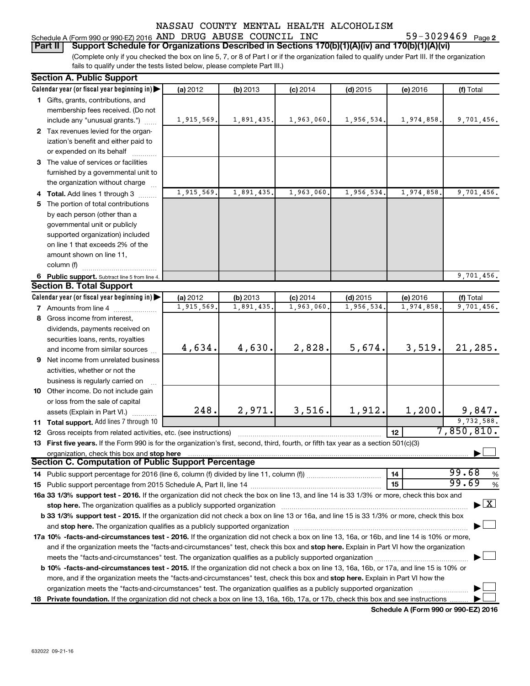# Schedule A (Form 990 or 990-EZ) 2016 AND DRUG ABUSE COUNCIL INC  $59-3029469$  Page

59-3029469 Page 2

(Complete only if you checked the box on line 5, 7, or 8 of Part I or if the organization failed to qualify under Part III. If the organization **Part II Support Schedule for Organizations Described in Sections 170(b)(1)(A)(iv) and 170(b)(1)(A)(vi)**

fails to qualify under the tests listed below, please complete Part III.)

| <b>Section A. Public Support</b> |                                                                                                                                                                                                                                                                                                                                                                           |            |            |            |            |                 |                                    |  |  |  |  |  |
|----------------------------------|---------------------------------------------------------------------------------------------------------------------------------------------------------------------------------------------------------------------------------------------------------------------------------------------------------------------------------------------------------------------------|------------|------------|------------|------------|-----------------|------------------------------------|--|--|--|--|--|
|                                  | Calendar year (or fiscal year beginning in)                                                                                                                                                                                                                                                                                                                               | (a) 2012   | (b) 2013   | $(c)$ 2014 | $(d)$ 2015 | (e) 2016        | (f) Total                          |  |  |  |  |  |
|                                  | 1 Gifts, grants, contributions, and                                                                                                                                                                                                                                                                                                                                       |            |            |            |            |                 |                                    |  |  |  |  |  |
|                                  | membership fees received. (Do not                                                                                                                                                                                                                                                                                                                                         |            |            |            |            |                 |                                    |  |  |  |  |  |
|                                  | include any "unusual grants.")                                                                                                                                                                                                                                                                                                                                            | 1,915,569. | 1,891,435. | 1,963,060. | 1,956,534. | 1,974,858.      | 9,701,456.                         |  |  |  |  |  |
|                                  | 2 Tax revenues levied for the organ-                                                                                                                                                                                                                                                                                                                                      |            |            |            |            |                 |                                    |  |  |  |  |  |
|                                  | ization's benefit and either paid to                                                                                                                                                                                                                                                                                                                                      |            |            |            |            |                 |                                    |  |  |  |  |  |
|                                  | or expended on its behalf                                                                                                                                                                                                                                                                                                                                                 |            |            |            |            |                 |                                    |  |  |  |  |  |
|                                  | 3 The value of services or facilities                                                                                                                                                                                                                                                                                                                                     |            |            |            |            |                 |                                    |  |  |  |  |  |
|                                  | furnished by a governmental unit to                                                                                                                                                                                                                                                                                                                                       |            |            |            |            |                 |                                    |  |  |  |  |  |
|                                  | the organization without charge                                                                                                                                                                                                                                                                                                                                           |            |            |            |            |                 |                                    |  |  |  |  |  |
|                                  | 4 Total. Add lines 1 through 3                                                                                                                                                                                                                                                                                                                                            | 1,915,569. | 1,891,435. | 1,963,060. | 1,956,534. | 1,974,858.      | 9,701,456.                         |  |  |  |  |  |
| 5.                               | The portion of total contributions                                                                                                                                                                                                                                                                                                                                        |            |            |            |            |                 |                                    |  |  |  |  |  |
|                                  | by each person (other than a                                                                                                                                                                                                                                                                                                                                              |            |            |            |            |                 |                                    |  |  |  |  |  |
|                                  | governmental unit or publicly                                                                                                                                                                                                                                                                                                                                             |            |            |            |            |                 |                                    |  |  |  |  |  |
|                                  | supported organization) included                                                                                                                                                                                                                                                                                                                                          |            |            |            |            |                 |                                    |  |  |  |  |  |
|                                  | on line 1 that exceeds 2% of the                                                                                                                                                                                                                                                                                                                                          |            |            |            |            |                 |                                    |  |  |  |  |  |
|                                  | amount shown on line 11,                                                                                                                                                                                                                                                                                                                                                  |            |            |            |            |                 |                                    |  |  |  |  |  |
|                                  | column (f)                                                                                                                                                                                                                                                                                                                                                                |            |            |            |            |                 |                                    |  |  |  |  |  |
|                                  | 6 Public support. Subtract line 5 from line 4.                                                                                                                                                                                                                                                                                                                            |            |            |            |            |                 | 9,701,456.                         |  |  |  |  |  |
|                                  | <b>Section B. Total Support</b>                                                                                                                                                                                                                                                                                                                                           |            |            |            |            |                 |                                    |  |  |  |  |  |
|                                  | Calendar year (or fiscal year beginning in)                                                                                                                                                                                                                                                                                                                               | (a) 2012   | (b) 2013   | $(c)$ 2014 | $(d)$ 2015 | (e) 2016        | (f) Total                          |  |  |  |  |  |
|                                  | 7 Amounts from line 4                                                                                                                                                                                                                                                                                                                                                     | 1,915,569  | 1,891,435. | 1,963,060  | 1,956,534  | 1,974,858.      | 9,701,456.                         |  |  |  |  |  |
|                                  | 8 Gross income from interest,                                                                                                                                                                                                                                                                                                                                             |            |            |            |            |                 |                                    |  |  |  |  |  |
|                                  | dividends, payments received on                                                                                                                                                                                                                                                                                                                                           |            |            |            |            |                 |                                    |  |  |  |  |  |
|                                  | securities loans, rents, royalties                                                                                                                                                                                                                                                                                                                                        |            |            |            |            |                 |                                    |  |  |  |  |  |
|                                  | and income from similar sources                                                                                                                                                                                                                                                                                                                                           | 4,634.     | 4,630.     | 2,828.     | 5,674.     | 3,519.          | 21, 285.                           |  |  |  |  |  |
|                                  | <b>9</b> Net income from unrelated business                                                                                                                                                                                                                                                                                                                               |            |            |            |            |                 |                                    |  |  |  |  |  |
|                                  | activities, whether or not the                                                                                                                                                                                                                                                                                                                                            |            |            |            |            |                 |                                    |  |  |  |  |  |
|                                  | business is regularly carried on                                                                                                                                                                                                                                                                                                                                          |            |            |            |            |                 |                                    |  |  |  |  |  |
|                                  | 10 Other income. Do not include gain                                                                                                                                                                                                                                                                                                                                      |            |            |            |            |                 |                                    |  |  |  |  |  |
|                                  | or loss from the sale of capital                                                                                                                                                                                                                                                                                                                                          |            |            |            |            |                 |                                    |  |  |  |  |  |
|                                  | assets (Explain in Part VI.)                                                                                                                                                                                                                                                                                                                                              | 248.       | 2,971.     | 3,516.     | 1,912.     |                 | $1,200.$ 9,847.                    |  |  |  |  |  |
|                                  | 11 Total support. Add lines 7 through 10                                                                                                                                                                                                                                                                                                                                  |            |            |            |            |                 | 9,732,588.                         |  |  |  |  |  |
|                                  | 12 Gross receipts from related activities, etc. (see instructions)                                                                                                                                                                                                                                                                                                        |            |            |            |            | 12 <sup>2</sup> | 7,850,810.                         |  |  |  |  |  |
|                                  | 13 First five years. If the Form 990 is for the organization's first, second, third, fourth, or fifth tax year as a section 501(c)(3)                                                                                                                                                                                                                                     |            |            |            |            |                 |                                    |  |  |  |  |  |
|                                  | organization, check this box and stop here                                                                                                                                                                                                                                                                                                                                |            |            |            |            |                 |                                    |  |  |  |  |  |
|                                  | Section C. Computation of Public Support Percentage                                                                                                                                                                                                                                                                                                                       |            |            |            |            |                 | 99.68                              |  |  |  |  |  |
|                                  |                                                                                                                                                                                                                                                                                                                                                                           |            |            |            |            | 14              | %<br>99.69                         |  |  |  |  |  |
|                                  |                                                                                                                                                                                                                                                                                                                                                                           |            |            |            |            | 15              | $\%$                               |  |  |  |  |  |
|                                  | 16a 33 1/3% support test - 2016. If the organization did not check the box on line 13, and line 14 is 33 1/3% or more, check this box and                                                                                                                                                                                                                                 |            |            |            |            |                 | $\blacktriangleright$ $\mathbf{X}$ |  |  |  |  |  |
|                                  | stop here. The organization qualifies as a publicly supported organization manufaction manufacture content and the organization manufacture of the organization of the organization of the state of the state of the state of<br>b 33 1/3% support test - 2015. If the organization did not check a box on line 13 or 16a, and line 15 is 33 1/3% or more, check this box |            |            |            |            |                 |                                    |  |  |  |  |  |
|                                  |                                                                                                                                                                                                                                                                                                                                                                           |            |            |            |            |                 |                                    |  |  |  |  |  |
|                                  | 17a 10% -facts-and-circumstances test - 2016. If the organization did not check a box on line 13, 16a, or 16b, and line 14 is 10% or more,                                                                                                                                                                                                                                |            |            |            |            |                 |                                    |  |  |  |  |  |
|                                  | and if the organization meets the "facts-and-circumstances" test, check this box and stop here. Explain in Part VI how the organization                                                                                                                                                                                                                                   |            |            |            |            |                 |                                    |  |  |  |  |  |
|                                  |                                                                                                                                                                                                                                                                                                                                                                           |            |            |            |            |                 |                                    |  |  |  |  |  |
|                                  | b 10% -facts-and-circumstances test - 2015. If the organization did not check a box on line 13, 16a, 16b, or 17a, and line 15 is 10% or                                                                                                                                                                                                                                   |            |            |            |            |                 |                                    |  |  |  |  |  |
|                                  | more, and if the organization meets the "facts-and-circumstances" test, check this box and stop here. Explain in Part VI how the                                                                                                                                                                                                                                          |            |            |            |            |                 |                                    |  |  |  |  |  |
|                                  | organization meets the "facts-and-circumstances" test. The organization qualifies as a publicly supported organization                                                                                                                                                                                                                                                    |            |            |            |            |                 |                                    |  |  |  |  |  |
| 18                               | <b>Private foundation.</b> If the organization did not check a box on line 13, 16a, 16b, 17a, or 17b, check this box and see instructions                                                                                                                                                                                                                                 |            |            |            |            |                 |                                    |  |  |  |  |  |
|                                  |                                                                                                                                                                                                                                                                                                                                                                           |            |            |            |            |                 |                                    |  |  |  |  |  |

**Schedule A (Form 990 or 990-EZ) 2016**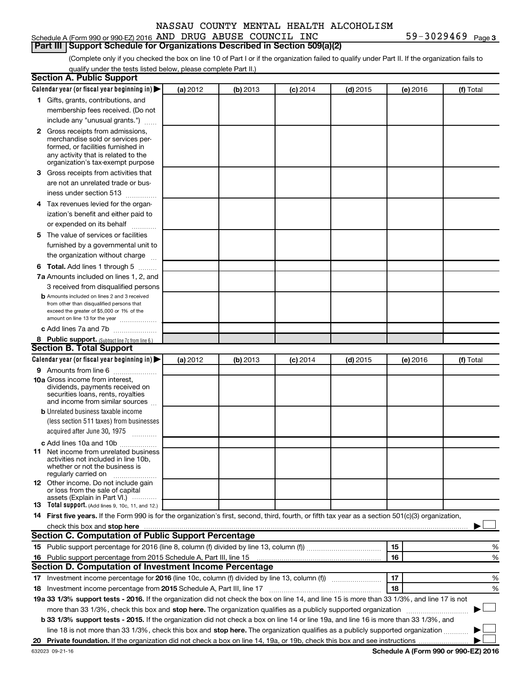### Schedule A (Form 990 or 990-EZ) 2016 AND DRUG ABUSE COUNCIL INC  $59-3029469$  Page **Part III Support Schedule for Organizations Described in Section 509(a)(2)**

(Complete only if you checked the box on line 10 of Part I or if the organization failed to qualify under Part II. If the organization fails to qualify under the tests listed below, please complete Part II.)

| <b>Section A. Public Support</b>                                                                                                                    |          |          |            |            |          |           |
|-----------------------------------------------------------------------------------------------------------------------------------------------------|----------|----------|------------|------------|----------|-----------|
| Calendar year (or fiscal year beginning in)                                                                                                         | (a) 2012 | (b) 2013 | $(c)$ 2014 | $(d)$ 2015 | (e) 2016 | (f) Total |
| 1 Gifts, grants, contributions, and                                                                                                                 |          |          |            |            |          |           |
| membership fees received. (Do not                                                                                                                   |          |          |            |            |          |           |
| include any "unusual grants.")                                                                                                                      |          |          |            |            |          |           |
| <b>2</b> Gross receipts from admissions,                                                                                                            |          |          |            |            |          |           |
| merchandise sold or services per-                                                                                                                   |          |          |            |            |          |           |
| formed, or facilities furnished in<br>any activity that is related to the                                                                           |          |          |            |            |          |           |
| organization's tax-exempt purpose                                                                                                                   |          |          |            |            |          |           |
| 3 Gross receipts from activities that                                                                                                               |          |          |            |            |          |           |
| are not an unrelated trade or bus-                                                                                                                  |          |          |            |            |          |           |
| iness under section 513                                                                                                                             |          |          |            |            |          |           |
| 4 Tax revenues levied for the organ-                                                                                                                |          |          |            |            |          |           |
| ization's benefit and either paid to                                                                                                                |          |          |            |            |          |           |
| or expended on its behalf                                                                                                                           |          |          |            |            |          |           |
| 5 The value of services or facilities                                                                                                               |          |          |            |            |          |           |
| furnished by a governmental unit to                                                                                                                 |          |          |            |            |          |           |
| the organization without charge                                                                                                                     |          |          |            |            |          |           |
| <b>6 Total.</b> Add lines 1 through 5                                                                                                               |          |          |            |            |          |           |
| 7a Amounts included on lines 1, 2, and                                                                                                              |          |          |            |            |          |           |
| 3 received from disqualified persons                                                                                                                |          |          |            |            |          |           |
| <b>b</b> Amounts included on lines 2 and 3 received                                                                                                 |          |          |            |            |          |           |
| from other than disqualified persons that                                                                                                           |          |          |            |            |          |           |
| exceed the greater of \$5,000 or 1% of the<br>amount on line 13 for the year                                                                        |          |          |            |            |          |           |
| c Add lines 7a and 7b                                                                                                                               |          |          |            |            |          |           |
|                                                                                                                                                     |          |          |            |            |          |           |
| 8 Public support. (Subtract line 7c from line 6.)<br><b>Section B. Total Support</b>                                                                |          |          |            |            |          |           |
| Calendar year (or fiscal year beginning in)                                                                                                         | (a) 2012 | (b) 2013 | $(c)$ 2014 | $(d)$ 2015 | (e) 2016 | (f) Total |
| 9 Amounts from line 6                                                                                                                               |          |          |            |            |          |           |
| <b>10a</b> Gross income from interest,                                                                                                              |          |          |            |            |          |           |
| dividends, payments received on                                                                                                                     |          |          |            |            |          |           |
| securities loans, rents, royalties                                                                                                                  |          |          |            |            |          |           |
| and income from similar sources<br><b>b</b> Unrelated business taxable income                                                                       |          |          |            |            |          |           |
| (less section 511 taxes) from businesses                                                                                                            |          |          |            |            |          |           |
| acquired after June 30, 1975                                                                                                                        |          |          |            |            |          |           |
|                                                                                                                                                     |          |          |            |            |          |           |
| c Add lines 10a and 10b<br><b>11</b> Net income from unrelated business                                                                             |          |          |            |            |          |           |
| activities not included in line 10b.                                                                                                                |          |          |            |            |          |           |
| whether or not the business is                                                                                                                      |          |          |            |            |          |           |
| regularly carried on<br>12 Other income. Do not include gain                                                                                        |          |          |            |            |          |           |
| or loss from the sale of capital                                                                                                                    |          |          |            |            |          |           |
| assets (Explain in Part VI.)                                                                                                                        |          |          |            |            |          |           |
| <b>13</b> Total support. (Add lines 9, 10c, 11, and 12.)                                                                                            |          |          |            |            |          |           |
| 14 First five years. If the Form 990 is for the organization's first, second, third, fourth, or fifth tax year as a section 501(c)(3) organization, |          |          |            |            |          |           |
| check this box and stop here                                                                                                                        |          |          |            |            |          |           |
| Section C. Computation of Public Support Percentage                                                                                                 |          |          |            |            |          |           |
|                                                                                                                                                     |          |          |            |            | 15       | %         |
|                                                                                                                                                     |          |          |            |            | 16       | %         |
| Section D. Computation of Investment Income Percentage                                                                                              |          |          |            |            |          |           |
| 17 Investment income percentage for 2016 (line 10c, column (f) divided by line 13, column (f))                                                      |          |          |            |            | 17       | %         |
| 18 Investment income percentage from 2015 Schedule A, Part III, line 17                                                                             |          |          |            |            | 18       | %         |
| 19a 33 1/3% support tests - 2016. If the organization did not check the box on line 14, and line 15 is more than 33 1/3%, and line 17 is not        |          |          |            |            |          |           |
| more than 33 1/3%, check this box and stop here. The organization qualifies as a publicly supported organization                                    |          |          |            |            |          |           |
| b 33 1/3% support tests - 2015. If the organization did not check a box on line 14 or line 19a, and line 16 is more than 33 1/3%, and               |          |          |            |            |          |           |
| line 18 is not more than 33 1/3%, check this box and stop here. The organization qualifies as a publicly supported organization                     |          |          |            |            |          |           |
|                                                                                                                                                     |          |          |            |            |          |           |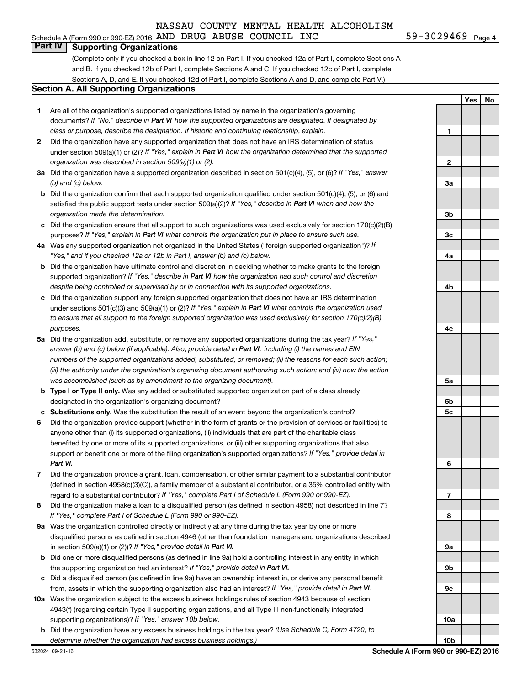### Schedule A (Form 990 or 990-EZ) 2016 AND DRUG ABUSE COUNCIL INC  $59-3029469$  Page

59-3029469 <sub>Page 4</sub>

**1**

**Yes No**

# **Part IV Supporting Organizations**

(Complete only if you checked a box in line 12 on Part I. If you checked 12a of Part I, complete Sections A and B. If you checked 12b of Part I, complete Sections A and C. If you checked 12c of Part I, complete Sections A, D, and E. If you checked 12d of Part I, complete Sections A and D, and complete Part V.)

### **Section A. All Supporting Organizations**

- **1** Are all of the organization's supported organizations listed by name in the organization's governing documents? If "No," describe in Part VI how the supported organizations are designated. If designated by *class or purpose, describe the designation. If historic and continuing relationship, explain.*
- **2** Did the organization have any supported organization that does not have an IRS determination of status under section 509(a)(1) or (2)? If "Yes," explain in Part VI how the organization determined that the supported *organization was described in section 509(a)(1) or (2).*
- **3a** Did the organization have a supported organization described in section 501(c)(4), (5), or (6)? If "Yes," answer *(b) and (c) below.*
- **b** Did the organization confirm that each supported organization qualified under section 501(c)(4), (5), or (6) and satisfied the public support tests under section 509(a)(2)? If "Yes," describe in Part VI when and how the *organization made the determination.*
- **c** Did the organization ensure that all support to such organizations was used exclusively for section 170(c)(2)(B) purposes? If "Yes," explain in Part VI what controls the organization put in place to ensure such use.
- **4 a** *If* Was any supported organization not organized in the United States ("foreign supported organization")? *"Yes," and if you checked 12a or 12b in Part I, answer (b) and (c) below.*
- **b** Did the organization have ultimate control and discretion in deciding whether to make grants to the foreign supported organization? If "Yes," describe in Part VI how the organization had such control and discretion *despite being controlled or supervised by or in connection with its supported organizations.*
- **c** Did the organization support any foreign supported organization that does not have an IRS determination under sections 501(c)(3) and 509(a)(1) or (2)? If "Yes," explain in Part VI what controls the organization used *to ensure that all support to the foreign supported organization was used exclusively for section 170(c)(2)(B) purposes.*
- **5a** Did the organization add, substitute, or remove any supported organizations during the tax year? If "Yes," answer (b) and (c) below (if applicable). Also, provide detail in Part VI, including (i) the names and EIN *numbers of the supported organizations added, substituted, or removed; (ii) the reasons for each such action; (iii) the authority under the organization's organizing document authorizing such action; and (iv) how the action was accomplished (such as by amendment to the organizing document).*
- **b** Type I or Type II only. Was any added or substituted supported organization part of a class already designated in the organization's organizing document?
- **c Substitutions only.**  Was the substitution the result of an event beyond the organization's control?
- **6** Did the organization provide support (whether in the form of grants or the provision of services or facilities) to support or benefit one or more of the filing organization's supported organizations? If "Yes," provide detail in anyone other than (i) its supported organizations, (ii) individuals that are part of the charitable class benefited by one or more of its supported organizations, or (iii) other supporting organizations that also *Part VI.*
- **7** Did the organization provide a grant, loan, compensation, or other similar payment to a substantial contributor regard to a substantial contributor? If "Yes," complete Part I of Schedule L (Form 990 or 990-EZ). (defined in section 4958(c)(3)(C)), a family member of a substantial contributor, or a 35% controlled entity with
- **8** Did the organization make a loan to a disqualified person (as defined in section 4958) not described in line 7? *If "Yes," complete Part I of Schedule L (Form 990 or 990-EZ).*
- **9 a** Was the organization controlled directly or indirectly at any time during the tax year by one or more in section 509(a)(1) or (2))? If "Yes," provide detail in Part VI. disqualified persons as defined in section 4946 (other than foundation managers and organizations described
- **b** Did one or more disqualified persons (as defined in line 9a) hold a controlling interest in any entity in which the supporting organization had an interest? If "Yes," provide detail in Part VI.
- **c** Did a disqualified person (as defined in line 9a) have an ownership interest in, or derive any personal benefit from, assets in which the supporting organization also had an interest? If "Yes," provide detail in Part VI.
- **10 a** Was the organization subject to the excess business holdings rules of section 4943 because of section supporting organizations)? If "Yes," answer 10b below. 4943(f) (regarding certain Type II supporting organizations, and all Type III non-functionally integrated
- **b** Did the organization have any excess business holdings in the tax year? (Use Schedule C, Form 4720, to *determine whether the organization had excess business holdings.)*

**2 3a 3b 3c 4a 4b 4c 5a 5b 5c 6 7 8 9a 9b 9c 10a 10b**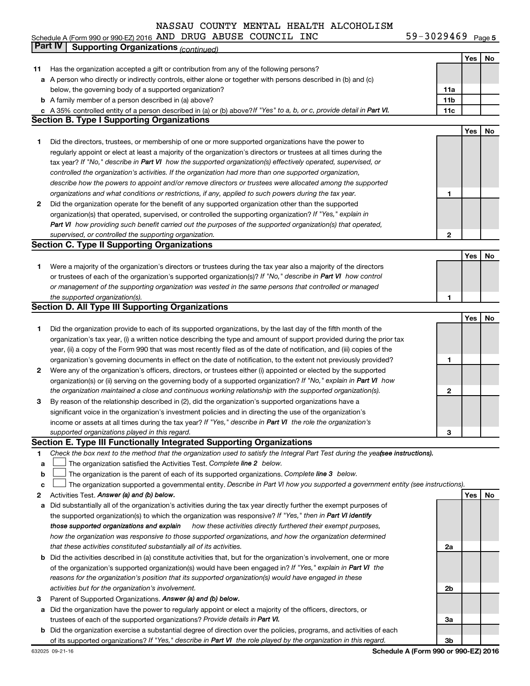#### 59-3029469 Page 5 Schedule A (Form 990 or 990-EZ) 2016 AND DRUG ABUSE COUNCILI INC 59-3UZ9469 Page AND DRUG ABUSE COUNCIL INC 59-3029469

|    | Part IV<br><b>Supporting Organizations (continued)</b>                                                                                                                                                              |                 |     |    |
|----|---------------------------------------------------------------------------------------------------------------------------------------------------------------------------------------------------------------------|-----------------|-----|----|
|    |                                                                                                                                                                                                                     |                 | Yes | No |
| 11 | Has the organization accepted a gift or contribution from any of the following persons?                                                                                                                             |                 |     |    |
|    | a A person who directly or indirectly controls, either alone or together with persons described in (b) and (c)                                                                                                      |                 |     |    |
|    | below, the governing body of a supported organization?                                                                                                                                                              | 11a             |     |    |
|    | <b>b</b> A family member of a person described in (a) above?                                                                                                                                                        | 11 <sub>b</sub> |     |    |
|    | c A 35% controlled entity of a person described in (a) or (b) above? If "Yes" to a, b, or c, provide detail in Part VI.                                                                                             | 11c             |     |    |
|    | <b>Section B. Type I Supporting Organizations</b>                                                                                                                                                                   |                 |     |    |
|    |                                                                                                                                                                                                                     |                 | Yes | No |
| 1  | Did the directors, trustees, or membership of one or more supported organizations have the power to                                                                                                                 |                 |     |    |
|    | regularly appoint or elect at least a majority of the organization's directors or trustees at all times during the                                                                                                  |                 |     |    |
|    | tax year? If "No," describe in Part VI how the supported organization(s) effectively operated, supervised, or                                                                                                       |                 |     |    |
|    | controlled the organization's activities. If the organization had more than one supported organization,                                                                                                             |                 |     |    |
|    | describe how the powers to appoint and/or remove directors or trustees were allocated among the supported                                                                                                           |                 |     |    |
|    | organizations and what conditions or restrictions, if any, applied to such powers during the tax year.                                                                                                              | 1               |     |    |
| 2  | Did the organization operate for the benefit of any supported organization other than the supported                                                                                                                 |                 |     |    |
|    | organization(s) that operated, supervised, or controlled the supporting organization? If "Yes," explain in                                                                                                          |                 |     |    |
|    | Part VI how providing such benefit carried out the purposes of the supported organization(s) that operated,                                                                                                         |                 |     |    |
|    | supervised, or controlled the supporting organization.                                                                                                                                                              | $\mathbf{2}$    |     |    |
|    | <b>Section C. Type II Supporting Organizations</b>                                                                                                                                                                  |                 |     |    |
|    |                                                                                                                                                                                                                     |                 | Yes | No |
| 1. | Were a majority of the organization's directors or trustees during the tax year also a majority of the directors                                                                                                    |                 |     |    |
|    | or trustees of each of the organization's supported organization(s)? If "No," describe in Part VI how control                                                                                                       |                 |     |    |
|    | or management of the supporting organization was vested in the same persons that controlled or managed                                                                                                              |                 |     |    |
|    | the supported organization(s).                                                                                                                                                                                      | 1               |     |    |
|    | <b>Section D. All Type III Supporting Organizations</b>                                                                                                                                                             |                 |     |    |
|    |                                                                                                                                                                                                                     |                 | Yes | No |
| 1  | Did the organization provide to each of its supported organizations, by the last day of the fifth month of the                                                                                                      |                 |     |    |
|    | organization's tax year, (i) a written notice describing the type and amount of support provided during the prior tax                                                                                               |                 |     |    |
|    | year, (ii) a copy of the Form 990 that was most recently filed as of the date of notification, and (iii) copies of the                                                                                              |                 |     |    |
|    | organization's governing documents in effect on the date of notification, to the extent not previously provided?                                                                                                    | 1               |     |    |
| 2  | Were any of the organization's officers, directors, or trustees either (i) appointed or elected by the supported                                                                                                    |                 |     |    |
|    | organization(s) or (ii) serving on the governing body of a supported organization? If "No," explain in Part VI how                                                                                                  |                 |     |    |
| 3  | the organization maintained a close and continuous working relationship with the supported organization(s).                                                                                                         | 2               |     |    |
|    | By reason of the relationship described in (2), did the organization's supported organizations have a<br>significant voice in the organization's investment policies and in directing the use of the organization's |                 |     |    |
|    | income or assets at all times during the tax year? If "Yes," describe in Part VI the role the organization's                                                                                                        |                 |     |    |
|    | supported organizations played in this regard.                                                                                                                                                                      | з               |     |    |
|    | Section E. Type III Functionally Integrated Supporting Organizations                                                                                                                                                |                 |     |    |
| 1  | Check the box next to the method that the organization used to satisfy the Integral Part Test during the yealsee instructions).                                                                                     |                 |     |    |
| a  | The organization satisfied the Activities Test. Complete line 2 below.                                                                                                                                              |                 |     |    |
| b  | The organization is the parent of each of its supported organizations. Complete line 3 below.                                                                                                                       |                 |     |    |
| c  | The organization supported a governmental entity. Describe in Part VI how you supported a government entity (see instructions).                                                                                     |                 |     |    |
| 2  | Activities Test. Answer (a) and (b) below.                                                                                                                                                                          |                 | Yes | No |
| а  | Did substantially all of the organization's activities during the tax year directly further the exempt purposes of                                                                                                  |                 |     |    |
|    | the supported organization(s) to which the organization was responsive? If "Yes," then in Part VI identify                                                                                                          |                 |     |    |
|    | how these activities directly furthered their exempt purposes,<br>those supported organizations and explain                                                                                                         |                 |     |    |
|    | how the organization was responsive to those supported organizations, and how the organization determined                                                                                                           |                 |     |    |
|    | that these activities constituted substantially all of its activities.                                                                                                                                              | 2a              |     |    |
|    | <b>b</b> Did the activities described in (a) constitute activities that, but for the organization's involvement, one or more                                                                                        |                 |     |    |
|    | of the organization's supported organization(s) would have been engaged in? If "Yes," explain in Part VI the                                                                                                        |                 |     |    |
|    | reasons for the organization's position that its supported organization(s) would have engaged in these                                                                                                              |                 |     |    |
|    | activities but for the organization's involvement.                                                                                                                                                                  | 2b              |     |    |
| З  | Parent of Supported Organizations. Answer (a) and (b) below.                                                                                                                                                        |                 |     |    |
| а  | Did the organization have the power to regularly appoint or elect a majority of the officers, directors, or                                                                                                         |                 |     |    |
|    | trustees of each of the supported organizations? Provide details in Part VI.                                                                                                                                        | За              |     |    |
| b  | Did the organization exercise a substantial degree of direction over the policies, programs, and activities of each                                                                                                 |                 |     |    |
|    | of its supported organizations? If "Yes," describe in Part VI the role played by the organization in this regard.                                                                                                   | 3b              |     |    |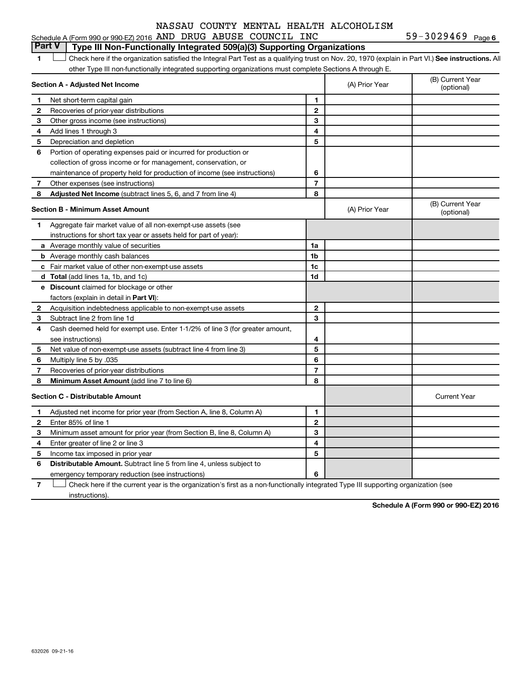|  | Schedule A (Form 990 or 990-EZ) 2016 AND DRUG ABUSE COUNCIL INC |  |  |  |  |  | 59-3029469 $Page 6$ |  |
|--|-----------------------------------------------------------------|--|--|--|--|--|---------------------|--|
|--|-----------------------------------------------------------------|--|--|--|--|--|---------------------|--|

# **Part V Type III Non-Functionally Integrated 509(a)(3) Supporting Organizations**

1 **Letter See instructions.** All Check here if the organization satisfied the Integral Part Test as a qualifying trust on Nov. 20, 1970 (explain in Part VI.) See instructions. All other Type III non-functionally integrated supporting organizations must complete Sections A through E.

|    | Section A - Adjusted Net Income                                              |                | (A) Prior Year | (B) Current Year<br>(optional) |
|----|------------------------------------------------------------------------------|----------------|----------------|--------------------------------|
| 1  | Net short-term capital gain                                                  | 1              |                |                                |
| 2  | Recoveries of prior-year distributions                                       | $\overline{2}$ |                |                                |
| З  | Other gross income (see instructions)                                        | 3              |                |                                |
| 4  | Add lines 1 through 3                                                        | 4              |                |                                |
| 5  | Depreciation and depletion                                                   | 5              |                |                                |
| 6  | Portion of operating expenses paid or incurred for production or             |                |                |                                |
|    | collection of gross income or for management, conservation, or               |                |                |                                |
|    | maintenance of property held for production of income (see instructions)     | 6              |                |                                |
| 7  | Other expenses (see instructions)                                            | $\overline{7}$ |                |                                |
| 8  | Adjusted Net Income (subtract lines 5, 6, and 7 from line 4)                 | 8              |                |                                |
|    | <b>Section B - Minimum Asset Amount</b>                                      |                | (A) Prior Year | (B) Current Year<br>(optional) |
| 1. | Aggregate fair market value of all non-exempt-use assets (see                |                |                |                                |
|    | instructions for short tax year or assets held for part of year):            |                |                |                                |
|    | a Average monthly value of securities                                        | 1a             |                |                                |
|    | <b>b</b> Average monthly cash balances                                       | 1b             |                |                                |
|    | c Fair market value of other non-exempt-use assets                           | 1c             |                |                                |
|    | d Total (add lines 1a, 1b, and 1c)                                           | 1d             |                |                                |
|    | e Discount claimed for blockage or other                                     |                |                |                                |
|    | factors (explain in detail in Part VI):                                      |                |                |                                |
| 2  | Acquisition indebtedness applicable to non-exempt-use assets                 | 2              |                |                                |
| 3  | Subtract line 2 from line 1d                                                 | 3              |                |                                |
| 4  | Cash deemed held for exempt use. Enter 1-1/2% of line 3 (for greater amount, |                |                |                                |
|    | see instructions)                                                            | 4              |                |                                |
| 5  | Net value of non-exempt-use assets (subtract line 4 from line 3)             | 5              |                |                                |
| 6  | Multiply line 5 by .035                                                      | 6              |                |                                |
| 7  | Recoveries of prior-year distributions                                       | 7              |                |                                |
| 8  | Minimum Asset Amount (add line 7 to line 6)                                  | 8              |                |                                |
|    | <b>Section C - Distributable Amount</b>                                      |                |                | <b>Current Year</b>            |
| 1  | Adjusted net income for prior year (from Section A, line 8, Column A)        | 1              |                |                                |
| 2  | Enter 85% of line 1                                                          | $\overline{2}$ |                |                                |
| 3  | Minimum asset amount for prior year (from Section B, line 8, Column A)       | 3              |                |                                |
| 4  | Enter greater of line 2 or line 3                                            | 4              |                |                                |
| 5  | Income tax imposed in prior year                                             | 5              |                |                                |
| 6  | <b>Distributable Amount.</b> Subtract line 5 from line 4, unless subject to  |                |                |                                |
|    | emergency temporary reduction (see instructions)                             | 6              |                |                                |

**7** Let Check here if the current year is the organization's first as a non-functionally integrated Type III supporting organization (see instructions).

**Schedule A (Form 990 or 990-EZ) 2016**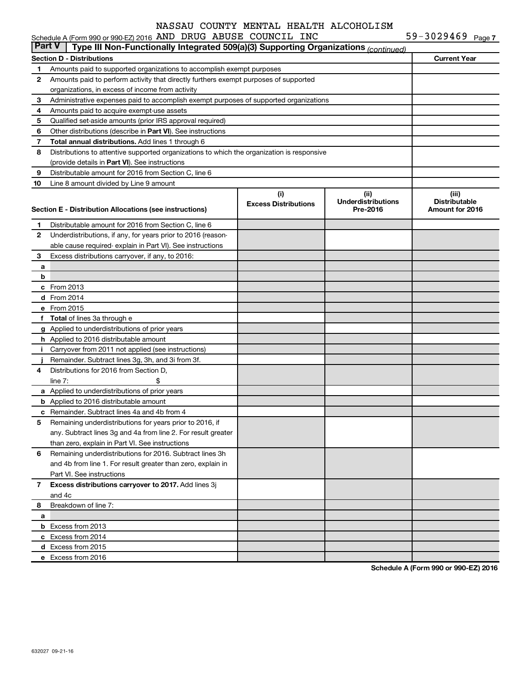|    | Part V   Type III Non-Functionally Integrated 509(a)(3) Supporting Organizations (continued) |                             |                                       |                                         |
|----|----------------------------------------------------------------------------------------------|-----------------------------|---------------------------------------|-----------------------------------------|
|    | <b>Section D - Distributions</b>                                                             |                             |                                       | <b>Current Year</b>                     |
| 1. | Amounts paid to supported organizations to accomplish exempt purposes                        |                             |                                       |                                         |
| 2  | Amounts paid to perform activity that directly furthers exempt purposes of supported         |                             |                                       |                                         |
|    | organizations, in excess of income from activity                                             |                             |                                       |                                         |
| 3  | Administrative expenses paid to accomplish exempt purposes of supported organizations        |                             |                                       |                                         |
| 4  | Amounts paid to acquire exempt-use assets                                                    |                             |                                       |                                         |
| 5  | Qualified set-aside amounts (prior IRS approval required)                                    |                             |                                       |                                         |
| 6  | Other distributions (describe in Part VI). See instructions                                  |                             |                                       |                                         |
| 7  | <b>Total annual distributions.</b> Add lines 1 through 6                                     |                             |                                       |                                         |
| 8  | Distributions to attentive supported organizations to which the organization is responsive   |                             |                                       |                                         |
|    | (provide details in Part VI). See instructions                                               |                             |                                       |                                         |
| 9  | Distributable amount for 2016 from Section C, line 6                                         |                             |                                       |                                         |
| 10 | Line 8 amount divided by Line 9 amount                                                       |                             |                                       |                                         |
|    |                                                                                              | (i)                         | (ii)                                  | (iii)                                   |
|    | Section E - Distribution Allocations (see instructions)                                      | <b>Excess Distributions</b> | <b>Underdistributions</b><br>Pre-2016 | <b>Distributable</b><br>Amount for 2016 |
|    |                                                                                              |                             |                                       |                                         |
| 1. | Distributable amount for 2016 from Section C, line 6                                         |                             |                                       |                                         |
| 2  | Underdistributions, if any, for years prior to 2016 (reason-                                 |                             |                                       |                                         |
|    | able cause required-explain in Part VI). See instructions                                    |                             |                                       |                                         |
| 3  | Excess distributions carryover, if any, to 2016:                                             |                             |                                       |                                         |
| a  |                                                                                              |                             |                                       |                                         |
| b  |                                                                                              |                             |                                       |                                         |
|    | c From 2013                                                                                  |                             |                                       |                                         |
|    | <b>d</b> From 2014                                                                           |                             |                                       |                                         |
|    | e From 2015                                                                                  |                             |                                       |                                         |
|    | f Total of lines 3a through e                                                                |                             |                                       |                                         |
|    | g Applied to underdistributions of prior years                                               |                             |                                       |                                         |
|    | <b>h</b> Applied to 2016 distributable amount                                                |                             |                                       |                                         |
| j. | Carryover from 2011 not applied (see instructions)                                           |                             |                                       |                                         |
| 4  | Remainder. Subtract lines 3g, 3h, and 3i from 3f.<br>Distributions for 2016 from Section D,  |                             |                                       |                                         |
|    | line $7:$<br>\$                                                                              |                             |                                       |                                         |
|    | a Applied to underdistributions of prior years                                               |                             |                                       |                                         |
|    | <b>b</b> Applied to 2016 distributable amount                                                |                             |                                       |                                         |
|    | <b>c</b> Remainder. Subtract lines 4a and 4b from 4                                          |                             |                                       |                                         |
| 5  | Remaining underdistributions for years prior to 2016, if                                     |                             |                                       |                                         |
|    | any. Subtract lines 3g and 4a from line 2. For result greater                                |                             |                                       |                                         |
|    | than zero, explain in Part VI. See instructions                                              |                             |                                       |                                         |
| 6  | Remaining underdistributions for 2016. Subtract lines 3h                                     |                             |                                       |                                         |
|    | and 4b from line 1. For result greater than zero, explain in                                 |                             |                                       |                                         |
|    | Part VI. See instructions                                                                    |                             |                                       |                                         |
| 7  | Excess distributions carryover to 2017. Add lines 3j                                         |                             |                                       |                                         |
|    | and 4c                                                                                       |                             |                                       |                                         |
| 8  | Breakdown of line 7:                                                                         |                             |                                       |                                         |
| a  |                                                                                              |                             |                                       |                                         |
|    | <b>b</b> Excess from 2013                                                                    |                             |                                       |                                         |
|    | c Excess from 2014                                                                           |                             |                                       |                                         |
|    | d Excess from 2015                                                                           |                             |                                       |                                         |
|    | e Excess from 2016                                                                           |                             |                                       |                                         |

**Schedule A (Form 990 or 990-EZ) 2016**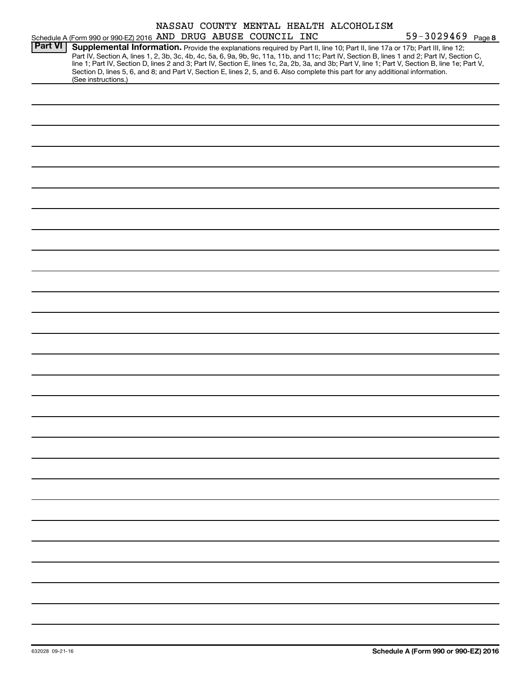|                |                                                                                                                                                                                                                                                                                         |  |  | NASSAU COUNTY MENTAL HEALTH ALCOHOLISM |                                                                                                                                                                                                                                                                                                  |  |
|----------------|-----------------------------------------------------------------------------------------------------------------------------------------------------------------------------------------------------------------------------------------------------------------------------------------|--|--|----------------------------------------|--------------------------------------------------------------------------------------------------------------------------------------------------------------------------------------------------------------------------------------------------------------------------------------------------|--|
|                | Schedule A (Form 990 or 990-EZ) 2016 AND DRUG ABUSE COUNCIL INC                                                                                                                                                                                                                         |  |  |                                        | 59-3029469 Page 8                                                                                                                                                                                                                                                                                |  |
| <b>Part VI</b> | Supplemental Information. Provide the explanations required by Part II, line 10; Part II, line 17a or 17b; Part III, line 12;<br>Section D, lines 5, 6, and 8; and Part V, Section E, lines 2, 5, and 6. Also complete this part for any additional information.<br>(See instructions.) |  |  |                                        | Part IV, Section A, lines 1, 2, 3b, 3c, 4b, 4c, 5a, 6, 9a, 9b, 9c, 11a, 11b, and 11c; Part IV, Section B, lines 1 and 2; Part IV, Section C,<br>line 1; Part IV, Section D, lines 2 and 3; Part IV, Section E, lines 1c, 2a, 2b, 3a, and 3b; Part V, line 1; Part V, Section B, line 1e; Part V, |  |
|                |                                                                                                                                                                                                                                                                                         |  |  |                                        |                                                                                                                                                                                                                                                                                                  |  |
|                |                                                                                                                                                                                                                                                                                         |  |  |                                        |                                                                                                                                                                                                                                                                                                  |  |
|                |                                                                                                                                                                                                                                                                                         |  |  |                                        |                                                                                                                                                                                                                                                                                                  |  |
|                |                                                                                                                                                                                                                                                                                         |  |  |                                        |                                                                                                                                                                                                                                                                                                  |  |
|                |                                                                                                                                                                                                                                                                                         |  |  |                                        |                                                                                                                                                                                                                                                                                                  |  |
|                |                                                                                                                                                                                                                                                                                         |  |  |                                        |                                                                                                                                                                                                                                                                                                  |  |
|                |                                                                                                                                                                                                                                                                                         |  |  |                                        |                                                                                                                                                                                                                                                                                                  |  |
|                |                                                                                                                                                                                                                                                                                         |  |  |                                        |                                                                                                                                                                                                                                                                                                  |  |
|                |                                                                                                                                                                                                                                                                                         |  |  |                                        |                                                                                                                                                                                                                                                                                                  |  |
|                |                                                                                                                                                                                                                                                                                         |  |  |                                        |                                                                                                                                                                                                                                                                                                  |  |
|                |                                                                                                                                                                                                                                                                                         |  |  |                                        |                                                                                                                                                                                                                                                                                                  |  |
|                |                                                                                                                                                                                                                                                                                         |  |  |                                        |                                                                                                                                                                                                                                                                                                  |  |
|                |                                                                                                                                                                                                                                                                                         |  |  |                                        |                                                                                                                                                                                                                                                                                                  |  |
|                |                                                                                                                                                                                                                                                                                         |  |  |                                        |                                                                                                                                                                                                                                                                                                  |  |
|                |                                                                                                                                                                                                                                                                                         |  |  |                                        |                                                                                                                                                                                                                                                                                                  |  |
|                |                                                                                                                                                                                                                                                                                         |  |  |                                        |                                                                                                                                                                                                                                                                                                  |  |
|                |                                                                                                                                                                                                                                                                                         |  |  |                                        |                                                                                                                                                                                                                                                                                                  |  |
|                |                                                                                                                                                                                                                                                                                         |  |  |                                        |                                                                                                                                                                                                                                                                                                  |  |
|                |                                                                                                                                                                                                                                                                                         |  |  |                                        |                                                                                                                                                                                                                                                                                                  |  |
|                |                                                                                                                                                                                                                                                                                         |  |  |                                        |                                                                                                                                                                                                                                                                                                  |  |
|                |                                                                                                                                                                                                                                                                                         |  |  |                                        |                                                                                                                                                                                                                                                                                                  |  |
|                |                                                                                                                                                                                                                                                                                         |  |  |                                        |                                                                                                                                                                                                                                                                                                  |  |
|                |                                                                                                                                                                                                                                                                                         |  |  |                                        |                                                                                                                                                                                                                                                                                                  |  |
|                |                                                                                                                                                                                                                                                                                         |  |  |                                        |                                                                                                                                                                                                                                                                                                  |  |
|                |                                                                                                                                                                                                                                                                                         |  |  |                                        |                                                                                                                                                                                                                                                                                                  |  |
|                |                                                                                                                                                                                                                                                                                         |  |  |                                        |                                                                                                                                                                                                                                                                                                  |  |
|                |                                                                                                                                                                                                                                                                                         |  |  |                                        |                                                                                                                                                                                                                                                                                                  |  |
|                |                                                                                                                                                                                                                                                                                         |  |  |                                        |                                                                                                                                                                                                                                                                                                  |  |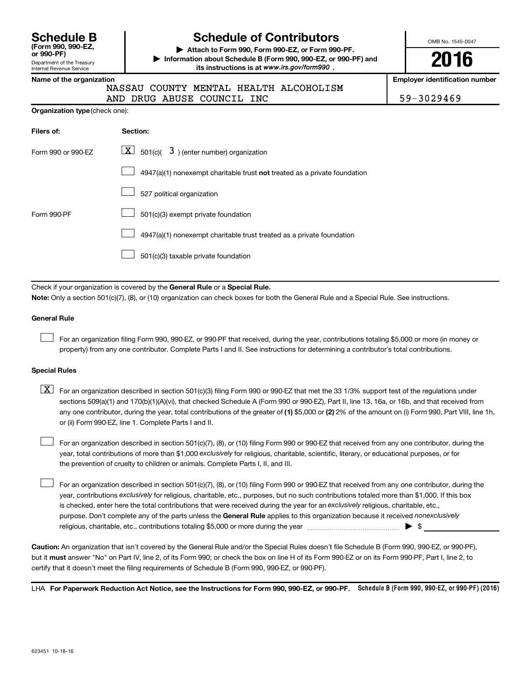Department of the Treasury Internal Revenue Service **(Form 990, 990-EZ,**

# **Schedule B Schedule of Contributors**

**or 990-PF) | Attach to Form 990, Form 990-EZ, or Form 990-PF. | Information about Schedule B (Form 990, 990-EZ, or 990-PF) and** its instructions is at www.irs.gov/form990.

OMB No. 1545-0047

**2016**

**Name of the organization Employer identification number**

**Organization type** (check one):

### NASSAU COUNTY MENTAL HEALTH ALCOHOLISM

AND DRUG ABUSE COUNCIL INC  $\vert$  59-3029469

| Filers of:         | Section:                                                                           |
|--------------------|------------------------------------------------------------------------------------|
| Form 990 or 990-EZ | $\lfloor x \rfloor$ 501(c)( 3) (enter number) organization                         |
|                    | $4947(a)(1)$ nonexempt charitable trust <b>not</b> treated as a private foundation |
|                    | 527 political organization                                                         |
| Form 990-PF        | 501(c)(3) exempt private foundation                                                |
|                    | 4947(a)(1) nonexempt charitable trust treated as a private foundation              |
|                    | 501(c)(3) taxable private foundation                                               |

Check if your organization is covered by the General Rule or a Special Rule.

**Note:**  Only a section 501(c)(7), (8), or (10) organization can check boxes for both the General Rule and a Special Rule. See instructions.

### **General Rule**

 $\Box$ 

 $\Box$ 

For an organization filing Form 990, 990-EZ, or 990-PF that received, during the year, contributions totaling \$5,000 or more (in money or property) from any one contributor. Complete Parts I and II. See instructions for determining a contributor's total contributions.

#### **Special Rules**

any one contributor, during the year, total contributions of the greater of **(1)** \$5,000 or **(2)** 2% of the amount on (i) Form 990, Part VIII, line 1h,  $\boxed{\text{X}}$  For an organization described in section 501(c)(3) filing Form 990 or 990-EZ that met the 33 1/3% support test of the regulations under sections 509(a)(1) and 170(b)(1)(A)(vi), that checked Schedule A (Form 990 or 990-EZ), Part II, line 13, 16a, or 16b, and that received from or (ii) Form 990-EZ, line 1. Complete Parts I and II.

year, total contributions of more than \$1,000 *exclusively* for religious, charitable, scientific, literary, or educational purposes, or for For an organization described in section 501(c)(7), (8), or (10) filing Form 990 or 990-EZ that received from any one contributor, during the the prevention of cruelty to children or animals. Complete Parts I, II, and III.  $\Box$ 

purpose. Don't complete any of the parts unless the General Rule applies to this organization because it received nonexclusively year, contributions exclusively for religious, charitable, etc., purposes, but no such contributions totaled more than \$1,000. If this box is checked, enter here the total contributions that were received during the year for an exclusively religious, charitable, etc., For an organization described in section 501(c)(7), (8), or (10) filing Form 990 or 990-EZ that received from any one contributor, during the religious, charitable, etc., contributions totaling \$5,000 or more during the year  $\ldots$  $\ldots$  $\ldots$  $\ldots$  $\ldots$  $\ldots$ 

**Caution:**  An organization that isn't covered by the General Rule and/or the Special Rules doesn't file Schedule B (Form 990, 990-EZ, or 990-PF),  **must** but it answer "No" on Part IV, line 2, of its Form 990; or check the box on line H of its Form 990-EZ or on its Form 990-PF, Part I, line 2, to certify that it doesn't meet the filing requirements of Schedule B (Form 990, 990-EZ, or 990-PF).

LHA For Paperwork Reduction Act Notice, see the Instructions for Form 990, 990-EZ, or 990-PF. Schedule B (Form 990, 990-EZ, or 990-PF) (2016)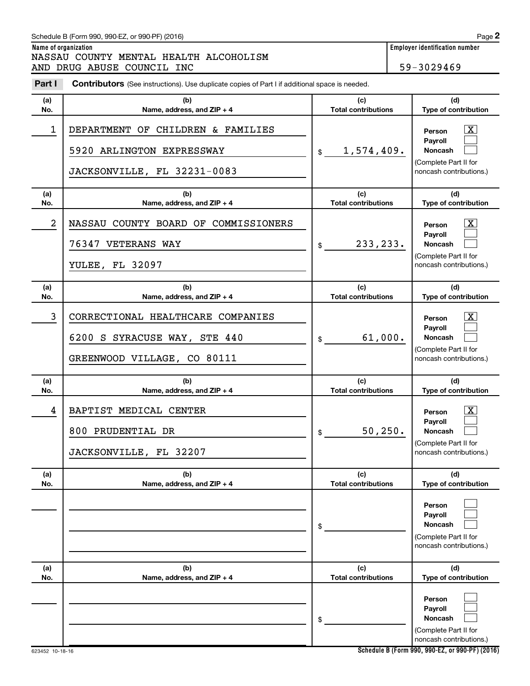### Schedule B (Form 990, 990-EZ, or 990-PF) (2016)

**Name of organization Employer identification number**

NASSAU COUNTY MENTAL HEALTH ALCOHOLISM AND DRUG ABUSE COUNCIL INC 59-3029469

| Part I     | <b>Contributors</b> (See instructions). Use duplicate copies of Part I if additional space is needed. |                                              |                                                                                                                                 |
|------------|-------------------------------------------------------------------------------------------------------|----------------------------------------------|---------------------------------------------------------------------------------------------------------------------------------|
| (a)<br>No. | (b)<br>Name, address, and ZIP + 4                                                                     | (c)<br><b>Total contributions</b>            | (d)<br>Type of contribution                                                                                                     |
| 1          | DEPARTMENT OF CHILDREN & FAMILIES<br>5920 ARLINGTON EXPRESSWAY<br>JACKSONVILLE, FL 32231-0083         | 1,574,409.<br>\$                             | $\mathbf{X}$<br>Person<br>Payroll<br><b>Noncash</b><br>(Complete Part II for<br>noncash contributions.)                         |
| (a)<br>No. | (b)<br>Name, address, and ZIP + 4                                                                     | (c)<br><b>Total contributions</b>            | (d)<br>Type of contribution                                                                                                     |
| 2          | NASSAU COUNTY BOARD OF COMMISSIONERS<br>76347 VETERANS WAY<br>YULEE, FL 32097                         | 233, 233.<br>\$                              | $\overline{\mathbf{X}}$<br>Person<br>Payroll<br><b>Noncash</b><br>(Complete Part II for<br>noncash contributions.)              |
| (a)<br>No. | (b)<br>Name, address, and ZIP + 4                                                                     | (c)<br><b>Total contributions</b>            | (d)<br>Type of contribution                                                                                                     |
| 3          | CORRECTIONAL HEALTHCARE COMPANIES<br>6200 S SYRACUSE WAY, STE 440<br>GREENWOOD VILLAGE, CO 80111      | 61,000.<br>\$                                | $\mathbf{X}$<br>Person<br><b>Pavroll</b><br><b>Noncash</b><br>(Complete Part II for<br>noncash contributions.)                  |
| (a)        | (b)                                                                                                   | (c)                                          | (d)                                                                                                                             |
| No.<br>4   | Name, address, and ZIP + 4<br>BAPTIST MEDICAL CENTER<br>800 PRUDENTIAL DR<br>JACKSONVILLE, FL 32207   | <b>Total contributions</b><br>50, 250.<br>\$ | Type of contribution<br>$\mathbf{X}$<br>Person<br>Payroll<br><b>Noncash</b><br>(Complete Part II for<br>noncash contributions.) |
| (a)<br>No. | (b)<br>Name, address, and ZIP + 4                                                                     | (c)<br><b>Total contributions</b>            | (d)<br>Type of contribution                                                                                                     |
|            |                                                                                                       | \$                                           | Person<br><b>Payroll</b><br><b>Noncash</b><br>(Complete Part II for<br>noncash contributions.)                                  |
| (a)<br>No. | (b)<br>Name, address, and ZIP + 4                                                                     | (c)<br><b>Total contributions</b>            | (d)<br>Type of contribution                                                                                                     |
|            |                                                                                                       | \$                                           | Person<br><b>Payroll</b><br><b>Noncash</b><br>(Complete Part II for<br>noncash contributions.)                                  |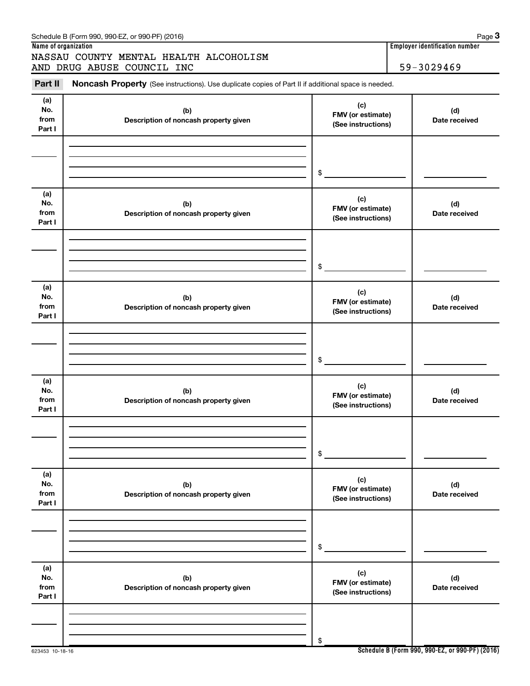| (d)<br>No.<br>from<br>Part I | (b)<br>Description of noncash property given | (c)<br>FMV (or estimate)<br>(See instructions) | (d)<br>Date received |
|------------------------------|----------------------------------------------|------------------------------------------------|----------------------|
|                              |                                              | \$                                             |                      |
| (a)<br>No.<br>from<br>Part I | (b)<br>Description of noncash property given | (c)<br>FMV (or estimate)<br>(See instructions) | (d)<br>Date received |
|                              |                                              | \$                                             |                      |
| (a)<br>No.<br>from<br>Part I | (b)<br>Description of noncash property given | (c)<br>FMV (or estimate)<br>(See instructions) | (d)<br>Date received |
|                              |                                              | \$                                             |                      |
| (a)<br>No.<br>from<br>Part I | (b)<br>Description of noncash property given | (c)<br>FMV (or estimate)<br>(See instructions) | (d)<br>Date received |
|                              |                                              | \$                                             |                      |
| (a)<br>No.<br>from<br>Part I | (b)<br>Description of noncash property given | (c)<br>FMV (or estimate)<br>(See instructions) | (d)<br>Date received |
|                              |                                              | \$                                             |                      |
| (a)<br>No.<br>from<br>Part I | (b)<br>Description of noncash property given | (c)<br>FMV (or estimate)<br>(See instructions) | (d)<br>Date received |
|                              |                                              | \$                                             | 0.0000110001         |

# Schedule B (Form 990, 990-EZ, or 990-PF) (2016)

**(a)**

NASSAU COUNTY MENTAL HEALTH ALCOHOLISM AND DRUG ABUSE COUNCIL INC 59-3029469

Part II Noncash Property (See instructions). Use duplicate copies of Part II if additional space is needed.

**Name of organization Employer identification number**

**Schedule B (Form 990, 990-EZ, or 990-PF) (2016)**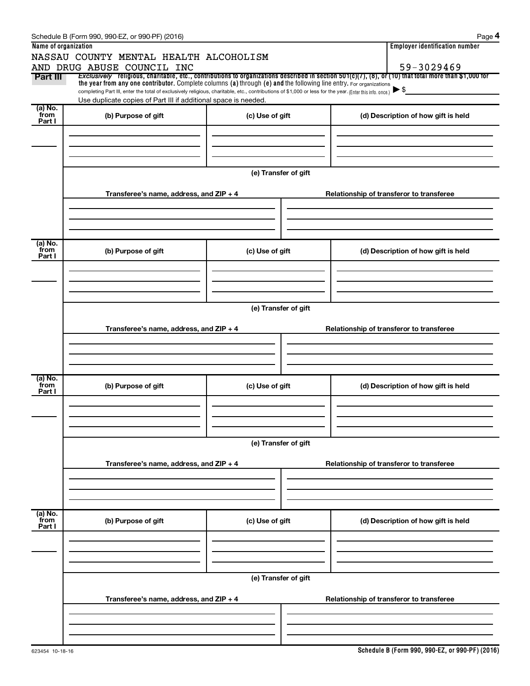| Name of organization      | Schedule B (Form 990, 990-EZ, or 990-PF) (2016)                                                                                                                                                                                                                                 |                                          | <b>Employer identification number</b>                                                                                                                    | Page 4 |  |  |  |  |
|---------------------------|---------------------------------------------------------------------------------------------------------------------------------------------------------------------------------------------------------------------------------------------------------------------------------|------------------------------------------|----------------------------------------------------------------------------------------------------------------------------------------------------------|--------|--|--|--|--|
|                           | NASSAU COUNTY MENTAL HEALTH ALCOHOLISM<br>AND DRUG ABUSE COUNCIL INC                                                                                                                                                                                                            |                                          | 59-3029469                                                                                                                                               |        |  |  |  |  |
| Part III                  | the year from any one contributor. Complete columns (a) through (e) and the following line entry. For organizations<br>completing Part III, enter the total of exclusively religious, charitable, etc., contributions of \$1,000 or less for the year. (Enter this info. once.) |                                          | Exclusively religious, charitable, etc., contributions to organizations described in section $501(c)(7)$ , (8), or (10) that total more than \$1,000 for |        |  |  |  |  |
|                           | Use duplicate copies of Part III if additional space is needed.                                                                                                                                                                                                                 |                                          |                                                                                                                                                          |        |  |  |  |  |
| (a) No.<br>from<br>Part I | (b) Purpose of gift                                                                                                                                                                                                                                                             | (c) Use of gift                          | (d) Description of how gift is held                                                                                                                      |        |  |  |  |  |
|                           |                                                                                                                                                                                                                                                                                 |                                          |                                                                                                                                                          |        |  |  |  |  |
|                           |                                                                                                                                                                                                                                                                                 | (e) Transfer of gift                     |                                                                                                                                                          |        |  |  |  |  |
|                           | Transferee's name, address, and ZIP + 4                                                                                                                                                                                                                                         | Relationship of transferor to transferee |                                                                                                                                                          |        |  |  |  |  |
|                           |                                                                                                                                                                                                                                                                                 |                                          |                                                                                                                                                          |        |  |  |  |  |
| (a) No.<br>from<br>Part I | (b) Purpose of gift                                                                                                                                                                                                                                                             | (c) Use of gift                          | (d) Description of how gift is held                                                                                                                      |        |  |  |  |  |
|                           |                                                                                                                                                                                                                                                                                 |                                          |                                                                                                                                                          |        |  |  |  |  |
|                           | (e) Transfer of gift                                                                                                                                                                                                                                                            |                                          |                                                                                                                                                          |        |  |  |  |  |
|                           | Transferee's name, address, and ZIP + 4                                                                                                                                                                                                                                         |                                          | Relationship of transferor to transferee                                                                                                                 |        |  |  |  |  |
|                           |                                                                                                                                                                                                                                                                                 |                                          |                                                                                                                                                          |        |  |  |  |  |
| (a) No.<br>from<br>Part I | (b) Purpose of gift                                                                                                                                                                                                                                                             | (c) Use of gift                          | (d) Description of how gift is held                                                                                                                      |        |  |  |  |  |
|                           |                                                                                                                                                                                                                                                                                 |                                          |                                                                                                                                                          |        |  |  |  |  |
|                           | (e) Transfer of gift                                                                                                                                                                                                                                                            |                                          |                                                                                                                                                          |        |  |  |  |  |
|                           | Transferee's name, address, and ZIP + 4                                                                                                                                                                                                                                         |                                          | Relationship of transferor to transferee                                                                                                                 |        |  |  |  |  |
|                           |                                                                                                                                                                                                                                                                                 |                                          |                                                                                                                                                          |        |  |  |  |  |
| (a) No.<br>from<br>Part I | (b) Purpose of gift                                                                                                                                                                                                                                                             | (c) Use of gift                          | (d) Description of how gift is held                                                                                                                      |        |  |  |  |  |
|                           |                                                                                                                                                                                                                                                                                 |                                          |                                                                                                                                                          |        |  |  |  |  |
|                           | (e) Transfer of gift                                                                                                                                                                                                                                                            |                                          |                                                                                                                                                          |        |  |  |  |  |
|                           | Transferee's name, address, and ZIP + 4                                                                                                                                                                                                                                         |                                          | Relationship of transferor to transferee                                                                                                                 |        |  |  |  |  |
|                           |                                                                                                                                                                                                                                                                                 |                                          |                                                                                                                                                          |        |  |  |  |  |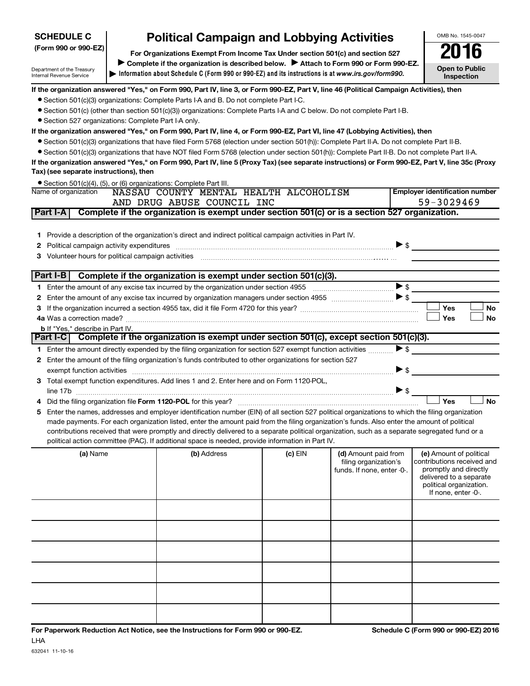# **SCHEDULE C**

Department of the Treasury Internal Revenue Service

# **Political Campaign and Lobbying Activities**<br> **Drganizations Exempt From Income Tax Under section 501(c) and section 527**

**Information about Schedule C (Form 990 or 990-EZ) and its instructions is at |**  *www.irs.gov/form990.* **(Form 990 or 990-EZ) For Organizations Exempt From Income Tax Under section 501(c) and section 527** Complete if the organization is described below. > Attach to Form 990 or Form 990-EZ. OMB No. 1545-0047 **Open to Public Inspection**

**If the organization answered "Yes," on Form 990, Part IV, line 3, or Form 990-EZ, Part V, line 46 (Political Campaign Activities), then**

- Section 501(c)(3) organizations: Complete Parts I-A and B. Do not complete Part I-C.
- Section 501(c) (other than section 501(c)(3)) organizations: Complete Parts I-A and C below. Do not complete Part I-B.
- Section 527 organizations: Complete Part I-A only.

### **If the organization answered "Yes," on Form 990, Part IV, line 4, or Form 990-EZ, Part VI, line 47 (Lobbying Activities), then**

- Section 501(c)(3) organizations that have filed Form 5768 (election under section 501(h)): Complete Part II-A. Do not complete Part II-B.
- Section 501(c)(3) organizations that have NOT filed Form 5768 (election under section 501(h)): Complete Part II-B. Do not complete Part II-A.

**If the organization answered "Yes," on Form 990, Part IV, line 5 (Proxy Tax) (see separate instructions) or Form 990-EZ, Part V, line 35c (Proxy Tax) (see separate instructions), then**

• Section 501(c)(4), (5), or (6) organizations: Complete Part III.

|          | Name of organization                    | NASSAU COUNTY MENTAL HEALTH ALCOHOLISM                                                                                                                                                                                                                                                                                                                                                                                             |           |                                                                             | <b>Employer identification number</b>                                                                                                                       |
|----------|-----------------------------------------|------------------------------------------------------------------------------------------------------------------------------------------------------------------------------------------------------------------------------------------------------------------------------------------------------------------------------------------------------------------------------------------------------------------------------------|-----------|-----------------------------------------------------------------------------|-------------------------------------------------------------------------------------------------------------------------------------------------------------|
|          |                                         | AND DRUG ABUSE COUNCIL INC                                                                                                                                                                                                                                                                                                                                                                                                         |           |                                                                             | 59-3029469                                                                                                                                                  |
| Part I-A |                                         | Complete if the organization is exempt under section 501(c) or is a section 527 organization.                                                                                                                                                                                                                                                                                                                                      |           |                                                                             |                                                                                                                                                             |
|          |                                         | 1 Provide a description of the organization's direct and indirect political campaign activities in Part IV.<br>2 Political campaign activity expenditures material content content content of \$<br>3 Volunteer hours for political campaign activities [11] [12] Martin Martin Martin Martin Martin Martin Martin Martin Martin Martin Martin Martin Martin Martin Martin Martin Martin Martin Martin Martin Martin Martin Martin |           |                                                                             |                                                                                                                                                             |
| Part I-B |                                         | Complete if the organization is exempt under section 501(c)(3).                                                                                                                                                                                                                                                                                                                                                                    |           |                                                                             |                                                                                                                                                             |
|          |                                         |                                                                                                                                                                                                                                                                                                                                                                                                                                    |           |                                                                             |                                                                                                                                                             |
|          |                                         |                                                                                                                                                                                                                                                                                                                                                                                                                                    |           |                                                                             |                                                                                                                                                             |
|          |                                         |                                                                                                                                                                                                                                                                                                                                                                                                                                    |           |                                                                             | Yes<br><b>No</b>                                                                                                                                            |
|          |                                         |                                                                                                                                                                                                                                                                                                                                                                                                                                    |           |                                                                             | Yes<br><b>No</b>                                                                                                                                            |
|          | <b>b</b> If "Yes," describe in Part IV. |                                                                                                                                                                                                                                                                                                                                                                                                                                    |           |                                                                             |                                                                                                                                                             |
|          |                                         | Part I-C Complete if the organization is exempt under section 501(c), except section 501(c)(3).                                                                                                                                                                                                                                                                                                                                    |           |                                                                             |                                                                                                                                                             |
|          |                                         | 1 Enter the amount directly expended by the filing organization for section 527 exempt function activities                                                                                                                                                                                                                                                                                                                         |           |                                                                             | >                                                                                                                                                           |
|          |                                         | 2 Enter the amount of the filing organization's funds contributed to other organizations for section 527                                                                                                                                                                                                                                                                                                                           |           |                                                                             |                                                                                                                                                             |
|          |                                         | exempt function activities material content and activities and activities are activities and activities and activities and activities and activities and activities and activities and activities and activities and activitie                                                                                                                                                                                                     |           | $\triangleright$ \$                                                         |                                                                                                                                                             |
|          |                                         | 3 Total exempt function expenditures. Add lines 1 and 2. Enter here and on Form 1120-POL,                                                                                                                                                                                                                                                                                                                                          |           |                                                                             |                                                                                                                                                             |
|          |                                         |                                                                                                                                                                                                                                                                                                                                                                                                                                    |           |                                                                             |                                                                                                                                                             |
|          |                                         |                                                                                                                                                                                                                                                                                                                                                                                                                                    |           |                                                                             | Yes<br><b>No</b>                                                                                                                                            |
| 5        |                                         | Enter the names, addresses and employer identification number (EIN) of all section 527 political organizations to which the filing organization                                                                                                                                                                                                                                                                                    |           |                                                                             |                                                                                                                                                             |
|          |                                         | made payments. For each organization listed, enter the amount paid from the filing organization's funds. Also enter the amount of political                                                                                                                                                                                                                                                                                        |           |                                                                             |                                                                                                                                                             |
|          |                                         | contributions received that were promptly and directly delivered to a separate political organization, such as a separate segregated fund or a<br>political action committee (PAC). If additional space is needed, provide information in Part IV.                                                                                                                                                                                 |           |                                                                             |                                                                                                                                                             |
|          |                                         |                                                                                                                                                                                                                                                                                                                                                                                                                                    |           |                                                                             |                                                                                                                                                             |
|          | (a) Name                                | (b) Address                                                                                                                                                                                                                                                                                                                                                                                                                        | $(c)$ EIN | (d) Amount paid from<br>filing organization's<br>funds. If none, enter -0-. | (e) Amount of political<br>contributions received and<br>promptly and directly<br>delivered to a separate<br>political organization.<br>If none, enter -0-. |
|          |                                         |                                                                                                                                                                                                                                                                                                                                                                                                                                    |           |                                                                             |                                                                                                                                                             |
|          |                                         |                                                                                                                                                                                                                                                                                                                                                                                                                                    |           |                                                                             |                                                                                                                                                             |
|          |                                         |                                                                                                                                                                                                                                                                                                                                                                                                                                    |           |                                                                             |                                                                                                                                                             |
|          |                                         |                                                                                                                                                                                                                                                                                                                                                                                                                                    |           |                                                                             |                                                                                                                                                             |
|          |                                         |                                                                                                                                                                                                                                                                                                                                                                                                                                    |           |                                                                             |                                                                                                                                                             |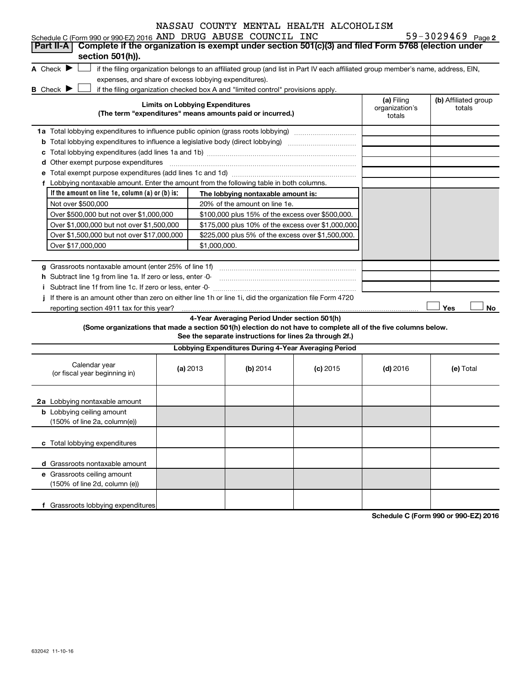59-3029469 Page 2

| Schedule C (Form 990 or 990-EZ) 2016 AND DRUG ABUSE COUNCIL INC                                                                                 |                                        |                                                                                  |                                                                                                                                   |                              | 59-3029469 $_{Page 2}$               |
|-------------------------------------------------------------------------------------------------------------------------------------------------|----------------------------------------|----------------------------------------------------------------------------------|-----------------------------------------------------------------------------------------------------------------------------------|------------------------------|--------------------------------------|
| Complete if the organization is exempt under section 501(c)(3) and filed Form 5768 (election under<br><b>Part II-A</b>                          |                                        |                                                                                  |                                                                                                                                   |                              |                                      |
| section 501(h)).                                                                                                                                |                                        |                                                                                  |                                                                                                                                   |                              |                                      |
| A Check $\blacktriangleright$                                                                                                                   |                                        |                                                                                  | if the filing organization belongs to an affiliated group (and list in Part IV each affiliated group member's name, address, EIN, |                              |                                      |
| expenses, and share of excess lobbying expenditures).                                                                                           |                                        |                                                                                  |                                                                                                                                   |                              |                                      |
| <b>B</b> Check $\blacktriangleright$                                                                                                            |                                        | if the filing organization checked box A and "limited control" provisions apply. |                                                                                                                                   |                              |                                      |
|                                                                                                                                                 | <b>Limits on Lobbying Expenditures</b> |                                                                                  |                                                                                                                                   | (a) Filing<br>organization's | (b) Affiliated group                 |
|                                                                                                                                                 |                                        | (The term "expenditures" means amounts paid or incurred.)                        |                                                                                                                                   | totals                       | totals                               |
|                                                                                                                                                 |                                        |                                                                                  |                                                                                                                                   |                              |                                      |
|                                                                                                                                                 |                                        |                                                                                  |                                                                                                                                   |                              |                                      |
|                                                                                                                                                 |                                        |                                                                                  |                                                                                                                                   |                              |                                      |
|                                                                                                                                                 |                                        |                                                                                  |                                                                                                                                   |                              |                                      |
| d Other exempt purpose expenditures                                                                                                             |                                        |                                                                                  |                                                                                                                                   |                              |                                      |
|                                                                                                                                                 |                                        |                                                                                  |                                                                                                                                   |                              |                                      |
| f Lobbying nontaxable amount. Enter the amount from the following table in both columns.<br>If the amount on line 1e, column $(a)$ or $(b)$ is: |                                        |                                                                                  |                                                                                                                                   |                              |                                      |
| Not over \$500,000                                                                                                                              |                                        | The lobbying nontaxable amount is:<br>20% of the amount on line 1e.              |                                                                                                                                   |                              |                                      |
| Over \$500,000 but not over \$1,000,000                                                                                                         |                                        | \$100,000 plus 15% of the excess over \$500,000.                                 |                                                                                                                                   |                              |                                      |
| Over \$1,000,000 but not over \$1,500,000                                                                                                       |                                        | \$175,000 plus 10% of the excess over \$1,000,000                                |                                                                                                                                   |                              |                                      |
| Over \$1,500,000 but not over \$17,000,000                                                                                                      |                                        | \$225,000 plus 5% of the excess over \$1,500,000.                                |                                                                                                                                   |                              |                                      |
| Over \$17,000,000                                                                                                                               | \$1,000,000.                           |                                                                                  |                                                                                                                                   |                              |                                      |
|                                                                                                                                                 |                                        |                                                                                  |                                                                                                                                   |                              |                                      |
| g Grassroots nontaxable amount (enter 25% of line 1f)                                                                                           |                                        |                                                                                  |                                                                                                                                   |                              |                                      |
| h Subtract line 1g from line 1a. If zero or less, enter -0-                                                                                     |                                        |                                                                                  |                                                                                                                                   |                              |                                      |
|                                                                                                                                                 |                                        |                                                                                  |                                                                                                                                   |                              |                                      |
| j If there is an amount other than zero on either line 1h or line 1i, did the organization file Form 4720                                       |                                        |                                                                                  |                                                                                                                                   |                              |                                      |
| reporting section 4911 tax for this year?                                                                                                       |                                        |                                                                                  |                                                                                                                                   |                              | Yes<br>No                            |
|                                                                                                                                                 |                                        | 4-Year Averaging Period Under section 501(h)                                     |                                                                                                                                   |                              |                                      |
| (Some organizations that made a section 501(h) election do not have to complete all of the five columns below.                                  |                                        |                                                                                  |                                                                                                                                   |                              |                                      |
|                                                                                                                                                 |                                        | See the separate instructions for lines 2a through 2f.)                          |                                                                                                                                   |                              |                                      |
|                                                                                                                                                 |                                        | Lobbying Expenditures During 4-Year Averaging Period                             |                                                                                                                                   |                              |                                      |
| Calendar year                                                                                                                                   | (a) 2013                               | (b) 2014                                                                         | $(c)$ 2015                                                                                                                        | $(d)$ 2016                   |                                      |
| (or fiscal year beginning in)                                                                                                                   |                                        |                                                                                  |                                                                                                                                   |                              | (e) Total                            |
|                                                                                                                                                 |                                        |                                                                                  |                                                                                                                                   |                              |                                      |
| 2a Lobbying nontaxable amount                                                                                                                   |                                        |                                                                                  |                                                                                                                                   |                              |                                      |
| <b>b</b> Lobbying ceiling amount                                                                                                                |                                        |                                                                                  |                                                                                                                                   |                              |                                      |
| (150% of line 2a, column(e))                                                                                                                    |                                        |                                                                                  |                                                                                                                                   |                              |                                      |
|                                                                                                                                                 |                                        |                                                                                  |                                                                                                                                   |                              |                                      |
| c Total lobbying expenditures                                                                                                                   |                                        |                                                                                  |                                                                                                                                   |                              |                                      |
|                                                                                                                                                 |                                        |                                                                                  |                                                                                                                                   |                              |                                      |
| d Grassroots nontaxable amount                                                                                                                  |                                        |                                                                                  |                                                                                                                                   |                              |                                      |
| e Grassroots ceiling amount                                                                                                                     |                                        |                                                                                  |                                                                                                                                   |                              |                                      |
| (150% of line 2d, column (e))                                                                                                                   |                                        |                                                                                  |                                                                                                                                   |                              |                                      |
|                                                                                                                                                 |                                        |                                                                                  |                                                                                                                                   |                              |                                      |
| f Grassroots lobbying expenditures                                                                                                              |                                        |                                                                                  |                                                                                                                                   |                              |                                      |
|                                                                                                                                                 |                                        |                                                                                  |                                                                                                                                   |                              | Schedule C (Form 990 or 990-EZ) 2016 |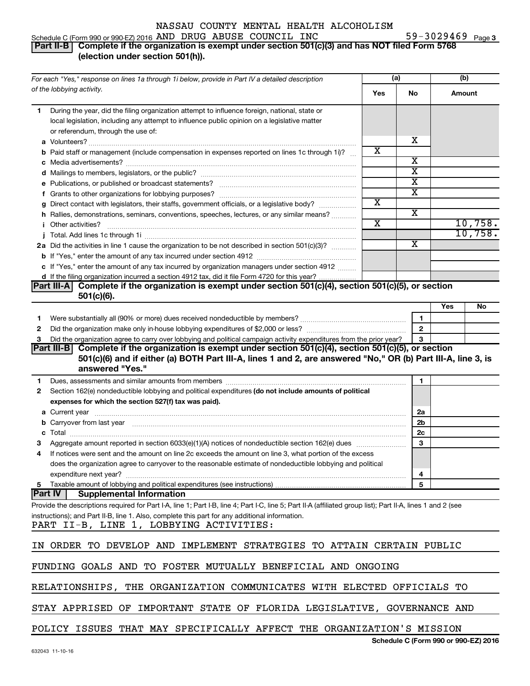#### 59-3029469 Page 3 Schedule C (Form 990 or 990-EZ) 2016 AND DRUG ABUSE COUNCILI INC 59-3UZ9469 Page **Part II-B Complete if the organization is exempt under section 501(c)(3) and has NOT filed Form 5768 (election under section 501(h)).** AND DRUG ABUSE COUNCIL INC 59-3029469

| For each "Yes," response on lines 1a through 1i below, provide in Part IV a detailed description                                                                                                                                    | (a)                     |                                                | (b)    |                                      |  |  |  |  |
|-------------------------------------------------------------------------------------------------------------------------------------------------------------------------------------------------------------------------------------|-------------------------|------------------------------------------------|--------|--------------------------------------|--|--|--|--|
| of the lobbying activity.                                                                                                                                                                                                           | Yes                     | No                                             | Amount |                                      |  |  |  |  |
| During the year, did the filing organization attempt to influence foreign, national, state or<br>1<br>local legislation, including any attempt to influence public opinion on a legislative matter                                  |                         |                                                |        |                                      |  |  |  |  |
| or referendum, through the use of:                                                                                                                                                                                                  |                         |                                                |        |                                      |  |  |  |  |
|                                                                                                                                                                                                                                     | $\overline{\textbf{x}}$ | x                                              |        |                                      |  |  |  |  |
| <b>b</b> Paid staff or management (include compensation in expenses reported on lines 1c through 1i)?                                                                                                                               |                         | X                                              |        |                                      |  |  |  |  |
|                                                                                                                                                                                                                                     |                         |                                                |        |                                      |  |  |  |  |
|                                                                                                                                                                                                                                     |                         | $\overline{\text{x}}$<br>$\overline{\text{x}}$ |        |                                      |  |  |  |  |
|                                                                                                                                                                                                                                     |                         | X                                              |        |                                      |  |  |  |  |
|                                                                                                                                                                                                                                     | $\overline{\text{x}}$   |                                                |        |                                      |  |  |  |  |
| g Direct contact with legislators, their staffs, government officials, or a legislative body?<br>h Rallies, demonstrations, seminars, conventions, speeches, lectures, or any similar means?                                        |                         | X                                              |        |                                      |  |  |  |  |
| <i>i</i> Other activities?                                                                                                                                                                                                          | $\overline{\text{x}}$   |                                                |        | 10,758.                              |  |  |  |  |
|                                                                                                                                                                                                                                     |                         |                                                |        | 10,758.                              |  |  |  |  |
| 2a Did the activities in line 1 cause the organization to be not described in section 501(c)(3)?                                                                                                                                    |                         | X                                              |        |                                      |  |  |  |  |
|                                                                                                                                                                                                                                     |                         |                                                |        |                                      |  |  |  |  |
| c If "Yes," enter the amount of any tax incurred by organization managers under section 4912                                                                                                                                        |                         |                                                |        |                                      |  |  |  |  |
| d If the filing organization incurred a section 4912 tax, did it file Form 4720 for this year?                                                                                                                                      |                         |                                                |        |                                      |  |  |  |  |
| Part III-A Complete if the organization is exempt under section 501(c)(4), section 501(c)(5), or section                                                                                                                            |                         |                                                |        |                                      |  |  |  |  |
| $501(c)(6)$ .                                                                                                                                                                                                                       |                         |                                                |        |                                      |  |  |  |  |
|                                                                                                                                                                                                                                     |                         |                                                | Yes    | No                                   |  |  |  |  |
| 1.                                                                                                                                                                                                                                  |                         | 1                                              |        |                                      |  |  |  |  |
| 2                                                                                                                                                                                                                                   |                         | $\mathbf{2}$                                   |        |                                      |  |  |  |  |
| Did the organization agree to carry over lobbying and political campaign activity expenditures from the prior year?<br>З                                                                                                            |                         | 3                                              |        |                                      |  |  |  |  |
| Part III-B Complete if the organization is exempt under section 501(c)(4), section 501(c)(5), or section<br>501(c)(6) and if either (a) BOTH Part III-A, lines 1 and 2, are answered "No," OR (b) Part III-A, line 3, is            |                         |                                                |        |                                      |  |  |  |  |
| answered "Yes."                                                                                                                                                                                                                     |                         |                                                |        |                                      |  |  |  |  |
| Dues, assessments and similar amounts from members [111] Dues, assessments and similar amounts and similar amounts from members [111] Dues, assessments and similar amounts from members [11] Dues and Supply and Supply and S<br>1 |                         | 1                                              |        |                                      |  |  |  |  |
| Section 162(e) nondeductible lobbying and political expenditures (do not include amounts of political<br>2                                                                                                                          |                         |                                                |        |                                      |  |  |  |  |
| expenses for which the section 527(f) tax was paid).                                                                                                                                                                                |                         |                                                |        |                                      |  |  |  |  |
|                                                                                                                                                                                                                                     |                         | 2a                                             |        |                                      |  |  |  |  |
| b Carryover from last year manufactured and contract the contract of the contract of the contract of the contract of contract of contract of contract of contract of contract of contract of contract of contract of contract       |                         | 2b                                             |        |                                      |  |  |  |  |
|                                                                                                                                                                                                                                     |                         | 2c                                             |        |                                      |  |  |  |  |
| Aggregate amount reported in section 6033(e)(1)(A) notices of nondeductible section 162(e) dues manufactured                                                                                                                        |                         | 3                                              |        |                                      |  |  |  |  |
| If notices were sent and the amount on line 2c exceeds the amount on line 3, what portion of the excess<br>4                                                                                                                        |                         |                                                |        |                                      |  |  |  |  |
| does the organization agree to carryover to the reasonable estimate of nondeductible lobbying and political                                                                                                                         |                         |                                                |        |                                      |  |  |  |  |
| expenditure next year?                                                                                                                                                                                                              |                         | 4                                              |        |                                      |  |  |  |  |
| 5 Taxable amount of lobbying and political expenditures (see instructions)                                                                                                                                                          |                         | 5                                              |        |                                      |  |  |  |  |
| <b>Part IV</b><br><b>Supplemental Information</b>                                                                                                                                                                                   |                         |                                                |        |                                      |  |  |  |  |
| Provide the descriptions required for Part I-A, line 1; Part I-B, line 4; Part I-C, line 5; Part II-A (affiliated group list); Part II-A, lines 1 and 2 (see                                                                        |                         |                                                |        |                                      |  |  |  |  |
| instructions); and Part II-B, line 1. Also, complete this part for any additional information.                                                                                                                                      |                         |                                                |        |                                      |  |  |  |  |
| PART II-B, LINE 1, LOBBYING ACTIVITIES:                                                                                                                                                                                             |                         |                                                |        |                                      |  |  |  |  |
| IN ORDER TO DEVELOP AND IMPLEMENT STRATEGIES TO ATTAIN CERTAIN PUBLIC                                                                                                                                                               |                         |                                                |        |                                      |  |  |  |  |
| FUNDING GOALS AND TO FOSTER MUTUALLY BENEFICIAL AND ONGOING                                                                                                                                                                         |                         |                                                |        |                                      |  |  |  |  |
| RELATIONSHIPS, THE ORGANIZATION COMMUNICATES WITH ELECTED OFFICIALS TO                                                                                                                                                              |                         |                                                |        |                                      |  |  |  |  |
| STAY APPRISED OF IMPORTANT STATE OF FLORIDA LEGISLATIVE, GOVERNANCE AND                                                                                                                                                             |                         |                                                |        |                                      |  |  |  |  |
| POLICY ISSUES THAT MAY SPECIFICALLY AFFECT THE ORGANIZATION'S MISSION                                                                                                                                                               |                         |                                                |        |                                      |  |  |  |  |
|                                                                                                                                                                                                                                     |                         |                                                |        | Schedule C (Form 990 or 990-EZ) 2016 |  |  |  |  |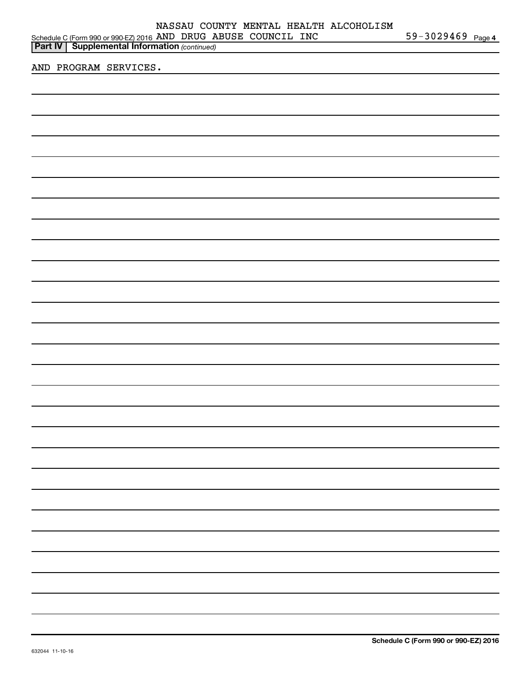|  |                            | NASSAU COUNTY MENTAL HEALTH ALCOHOLISM |
|--|----------------------------|----------------------------------------|
|  | AND DRUG ABUSE COUNCIL INC |                                        |

|  | Schedule C (Form 990 or 990-EZ) 2016 AND DRUG ABUSE COUNCIL INC<br><b>Part IV   Supplemental Information</b> (continued) |  |  | 59-3029469 Page 4                    |  |
|--|--------------------------------------------------------------------------------------------------------------------------|--|--|--------------------------------------|--|
|  |                                                                                                                          |  |  |                                      |  |
|  | AND PROGRAM SERVICES.                                                                                                    |  |  |                                      |  |
|  |                                                                                                                          |  |  |                                      |  |
|  |                                                                                                                          |  |  |                                      |  |
|  |                                                                                                                          |  |  |                                      |  |
|  |                                                                                                                          |  |  |                                      |  |
|  |                                                                                                                          |  |  |                                      |  |
|  |                                                                                                                          |  |  |                                      |  |
|  |                                                                                                                          |  |  |                                      |  |
|  |                                                                                                                          |  |  |                                      |  |
|  |                                                                                                                          |  |  |                                      |  |
|  |                                                                                                                          |  |  |                                      |  |
|  |                                                                                                                          |  |  |                                      |  |
|  |                                                                                                                          |  |  |                                      |  |
|  |                                                                                                                          |  |  |                                      |  |
|  |                                                                                                                          |  |  |                                      |  |
|  |                                                                                                                          |  |  |                                      |  |
|  |                                                                                                                          |  |  |                                      |  |
|  |                                                                                                                          |  |  |                                      |  |
|  |                                                                                                                          |  |  |                                      |  |
|  |                                                                                                                          |  |  |                                      |  |
|  |                                                                                                                          |  |  |                                      |  |
|  |                                                                                                                          |  |  |                                      |  |
|  |                                                                                                                          |  |  |                                      |  |
|  |                                                                                                                          |  |  |                                      |  |
|  |                                                                                                                          |  |  |                                      |  |
|  |                                                                                                                          |  |  |                                      |  |
|  |                                                                                                                          |  |  |                                      |  |
|  |                                                                                                                          |  |  | Schedule C (Form 990 or 990-EZ) 2016 |  |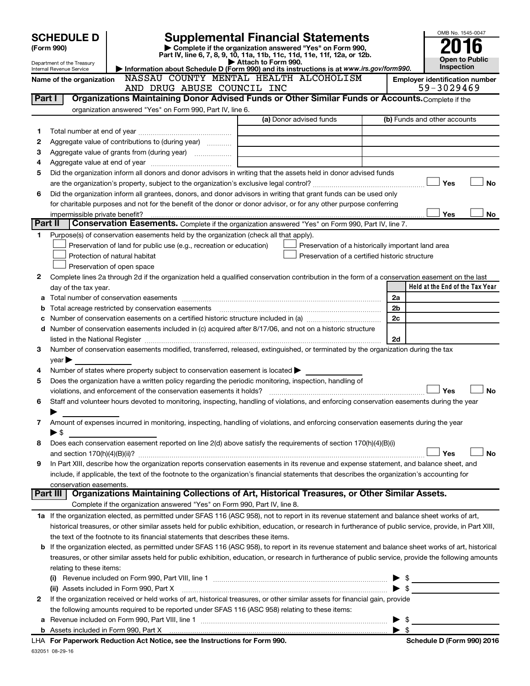| Complete if the organization answered "Yes" on Form 990,<br>(Form 990)<br>Part IV, line 6, 7, 8, 9, 10, 11a, 11b, 11c, 11d, 11e, 11f, 12a, or 12b.<br><b>Open to Public</b><br>Attach to Form 990.<br>Department of the Treasury<br>Inspection<br>Information about Schedule D (Form 990) and its instructions is at www.irs.gov/form990.<br>Internal Revenue Service<br>NASSAU COUNTY MENTAL HEALTH ALCOHOLISM<br><b>Employer identification number</b><br>Name of the organization<br>59-3029469<br>AND DRUG ABUSE COUNCIL INC<br>Organizations Maintaining Donor Advised Funds or Other Similar Funds or Accounts. Complete if the<br>Part I<br>organization answered "Yes" on Form 990, Part IV, line 6.<br>(a) Donor advised funds<br>(b) Funds and other accounts<br>1<br>Aggregate value of contributions to (during year)<br>2<br>З<br>4<br>Did the organization inform all donors and donor advisors in writing that the assets held in donor advised funds<br>5<br>Yes<br>Did the organization inform all grantees, donors, and donor advisors in writing that grant funds can be used only<br>6<br>for charitable purposes and not for the benefit of the donor or donor advisor, or for any other purpose conferring<br>Yes<br>impermissible private benefit?<br><b>Part II</b><br>Conservation Easements. Complete if the organization answered "Yes" on Form 990, Part IV, line 7.<br>Purpose(s) of conservation easements held by the organization (check all that apply).<br>1<br>Preservation of land for public use (e.g., recreation or education)<br>Preservation of a historically important land area<br>Protection of natural habitat<br>Preservation of a certified historic structure<br>Preservation of open space<br>2<br>Complete lines 2a through 2d if the organization held a qualified conservation contribution in the form of a conservation easement on the last<br>Held at the End of the Tax Year<br>day of the tax year.<br>2a<br>2b<br>2c<br>Number of conservation easements included in (c) acquired after 8/17/06, and not on a historic structure<br>d<br>2d<br>Number of conservation easements modified, transferred, released, extinguished, or terminated by the organization during the tax<br>3<br>$year \triangleright$<br>Number of states where property subject to conservation easement is located ><br>4<br>Does the organization have a written policy regarding the periodic monitoring, inspection, handling of<br>5<br>Yes<br>Staff and volunteer hours devoted to monitoring, inspecting, handling of violations, and enforcing conservation easements during the year<br>6<br>Amount of expenses incurred in monitoring, inspecting, handling of violations, and enforcing conservation easements during the year<br>7<br>▶ \$<br>Does each conservation easement reported on line 2(d) above satisfy the requirements of section 170(h)(4)(B)(i)<br>8<br>Yes<br>In Part XIII, describe how the organization reports conservation easements in its revenue and expense statement, and balance sheet, and<br>9<br>include, if applicable, the text of the footnote to the organization's financial statements that describes the organization's accounting for<br>conservation easements.<br>Part III   Organizations Maintaining Collections of Art, Historical Treasures, or Other Similar Assets.<br>Complete if the organization answered "Yes" on Form 990, Part IV, line 8.<br>1a If the organization elected, as permitted under SFAS 116 (ASC 958), not to report in its revenue statement and balance sheet works of art,<br>historical treasures, or other similar assets held for public exhibition, education, or research in furtherance of public service, provide, in Part XIII,<br>the text of the footnote to its financial statements that describes these items. | <b>Supplemental Financial Statements</b><br><b>SCHEDULE D</b> |  |  |  |  |  | OMB No. 1545-0047 |           |  |  |
|-------------------------------------------------------------------------------------------------------------------------------------------------------------------------------------------------------------------------------------------------------------------------------------------------------------------------------------------------------------------------------------------------------------------------------------------------------------------------------------------------------------------------------------------------------------------------------------------------------------------------------------------------------------------------------------------------------------------------------------------------------------------------------------------------------------------------------------------------------------------------------------------------------------------------------------------------------------------------------------------------------------------------------------------------------------------------------------------------------------------------------------------------------------------------------------------------------------------------------------------------------------------------------------------------------------------------------------------------------------------------------------------------------------------------------------------------------------------------------------------------------------------------------------------------------------------------------------------------------------------------------------------------------------------------------------------------------------------------------------------------------------------------------------------------------------------------------------------------------------------------------------------------------------------------------------------------------------------------------------------------------------------------------------------------------------------------------------------------------------------------------------------------------------------------------------------------------------------------------------------------------------------------------------------------------------------------------------------------------------------------------------------------------------------------------------------------------------------------------------------------------------------------------------------------------------------------------------------------------------------------------------------------------------------------------------------------------------------------------------------------------------------------------------------------------------------------------------------------------------------------------------------------------------------------------------------------------------------------------------------------------------------------------------------------------------------------------------------------------------------------------------------------------------------------------------------------------------------------------------------------------------------------------------------------------------------------------------------------------------------------------------------------------------------------------------------------------------------------------------------------------------------------------------------------------------------------------------------------------------------------------------------------------------------------------------------------------------------------------------------------------------------------------------------------------------------------------------------------|---------------------------------------------------------------|--|--|--|--|--|-------------------|-----------|--|--|
|                                                                                                                                                                                                                                                                                                                                                                                                                                                                                                                                                                                                                                                                                                                                                                                                                                                                                                                                                                                                                                                                                                                                                                                                                                                                                                                                                                                                                                                                                                                                                                                                                                                                                                                                                                                                                                                                                                                                                                                                                                                                                                                                                                                                                                                                                                                                                                                                                                                                                                                                                                                                                                                                                                                                                                                                                                                                                                                                                                                                                                                                                                                                                                                                                                                                                                                                                                                                                                                                                                                                                                                                                                                                                                                                                                                                                                                 |                                                               |  |  |  |  |  |                   |           |  |  |
|                                                                                                                                                                                                                                                                                                                                                                                                                                                                                                                                                                                                                                                                                                                                                                                                                                                                                                                                                                                                                                                                                                                                                                                                                                                                                                                                                                                                                                                                                                                                                                                                                                                                                                                                                                                                                                                                                                                                                                                                                                                                                                                                                                                                                                                                                                                                                                                                                                                                                                                                                                                                                                                                                                                                                                                                                                                                                                                                                                                                                                                                                                                                                                                                                                                                                                                                                                                                                                                                                                                                                                                                                                                                                                                                                                                                                                                 |                                                               |  |  |  |  |  |                   |           |  |  |
|                                                                                                                                                                                                                                                                                                                                                                                                                                                                                                                                                                                                                                                                                                                                                                                                                                                                                                                                                                                                                                                                                                                                                                                                                                                                                                                                                                                                                                                                                                                                                                                                                                                                                                                                                                                                                                                                                                                                                                                                                                                                                                                                                                                                                                                                                                                                                                                                                                                                                                                                                                                                                                                                                                                                                                                                                                                                                                                                                                                                                                                                                                                                                                                                                                                                                                                                                                                                                                                                                                                                                                                                                                                                                                                                                                                                                                                 |                                                               |  |  |  |  |  |                   |           |  |  |
|                                                                                                                                                                                                                                                                                                                                                                                                                                                                                                                                                                                                                                                                                                                                                                                                                                                                                                                                                                                                                                                                                                                                                                                                                                                                                                                                                                                                                                                                                                                                                                                                                                                                                                                                                                                                                                                                                                                                                                                                                                                                                                                                                                                                                                                                                                                                                                                                                                                                                                                                                                                                                                                                                                                                                                                                                                                                                                                                                                                                                                                                                                                                                                                                                                                                                                                                                                                                                                                                                                                                                                                                                                                                                                                                                                                                                                                 |                                                               |  |  |  |  |  |                   |           |  |  |
|                                                                                                                                                                                                                                                                                                                                                                                                                                                                                                                                                                                                                                                                                                                                                                                                                                                                                                                                                                                                                                                                                                                                                                                                                                                                                                                                                                                                                                                                                                                                                                                                                                                                                                                                                                                                                                                                                                                                                                                                                                                                                                                                                                                                                                                                                                                                                                                                                                                                                                                                                                                                                                                                                                                                                                                                                                                                                                                                                                                                                                                                                                                                                                                                                                                                                                                                                                                                                                                                                                                                                                                                                                                                                                                                                                                                                                                 |                                                               |  |  |  |  |  |                   |           |  |  |
|                                                                                                                                                                                                                                                                                                                                                                                                                                                                                                                                                                                                                                                                                                                                                                                                                                                                                                                                                                                                                                                                                                                                                                                                                                                                                                                                                                                                                                                                                                                                                                                                                                                                                                                                                                                                                                                                                                                                                                                                                                                                                                                                                                                                                                                                                                                                                                                                                                                                                                                                                                                                                                                                                                                                                                                                                                                                                                                                                                                                                                                                                                                                                                                                                                                                                                                                                                                                                                                                                                                                                                                                                                                                                                                                                                                                                                                 |                                                               |  |  |  |  |  |                   |           |  |  |
|                                                                                                                                                                                                                                                                                                                                                                                                                                                                                                                                                                                                                                                                                                                                                                                                                                                                                                                                                                                                                                                                                                                                                                                                                                                                                                                                                                                                                                                                                                                                                                                                                                                                                                                                                                                                                                                                                                                                                                                                                                                                                                                                                                                                                                                                                                                                                                                                                                                                                                                                                                                                                                                                                                                                                                                                                                                                                                                                                                                                                                                                                                                                                                                                                                                                                                                                                                                                                                                                                                                                                                                                                                                                                                                                                                                                                                                 |                                                               |  |  |  |  |  |                   |           |  |  |
|                                                                                                                                                                                                                                                                                                                                                                                                                                                                                                                                                                                                                                                                                                                                                                                                                                                                                                                                                                                                                                                                                                                                                                                                                                                                                                                                                                                                                                                                                                                                                                                                                                                                                                                                                                                                                                                                                                                                                                                                                                                                                                                                                                                                                                                                                                                                                                                                                                                                                                                                                                                                                                                                                                                                                                                                                                                                                                                                                                                                                                                                                                                                                                                                                                                                                                                                                                                                                                                                                                                                                                                                                                                                                                                                                                                                                                                 |                                                               |  |  |  |  |  |                   |           |  |  |
|                                                                                                                                                                                                                                                                                                                                                                                                                                                                                                                                                                                                                                                                                                                                                                                                                                                                                                                                                                                                                                                                                                                                                                                                                                                                                                                                                                                                                                                                                                                                                                                                                                                                                                                                                                                                                                                                                                                                                                                                                                                                                                                                                                                                                                                                                                                                                                                                                                                                                                                                                                                                                                                                                                                                                                                                                                                                                                                                                                                                                                                                                                                                                                                                                                                                                                                                                                                                                                                                                                                                                                                                                                                                                                                                                                                                                                                 |                                                               |  |  |  |  |  |                   |           |  |  |
|                                                                                                                                                                                                                                                                                                                                                                                                                                                                                                                                                                                                                                                                                                                                                                                                                                                                                                                                                                                                                                                                                                                                                                                                                                                                                                                                                                                                                                                                                                                                                                                                                                                                                                                                                                                                                                                                                                                                                                                                                                                                                                                                                                                                                                                                                                                                                                                                                                                                                                                                                                                                                                                                                                                                                                                                                                                                                                                                                                                                                                                                                                                                                                                                                                                                                                                                                                                                                                                                                                                                                                                                                                                                                                                                                                                                                                                 |                                                               |  |  |  |  |  |                   |           |  |  |
|                                                                                                                                                                                                                                                                                                                                                                                                                                                                                                                                                                                                                                                                                                                                                                                                                                                                                                                                                                                                                                                                                                                                                                                                                                                                                                                                                                                                                                                                                                                                                                                                                                                                                                                                                                                                                                                                                                                                                                                                                                                                                                                                                                                                                                                                                                                                                                                                                                                                                                                                                                                                                                                                                                                                                                                                                                                                                                                                                                                                                                                                                                                                                                                                                                                                                                                                                                                                                                                                                                                                                                                                                                                                                                                                                                                                                                                 |                                                               |  |  |  |  |  |                   |           |  |  |
|                                                                                                                                                                                                                                                                                                                                                                                                                                                                                                                                                                                                                                                                                                                                                                                                                                                                                                                                                                                                                                                                                                                                                                                                                                                                                                                                                                                                                                                                                                                                                                                                                                                                                                                                                                                                                                                                                                                                                                                                                                                                                                                                                                                                                                                                                                                                                                                                                                                                                                                                                                                                                                                                                                                                                                                                                                                                                                                                                                                                                                                                                                                                                                                                                                                                                                                                                                                                                                                                                                                                                                                                                                                                                                                                                                                                                                                 |                                                               |  |  |  |  |  |                   |           |  |  |
|                                                                                                                                                                                                                                                                                                                                                                                                                                                                                                                                                                                                                                                                                                                                                                                                                                                                                                                                                                                                                                                                                                                                                                                                                                                                                                                                                                                                                                                                                                                                                                                                                                                                                                                                                                                                                                                                                                                                                                                                                                                                                                                                                                                                                                                                                                                                                                                                                                                                                                                                                                                                                                                                                                                                                                                                                                                                                                                                                                                                                                                                                                                                                                                                                                                                                                                                                                                                                                                                                                                                                                                                                                                                                                                                                                                                                                                 |                                                               |  |  |  |  |  |                   | <b>No</b> |  |  |
|                                                                                                                                                                                                                                                                                                                                                                                                                                                                                                                                                                                                                                                                                                                                                                                                                                                                                                                                                                                                                                                                                                                                                                                                                                                                                                                                                                                                                                                                                                                                                                                                                                                                                                                                                                                                                                                                                                                                                                                                                                                                                                                                                                                                                                                                                                                                                                                                                                                                                                                                                                                                                                                                                                                                                                                                                                                                                                                                                                                                                                                                                                                                                                                                                                                                                                                                                                                                                                                                                                                                                                                                                                                                                                                                                                                                                                                 |                                                               |  |  |  |  |  |                   |           |  |  |
|                                                                                                                                                                                                                                                                                                                                                                                                                                                                                                                                                                                                                                                                                                                                                                                                                                                                                                                                                                                                                                                                                                                                                                                                                                                                                                                                                                                                                                                                                                                                                                                                                                                                                                                                                                                                                                                                                                                                                                                                                                                                                                                                                                                                                                                                                                                                                                                                                                                                                                                                                                                                                                                                                                                                                                                                                                                                                                                                                                                                                                                                                                                                                                                                                                                                                                                                                                                                                                                                                                                                                                                                                                                                                                                                                                                                                                                 |                                                               |  |  |  |  |  |                   |           |  |  |
|                                                                                                                                                                                                                                                                                                                                                                                                                                                                                                                                                                                                                                                                                                                                                                                                                                                                                                                                                                                                                                                                                                                                                                                                                                                                                                                                                                                                                                                                                                                                                                                                                                                                                                                                                                                                                                                                                                                                                                                                                                                                                                                                                                                                                                                                                                                                                                                                                                                                                                                                                                                                                                                                                                                                                                                                                                                                                                                                                                                                                                                                                                                                                                                                                                                                                                                                                                                                                                                                                                                                                                                                                                                                                                                                                                                                                                                 |                                                               |  |  |  |  |  |                   | No        |  |  |
|                                                                                                                                                                                                                                                                                                                                                                                                                                                                                                                                                                                                                                                                                                                                                                                                                                                                                                                                                                                                                                                                                                                                                                                                                                                                                                                                                                                                                                                                                                                                                                                                                                                                                                                                                                                                                                                                                                                                                                                                                                                                                                                                                                                                                                                                                                                                                                                                                                                                                                                                                                                                                                                                                                                                                                                                                                                                                                                                                                                                                                                                                                                                                                                                                                                                                                                                                                                                                                                                                                                                                                                                                                                                                                                                                                                                                                                 |                                                               |  |  |  |  |  |                   |           |  |  |
|                                                                                                                                                                                                                                                                                                                                                                                                                                                                                                                                                                                                                                                                                                                                                                                                                                                                                                                                                                                                                                                                                                                                                                                                                                                                                                                                                                                                                                                                                                                                                                                                                                                                                                                                                                                                                                                                                                                                                                                                                                                                                                                                                                                                                                                                                                                                                                                                                                                                                                                                                                                                                                                                                                                                                                                                                                                                                                                                                                                                                                                                                                                                                                                                                                                                                                                                                                                                                                                                                                                                                                                                                                                                                                                                                                                                                                                 |                                                               |  |  |  |  |  |                   |           |  |  |
|                                                                                                                                                                                                                                                                                                                                                                                                                                                                                                                                                                                                                                                                                                                                                                                                                                                                                                                                                                                                                                                                                                                                                                                                                                                                                                                                                                                                                                                                                                                                                                                                                                                                                                                                                                                                                                                                                                                                                                                                                                                                                                                                                                                                                                                                                                                                                                                                                                                                                                                                                                                                                                                                                                                                                                                                                                                                                                                                                                                                                                                                                                                                                                                                                                                                                                                                                                                                                                                                                                                                                                                                                                                                                                                                                                                                                                                 |                                                               |  |  |  |  |  |                   |           |  |  |
|                                                                                                                                                                                                                                                                                                                                                                                                                                                                                                                                                                                                                                                                                                                                                                                                                                                                                                                                                                                                                                                                                                                                                                                                                                                                                                                                                                                                                                                                                                                                                                                                                                                                                                                                                                                                                                                                                                                                                                                                                                                                                                                                                                                                                                                                                                                                                                                                                                                                                                                                                                                                                                                                                                                                                                                                                                                                                                                                                                                                                                                                                                                                                                                                                                                                                                                                                                                                                                                                                                                                                                                                                                                                                                                                                                                                                                                 |                                                               |  |  |  |  |  |                   |           |  |  |
|                                                                                                                                                                                                                                                                                                                                                                                                                                                                                                                                                                                                                                                                                                                                                                                                                                                                                                                                                                                                                                                                                                                                                                                                                                                                                                                                                                                                                                                                                                                                                                                                                                                                                                                                                                                                                                                                                                                                                                                                                                                                                                                                                                                                                                                                                                                                                                                                                                                                                                                                                                                                                                                                                                                                                                                                                                                                                                                                                                                                                                                                                                                                                                                                                                                                                                                                                                                                                                                                                                                                                                                                                                                                                                                                                                                                                                                 |                                                               |  |  |  |  |  |                   |           |  |  |
|                                                                                                                                                                                                                                                                                                                                                                                                                                                                                                                                                                                                                                                                                                                                                                                                                                                                                                                                                                                                                                                                                                                                                                                                                                                                                                                                                                                                                                                                                                                                                                                                                                                                                                                                                                                                                                                                                                                                                                                                                                                                                                                                                                                                                                                                                                                                                                                                                                                                                                                                                                                                                                                                                                                                                                                                                                                                                                                                                                                                                                                                                                                                                                                                                                                                                                                                                                                                                                                                                                                                                                                                                                                                                                                                                                                                                                                 |                                                               |  |  |  |  |  |                   |           |  |  |
|                                                                                                                                                                                                                                                                                                                                                                                                                                                                                                                                                                                                                                                                                                                                                                                                                                                                                                                                                                                                                                                                                                                                                                                                                                                                                                                                                                                                                                                                                                                                                                                                                                                                                                                                                                                                                                                                                                                                                                                                                                                                                                                                                                                                                                                                                                                                                                                                                                                                                                                                                                                                                                                                                                                                                                                                                                                                                                                                                                                                                                                                                                                                                                                                                                                                                                                                                                                                                                                                                                                                                                                                                                                                                                                                                                                                                                                 |                                                               |  |  |  |  |  |                   |           |  |  |
|                                                                                                                                                                                                                                                                                                                                                                                                                                                                                                                                                                                                                                                                                                                                                                                                                                                                                                                                                                                                                                                                                                                                                                                                                                                                                                                                                                                                                                                                                                                                                                                                                                                                                                                                                                                                                                                                                                                                                                                                                                                                                                                                                                                                                                                                                                                                                                                                                                                                                                                                                                                                                                                                                                                                                                                                                                                                                                                                                                                                                                                                                                                                                                                                                                                                                                                                                                                                                                                                                                                                                                                                                                                                                                                                                                                                                                                 |                                                               |  |  |  |  |  |                   |           |  |  |
|                                                                                                                                                                                                                                                                                                                                                                                                                                                                                                                                                                                                                                                                                                                                                                                                                                                                                                                                                                                                                                                                                                                                                                                                                                                                                                                                                                                                                                                                                                                                                                                                                                                                                                                                                                                                                                                                                                                                                                                                                                                                                                                                                                                                                                                                                                                                                                                                                                                                                                                                                                                                                                                                                                                                                                                                                                                                                                                                                                                                                                                                                                                                                                                                                                                                                                                                                                                                                                                                                                                                                                                                                                                                                                                                                                                                                                                 |                                                               |  |  |  |  |  |                   |           |  |  |
|                                                                                                                                                                                                                                                                                                                                                                                                                                                                                                                                                                                                                                                                                                                                                                                                                                                                                                                                                                                                                                                                                                                                                                                                                                                                                                                                                                                                                                                                                                                                                                                                                                                                                                                                                                                                                                                                                                                                                                                                                                                                                                                                                                                                                                                                                                                                                                                                                                                                                                                                                                                                                                                                                                                                                                                                                                                                                                                                                                                                                                                                                                                                                                                                                                                                                                                                                                                                                                                                                                                                                                                                                                                                                                                                                                                                                                                 |                                                               |  |  |  |  |  |                   |           |  |  |
|                                                                                                                                                                                                                                                                                                                                                                                                                                                                                                                                                                                                                                                                                                                                                                                                                                                                                                                                                                                                                                                                                                                                                                                                                                                                                                                                                                                                                                                                                                                                                                                                                                                                                                                                                                                                                                                                                                                                                                                                                                                                                                                                                                                                                                                                                                                                                                                                                                                                                                                                                                                                                                                                                                                                                                                                                                                                                                                                                                                                                                                                                                                                                                                                                                                                                                                                                                                                                                                                                                                                                                                                                                                                                                                                                                                                                                                 |                                                               |  |  |  |  |  |                   |           |  |  |
|                                                                                                                                                                                                                                                                                                                                                                                                                                                                                                                                                                                                                                                                                                                                                                                                                                                                                                                                                                                                                                                                                                                                                                                                                                                                                                                                                                                                                                                                                                                                                                                                                                                                                                                                                                                                                                                                                                                                                                                                                                                                                                                                                                                                                                                                                                                                                                                                                                                                                                                                                                                                                                                                                                                                                                                                                                                                                                                                                                                                                                                                                                                                                                                                                                                                                                                                                                                                                                                                                                                                                                                                                                                                                                                                                                                                                                                 |                                                               |  |  |  |  |  |                   |           |  |  |
|                                                                                                                                                                                                                                                                                                                                                                                                                                                                                                                                                                                                                                                                                                                                                                                                                                                                                                                                                                                                                                                                                                                                                                                                                                                                                                                                                                                                                                                                                                                                                                                                                                                                                                                                                                                                                                                                                                                                                                                                                                                                                                                                                                                                                                                                                                                                                                                                                                                                                                                                                                                                                                                                                                                                                                                                                                                                                                                                                                                                                                                                                                                                                                                                                                                                                                                                                                                                                                                                                                                                                                                                                                                                                                                                                                                                                                                 |                                                               |  |  |  |  |  |                   |           |  |  |
|                                                                                                                                                                                                                                                                                                                                                                                                                                                                                                                                                                                                                                                                                                                                                                                                                                                                                                                                                                                                                                                                                                                                                                                                                                                                                                                                                                                                                                                                                                                                                                                                                                                                                                                                                                                                                                                                                                                                                                                                                                                                                                                                                                                                                                                                                                                                                                                                                                                                                                                                                                                                                                                                                                                                                                                                                                                                                                                                                                                                                                                                                                                                                                                                                                                                                                                                                                                                                                                                                                                                                                                                                                                                                                                                                                                                                                                 |                                                               |  |  |  |  |  |                   |           |  |  |
|                                                                                                                                                                                                                                                                                                                                                                                                                                                                                                                                                                                                                                                                                                                                                                                                                                                                                                                                                                                                                                                                                                                                                                                                                                                                                                                                                                                                                                                                                                                                                                                                                                                                                                                                                                                                                                                                                                                                                                                                                                                                                                                                                                                                                                                                                                                                                                                                                                                                                                                                                                                                                                                                                                                                                                                                                                                                                                                                                                                                                                                                                                                                                                                                                                                                                                                                                                                                                                                                                                                                                                                                                                                                                                                                                                                                                                                 |                                                               |  |  |  |  |  |                   |           |  |  |
|                                                                                                                                                                                                                                                                                                                                                                                                                                                                                                                                                                                                                                                                                                                                                                                                                                                                                                                                                                                                                                                                                                                                                                                                                                                                                                                                                                                                                                                                                                                                                                                                                                                                                                                                                                                                                                                                                                                                                                                                                                                                                                                                                                                                                                                                                                                                                                                                                                                                                                                                                                                                                                                                                                                                                                                                                                                                                                                                                                                                                                                                                                                                                                                                                                                                                                                                                                                                                                                                                                                                                                                                                                                                                                                                                                                                                                                 |                                                               |  |  |  |  |  |                   | <b>No</b> |  |  |
|                                                                                                                                                                                                                                                                                                                                                                                                                                                                                                                                                                                                                                                                                                                                                                                                                                                                                                                                                                                                                                                                                                                                                                                                                                                                                                                                                                                                                                                                                                                                                                                                                                                                                                                                                                                                                                                                                                                                                                                                                                                                                                                                                                                                                                                                                                                                                                                                                                                                                                                                                                                                                                                                                                                                                                                                                                                                                                                                                                                                                                                                                                                                                                                                                                                                                                                                                                                                                                                                                                                                                                                                                                                                                                                                                                                                                                                 |                                                               |  |  |  |  |  |                   |           |  |  |
|                                                                                                                                                                                                                                                                                                                                                                                                                                                                                                                                                                                                                                                                                                                                                                                                                                                                                                                                                                                                                                                                                                                                                                                                                                                                                                                                                                                                                                                                                                                                                                                                                                                                                                                                                                                                                                                                                                                                                                                                                                                                                                                                                                                                                                                                                                                                                                                                                                                                                                                                                                                                                                                                                                                                                                                                                                                                                                                                                                                                                                                                                                                                                                                                                                                                                                                                                                                                                                                                                                                                                                                                                                                                                                                                                                                                                                                 |                                                               |  |  |  |  |  |                   |           |  |  |
|                                                                                                                                                                                                                                                                                                                                                                                                                                                                                                                                                                                                                                                                                                                                                                                                                                                                                                                                                                                                                                                                                                                                                                                                                                                                                                                                                                                                                                                                                                                                                                                                                                                                                                                                                                                                                                                                                                                                                                                                                                                                                                                                                                                                                                                                                                                                                                                                                                                                                                                                                                                                                                                                                                                                                                                                                                                                                                                                                                                                                                                                                                                                                                                                                                                                                                                                                                                                                                                                                                                                                                                                                                                                                                                                                                                                                                                 |                                                               |  |  |  |  |  |                   |           |  |  |
|                                                                                                                                                                                                                                                                                                                                                                                                                                                                                                                                                                                                                                                                                                                                                                                                                                                                                                                                                                                                                                                                                                                                                                                                                                                                                                                                                                                                                                                                                                                                                                                                                                                                                                                                                                                                                                                                                                                                                                                                                                                                                                                                                                                                                                                                                                                                                                                                                                                                                                                                                                                                                                                                                                                                                                                                                                                                                                                                                                                                                                                                                                                                                                                                                                                                                                                                                                                                                                                                                                                                                                                                                                                                                                                                                                                                                                                 |                                                               |  |  |  |  |  |                   |           |  |  |
|                                                                                                                                                                                                                                                                                                                                                                                                                                                                                                                                                                                                                                                                                                                                                                                                                                                                                                                                                                                                                                                                                                                                                                                                                                                                                                                                                                                                                                                                                                                                                                                                                                                                                                                                                                                                                                                                                                                                                                                                                                                                                                                                                                                                                                                                                                                                                                                                                                                                                                                                                                                                                                                                                                                                                                                                                                                                                                                                                                                                                                                                                                                                                                                                                                                                                                                                                                                                                                                                                                                                                                                                                                                                                                                                                                                                                                                 |                                                               |  |  |  |  |  |                   |           |  |  |
|                                                                                                                                                                                                                                                                                                                                                                                                                                                                                                                                                                                                                                                                                                                                                                                                                                                                                                                                                                                                                                                                                                                                                                                                                                                                                                                                                                                                                                                                                                                                                                                                                                                                                                                                                                                                                                                                                                                                                                                                                                                                                                                                                                                                                                                                                                                                                                                                                                                                                                                                                                                                                                                                                                                                                                                                                                                                                                                                                                                                                                                                                                                                                                                                                                                                                                                                                                                                                                                                                                                                                                                                                                                                                                                                                                                                                                                 |                                                               |  |  |  |  |  |                   | No        |  |  |
|                                                                                                                                                                                                                                                                                                                                                                                                                                                                                                                                                                                                                                                                                                                                                                                                                                                                                                                                                                                                                                                                                                                                                                                                                                                                                                                                                                                                                                                                                                                                                                                                                                                                                                                                                                                                                                                                                                                                                                                                                                                                                                                                                                                                                                                                                                                                                                                                                                                                                                                                                                                                                                                                                                                                                                                                                                                                                                                                                                                                                                                                                                                                                                                                                                                                                                                                                                                                                                                                                                                                                                                                                                                                                                                                                                                                                                                 |                                                               |  |  |  |  |  |                   |           |  |  |
|                                                                                                                                                                                                                                                                                                                                                                                                                                                                                                                                                                                                                                                                                                                                                                                                                                                                                                                                                                                                                                                                                                                                                                                                                                                                                                                                                                                                                                                                                                                                                                                                                                                                                                                                                                                                                                                                                                                                                                                                                                                                                                                                                                                                                                                                                                                                                                                                                                                                                                                                                                                                                                                                                                                                                                                                                                                                                                                                                                                                                                                                                                                                                                                                                                                                                                                                                                                                                                                                                                                                                                                                                                                                                                                                                                                                                                                 |                                                               |  |  |  |  |  |                   |           |  |  |
|                                                                                                                                                                                                                                                                                                                                                                                                                                                                                                                                                                                                                                                                                                                                                                                                                                                                                                                                                                                                                                                                                                                                                                                                                                                                                                                                                                                                                                                                                                                                                                                                                                                                                                                                                                                                                                                                                                                                                                                                                                                                                                                                                                                                                                                                                                                                                                                                                                                                                                                                                                                                                                                                                                                                                                                                                                                                                                                                                                                                                                                                                                                                                                                                                                                                                                                                                                                                                                                                                                                                                                                                                                                                                                                                                                                                                                                 |                                                               |  |  |  |  |  |                   |           |  |  |
|                                                                                                                                                                                                                                                                                                                                                                                                                                                                                                                                                                                                                                                                                                                                                                                                                                                                                                                                                                                                                                                                                                                                                                                                                                                                                                                                                                                                                                                                                                                                                                                                                                                                                                                                                                                                                                                                                                                                                                                                                                                                                                                                                                                                                                                                                                                                                                                                                                                                                                                                                                                                                                                                                                                                                                                                                                                                                                                                                                                                                                                                                                                                                                                                                                                                                                                                                                                                                                                                                                                                                                                                                                                                                                                                                                                                                                                 |                                                               |  |  |  |  |  |                   |           |  |  |
|                                                                                                                                                                                                                                                                                                                                                                                                                                                                                                                                                                                                                                                                                                                                                                                                                                                                                                                                                                                                                                                                                                                                                                                                                                                                                                                                                                                                                                                                                                                                                                                                                                                                                                                                                                                                                                                                                                                                                                                                                                                                                                                                                                                                                                                                                                                                                                                                                                                                                                                                                                                                                                                                                                                                                                                                                                                                                                                                                                                                                                                                                                                                                                                                                                                                                                                                                                                                                                                                                                                                                                                                                                                                                                                                                                                                                                                 |                                                               |  |  |  |  |  |                   |           |  |  |
|                                                                                                                                                                                                                                                                                                                                                                                                                                                                                                                                                                                                                                                                                                                                                                                                                                                                                                                                                                                                                                                                                                                                                                                                                                                                                                                                                                                                                                                                                                                                                                                                                                                                                                                                                                                                                                                                                                                                                                                                                                                                                                                                                                                                                                                                                                                                                                                                                                                                                                                                                                                                                                                                                                                                                                                                                                                                                                                                                                                                                                                                                                                                                                                                                                                                                                                                                                                                                                                                                                                                                                                                                                                                                                                                                                                                                                                 |                                                               |  |  |  |  |  |                   |           |  |  |
|                                                                                                                                                                                                                                                                                                                                                                                                                                                                                                                                                                                                                                                                                                                                                                                                                                                                                                                                                                                                                                                                                                                                                                                                                                                                                                                                                                                                                                                                                                                                                                                                                                                                                                                                                                                                                                                                                                                                                                                                                                                                                                                                                                                                                                                                                                                                                                                                                                                                                                                                                                                                                                                                                                                                                                                                                                                                                                                                                                                                                                                                                                                                                                                                                                                                                                                                                                                                                                                                                                                                                                                                                                                                                                                                                                                                                                                 |                                                               |  |  |  |  |  |                   |           |  |  |
| <b>b</b> If the organization elected, as permitted under SFAS 116 (ASC 958), to report in its revenue statement and balance sheet works of art, historical                                                                                                                                                                                                                                                                                                                                                                                                                                                                                                                                                                                                                                                                                                                                                                                                                                                                                                                                                                                                                                                                                                                                                                                                                                                                                                                                                                                                                                                                                                                                                                                                                                                                                                                                                                                                                                                                                                                                                                                                                                                                                                                                                                                                                                                                                                                                                                                                                                                                                                                                                                                                                                                                                                                                                                                                                                                                                                                                                                                                                                                                                                                                                                                                                                                                                                                                                                                                                                                                                                                                                                                                                                                                                      |                                                               |  |  |  |  |  |                   |           |  |  |
| treasures, or other similar assets held for public exhibition, education, or research in furtherance of public service, provide the following amounts                                                                                                                                                                                                                                                                                                                                                                                                                                                                                                                                                                                                                                                                                                                                                                                                                                                                                                                                                                                                                                                                                                                                                                                                                                                                                                                                                                                                                                                                                                                                                                                                                                                                                                                                                                                                                                                                                                                                                                                                                                                                                                                                                                                                                                                                                                                                                                                                                                                                                                                                                                                                                                                                                                                                                                                                                                                                                                                                                                                                                                                                                                                                                                                                                                                                                                                                                                                                                                                                                                                                                                                                                                                                                           |                                                               |  |  |  |  |  |                   |           |  |  |
| relating to these items:                                                                                                                                                                                                                                                                                                                                                                                                                                                                                                                                                                                                                                                                                                                                                                                                                                                                                                                                                                                                                                                                                                                                                                                                                                                                                                                                                                                                                                                                                                                                                                                                                                                                                                                                                                                                                                                                                                                                                                                                                                                                                                                                                                                                                                                                                                                                                                                                                                                                                                                                                                                                                                                                                                                                                                                                                                                                                                                                                                                                                                                                                                                                                                                                                                                                                                                                                                                                                                                                                                                                                                                                                                                                                                                                                                                                                        |                                                               |  |  |  |  |  |                   |           |  |  |
| \$                                                                                                                                                                                                                                                                                                                                                                                                                                                                                                                                                                                                                                                                                                                                                                                                                                                                                                                                                                                                                                                                                                                                                                                                                                                                                                                                                                                                                                                                                                                                                                                                                                                                                                                                                                                                                                                                                                                                                                                                                                                                                                                                                                                                                                                                                                                                                                                                                                                                                                                                                                                                                                                                                                                                                                                                                                                                                                                                                                                                                                                                                                                                                                                                                                                                                                                                                                                                                                                                                                                                                                                                                                                                                                                                                                                                                                              |                                                               |  |  |  |  |  |                   |           |  |  |
| $\blacktriangleright$ \$<br>(ii) Assets included in Form 990, Part X                                                                                                                                                                                                                                                                                                                                                                                                                                                                                                                                                                                                                                                                                                                                                                                                                                                                                                                                                                                                                                                                                                                                                                                                                                                                                                                                                                                                                                                                                                                                                                                                                                                                                                                                                                                                                                                                                                                                                                                                                                                                                                                                                                                                                                                                                                                                                                                                                                                                                                                                                                                                                                                                                                                                                                                                                                                                                                                                                                                                                                                                                                                                                                                                                                                                                                                                                                                                                                                                                                                                                                                                                                                                                                                                                                            |                                                               |  |  |  |  |  |                   |           |  |  |
| If the organization received or held works of art, historical treasures, or other similar assets for financial gain, provide<br>2                                                                                                                                                                                                                                                                                                                                                                                                                                                                                                                                                                                                                                                                                                                                                                                                                                                                                                                                                                                                                                                                                                                                                                                                                                                                                                                                                                                                                                                                                                                                                                                                                                                                                                                                                                                                                                                                                                                                                                                                                                                                                                                                                                                                                                                                                                                                                                                                                                                                                                                                                                                                                                                                                                                                                                                                                                                                                                                                                                                                                                                                                                                                                                                                                                                                                                                                                                                                                                                                                                                                                                                                                                                                                                               |                                                               |  |  |  |  |  |                   |           |  |  |
| the following amounts required to be reported under SFAS 116 (ASC 958) relating to these items:                                                                                                                                                                                                                                                                                                                                                                                                                                                                                                                                                                                                                                                                                                                                                                                                                                                                                                                                                                                                                                                                                                                                                                                                                                                                                                                                                                                                                                                                                                                                                                                                                                                                                                                                                                                                                                                                                                                                                                                                                                                                                                                                                                                                                                                                                                                                                                                                                                                                                                                                                                                                                                                                                                                                                                                                                                                                                                                                                                                                                                                                                                                                                                                                                                                                                                                                                                                                                                                                                                                                                                                                                                                                                                                                                 |                                                               |  |  |  |  |  |                   |           |  |  |
| $\blacktriangleright$ \$<br>а                                                                                                                                                                                                                                                                                                                                                                                                                                                                                                                                                                                                                                                                                                                                                                                                                                                                                                                                                                                                                                                                                                                                                                                                                                                                                                                                                                                                                                                                                                                                                                                                                                                                                                                                                                                                                                                                                                                                                                                                                                                                                                                                                                                                                                                                                                                                                                                                                                                                                                                                                                                                                                                                                                                                                                                                                                                                                                                                                                                                                                                                                                                                                                                                                                                                                                                                                                                                                                                                                                                                                                                                                                                                                                                                                                                                                   |                                                               |  |  |  |  |  |                   |           |  |  |
| $\blacktriangleright$ \$                                                                                                                                                                                                                                                                                                                                                                                                                                                                                                                                                                                                                                                                                                                                                                                                                                                                                                                                                                                                                                                                                                                                                                                                                                                                                                                                                                                                                                                                                                                                                                                                                                                                                                                                                                                                                                                                                                                                                                                                                                                                                                                                                                                                                                                                                                                                                                                                                                                                                                                                                                                                                                                                                                                                                                                                                                                                                                                                                                                                                                                                                                                                                                                                                                                                                                                                                                                                                                                                                                                                                                                                                                                                                                                                                                                                                        |                                                               |  |  |  |  |  |                   |           |  |  |

632051 08-29-16 **For Paperwork Reduction Act Notice, see the Instructions for Form 990. Schedule D (Form 990) 2016** LHA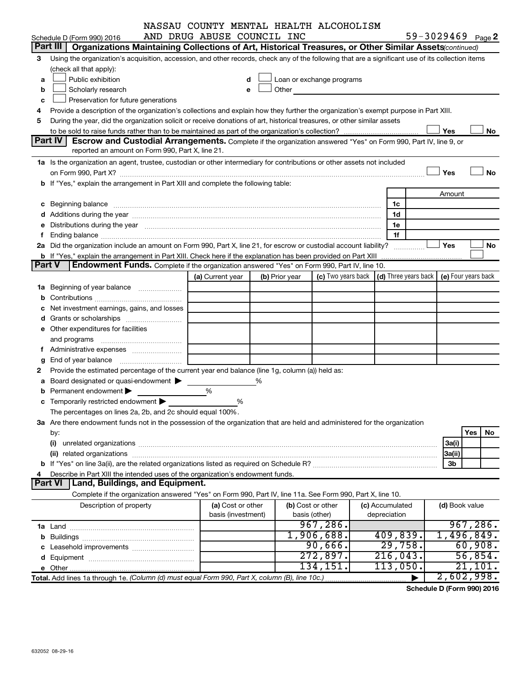|               |                                                                                                                                                   | NASSAU COUNTY MENTAL HEALTH ALCOHOLISM |   |                |                                                                                                                                                                                                                               |              |                 |                                                                             |           |
|---------------|---------------------------------------------------------------------------------------------------------------------------------------------------|----------------------------------------|---|----------------|-------------------------------------------------------------------------------------------------------------------------------------------------------------------------------------------------------------------------------|--------------|-----------------|-----------------------------------------------------------------------------|-----------|
|               | Schedule D (Form 990) 2016                                                                                                                        | AND DRUG ABUSE COUNCIL INC             |   |                |                                                                                                                                                                                                                               |              |                 | 59-3029469 Page 2                                                           |           |
|               | Part III<br>Organizations Maintaining Collections of Art, Historical Treasures, or Other Similar Assets (continued)                               |                                        |   |                |                                                                                                                                                                                                                               |              |                 |                                                                             |           |
| 3             | Using the organization's acquisition, accession, and other records, check any of the following that are a significant use of its collection items |                                        |   |                |                                                                                                                                                                                                                               |              |                 |                                                                             |           |
|               | (check all that apply):                                                                                                                           |                                        |   |                |                                                                                                                                                                                                                               |              |                 |                                                                             |           |
| a             | Public exhibition                                                                                                                                 | d                                      |   |                | Loan or exchange programs                                                                                                                                                                                                     |              |                 |                                                                             |           |
| b             | Scholarly research                                                                                                                                | e                                      |   |                | Other and the contract of the contract of the contract of the contract of the contract of the contract of the contract of the contract of the contract of the contract of the contract of the contract of the contract of the |              |                 |                                                                             |           |
| c             | Preservation for future generations                                                                                                               |                                        |   |                |                                                                                                                                                                                                                               |              |                 |                                                                             |           |
| 4             | Provide a description of the organization's collections and explain how they further the organization's exempt purpose in Part XIII.              |                                        |   |                |                                                                                                                                                                                                                               |              |                 |                                                                             |           |
| 5             | During the year, did the organization solicit or receive donations of art, historical treasures, or other similar assets                          |                                        |   |                |                                                                                                                                                                                                                               |              |                 |                                                                             |           |
|               |                                                                                                                                                   |                                        |   |                |                                                                                                                                                                                                                               |              |                 | Yes                                                                         | No        |
|               | Part IV<br><b>Escrow and Custodial Arrangements.</b> Complete if the organization answered "Yes" on Form 990, Part IV, line 9, or                 |                                        |   |                |                                                                                                                                                                                                                               |              |                 |                                                                             |           |
|               | reported an amount on Form 990, Part X, line 21.                                                                                                  |                                        |   |                |                                                                                                                                                                                                                               |              |                 |                                                                             |           |
|               | 1a Is the organization an agent, trustee, custodian or other intermediary for contributions or other assets not included                          |                                        |   |                |                                                                                                                                                                                                                               |              |                 |                                                                             |           |
|               | on Form 990, Part X? [11] matter continuum matter contract to the contract of the contract of the contract of t                                   |                                        |   |                |                                                                                                                                                                                                                               |              |                 | Yes                                                                         | <b>No</b> |
|               | b If "Yes," explain the arrangement in Part XIII and complete the following table:                                                                |                                        |   |                |                                                                                                                                                                                                                               |              |                 |                                                                             |           |
|               |                                                                                                                                                   |                                        |   |                |                                                                                                                                                                                                                               |              |                 | Amount                                                                      |           |
|               |                                                                                                                                                   |                                        |   |                |                                                                                                                                                                                                                               |              | 1c              |                                                                             |           |
|               |                                                                                                                                                   |                                        |   |                |                                                                                                                                                                                                                               |              | 1d              |                                                                             |           |
| е             | Distributions during the year manufactured and an account of the state of the state of the state of the state o                                   |                                        |   |                |                                                                                                                                                                                                                               |              | 1e              |                                                                             |           |
| f             |                                                                                                                                                   |                                        |   |                |                                                                                                                                                                                                                               |              | 1f              |                                                                             |           |
|               | 2a Did the organization include an amount on Form 990, Part X, line 21, for escrow or custodial account liability?                                |                                        |   |                |                                                                                                                                                                                                                               |              |                 | Yes                                                                         | No        |
|               | <b>b</b> If "Yes," explain the arrangement in Part XIII. Check here if the explanation has been provided on Part XIII                             |                                        |   |                |                                                                                                                                                                                                                               |              |                 |                                                                             |           |
| <b>Part V</b> | Endowment Funds. Complete if the organization answered "Yes" on Form 990, Part IV, line 10.                                                       |                                        |   |                |                                                                                                                                                                                                                               |              |                 |                                                                             |           |
|               |                                                                                                                                                   | (a) Current year                       |   | (b) Prior year |                                                                                                                                                                                                                               |              |                 | (c) Two years back $\vert$ (d) Three years back $\vert$ (e) Four years back |           |
|               | 1a Beginning of year balance                                                                                                                      |                                        |   |                |                                                                                                                                                                                                                               |              |                 |                                                                             |           |
| b             |                                                                                                                                                   |                                        |   |                |                                                                                                                                                                                                                               |              |                 |                                                                             |           |
| с             | Net investment earnings, gains, and losses                                                                                                        |                                        |   |                |                                                                                                                                                                                                                               |              |                 |                                                                             |           |
|               |                                                                                                                                                   |                                        |   |                |                                                                                                                                                                                                                               |              |                 |                                                                             |           |
|               | e Other expenditures for facilities                                                                                                               |                                        |   |                |                                                                                                                                                                                                                               |              |                 |                                                                             |           |
|               |                                                                                                                                                   |                                        |   |                |                                                                                                                                                                                                                               |              |                 |                                                                             |           |
|               | f Administrative expenses                                                                                                                         |                                        |   |                |                                                                                                                                                                                                                               |              |                 |                                                                             |           |
| g             |                                                                                                                                                   |                                        |   |                |                                                                                                                                                                                                                               |              |                 |                                                                             |           |
| 2             | Provide the estimated percentage of the current year end balance (line 1g, column (a)) held as:                                                   |                                        |   |                |                                                                                                                                                                                                                               |              |                 |                                                                             |           |
| а             | Board designated or quasi-endowment                                                                                                               |                                        | % |                |                                                                                                                                                                                                                               |              |                 |                                                                             |           |
|               | Permanent endowment                                                                                                                               | %                                      |   |                |                                                                                                                                                                                                                               |              |                 |                                                                             |           |
|               | <b>c</b> Temporarily restricted endowment $\blacktriangleright$                                                                                   | %                                      |   |                |                                                                                                                                                                                                                               |              |                 |                                                                             |           |
|               | The percentages on lines 2a, 2b, and 2c should equal 100%.                                                                                        |                                        |   |                |                                                                                                                                                                                                                               |              |                 |                                                                             |           |
|               | 3a Are there endowment funds not in the possession of the organization that are held and administered for the organization                        |                                        |   |                |                                                                                                                                                                                                                               |              |                 |                                                                             |           |
|               | by:                                                                                                                                               |                                        |   |                |                                                                                                                                                                                                                               |              |                 |                                                                             | Yes<br>No |
|               | (i)                                                                                                                                               |                                        |   |                |                                                                                                                                                                                                                               |              |                 | 3a(i)                                                                       |           |
|               |                                                                                                                                                   |                                        |   |                |                                                                                                                                                                                                                               |              |                 | 3a(ii)                                                                      |           |
|               |                                                                                                                                                   |                                        |   |                |                                                                                                                                                                                                                               |              |                 | 3b                                                                          |           |
| 4             | Describe in Part XIII the intended uses of the organization's endowment funds.                                                                    |                                        |   |                |                                                                                                                                                                                                                               |              |                 |                                                                             |           |
|               | Land, Buildings, and Equipment.<br><b>Part VI</b>                                                                                                 |                                        |   |                |                                                                                                                                                                                                                               |              |                 |                                                                             |           |
|               | Complete if the organization answered "Yes" on Form 990, Part IV, line 11a. See Form 990, Part X, line 10.                                        |                                        |   |                |                                                                                                                                                                                                                               |              |                 |                                                                             |           |
|               | Description of property                                                                                                                           | (a) Cost or other                      |   |                | (b) Cost or other                                                                                                                                                                                                             |              | (c) Accumulated | (d) Book value                                                              |           |
|               |                                                                                                                                                   | basis (investment)                     |   |                | basis (other)                                                                                                                                                                                                                 | depreciation |                 |                                                                             |           |
|               |                                                                                                                                                   |                                        |   |                | 967, 286.                                                                                                                                                                                                                     |              |                 |                                                                             | 967,286.  |
| b             |                                                                                                                                                   |                                        |   |                | 1,906,688.                                                                                                                                                                                                                    |              | 409,839.        | 1,496,849.                                                                  |           |
|               |                                                                                                                                                   |                                        |   |                | 90,666.                                                                                                                                                                                                                       |              | 29,758.         |                                                                             | 60,908.   |
| d             |                                                                                                                                                   |                                        |   |                | 272,897.                                                                                                                                                                                                                      |              | 216,043.        |                                                                             | 56,854.   |
|               |                                                                                                                                                   |                                        |   |                | 134,151.                                                                                                                                                                                                                      |              | $113,050$ .     |                                                                             | 21,101.   |
|               | Total. Add lines 1a through 1e. (Column (d) must equal Form 990, Part X, column (B), line 10c.)                                                   |                                        |   |                |                                                                                                                                                                                                                               |              |                 | 2,602,998.                                                                  |           |

**Schedule D (Form 990) 2016**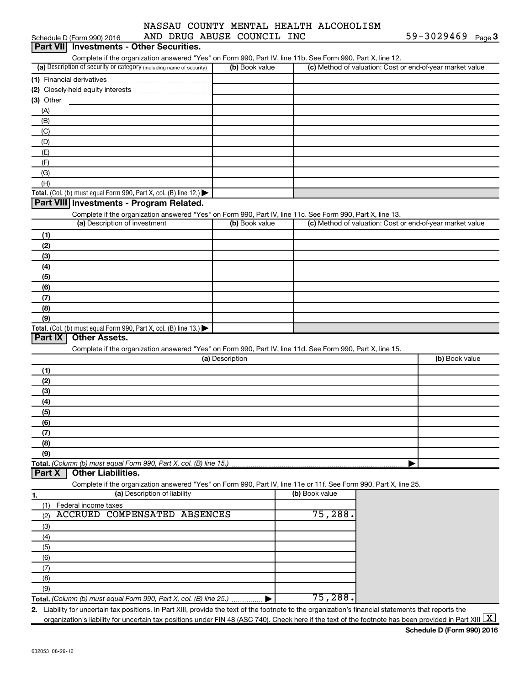| Schedule D (Form 990) 2016                                                                                                                           | AND DRUG ABUSE COUNCIL INC |                | $59 - 3029469$ Page 3                                     |
|------------------------------------------------------------------------------------------------------------------------------------------------------|----------------------------|----------------|-----------------------------------------------------------|
| <b>Part VII</b> Investments - Other Securities.                                                                                                      |                            |                |                                                           |
| Complete if the organization answered "Yes" on Form 990, Part IV, line 11b. See Form 990, Part X, line 12.                                           |                            |                |                                                           |
| (a) Description of security or category (including name of security)                                                                                 | (b) Book value             |                | (c) Method of valuation: Cost or end-of-year market value |
| (1) Financial derivatives                                                                                                                            |                            |                |                                                           |
|                                                                                                                                                      |                            |                |                                                           |
|                                                                                                                                                      |                            |                |                                                           |
| $(3)$ Other                                                                                                                                          |                            |                |                                                           |
| (A)                                                                                                                                                  |                            |                |                                                           |
| (B)                                                                                                                                                  |                            |                |                                                           |
| (C)                                                                                                                                                  |                            |                |                                                           |
| (D)                                                                                                                                                  |                            |                |                                                           |
| (E)                                                                                                                                                  |                            |                |                                                           |
| (F)                                                                                                                                                  |                            |                |                                                           |
| (G)                                                                                                                                                  |                            |                |                                                           |
| (H)                                                                                                                                                  |                            |                |                                                           |
|                                                                                                                                                      |                            |                |                                                           |
| Total. (Col. (b) must equal Form 990, Part X, col. (B) line 12.)                                                                                     |                            |                |                                                           |
| Part VIII Investments - Program Related.                                                                                                             |                            |                |                                                           |
| Complete if the organization answered "Yes" on Form 990, Part IV, line 11c. See Form 990, Part X, line 13.                                           |                            |                |                                                           |
| (a) Description of investment                                                                                                                        | (b) Book value             |                | (c) Method of valuation: Cost or end-of-year market value |
| (1)                                                                                                                                                  |                            |                |                                                           |
| (2)                                                                                                                                                  |                            |                |                                                           |
| (3)                                                                                                                                                  |                            |                |                                                           |
| (4)                                                                                                                                                  |                            |                |                                                           |
| (5)                                                                                                                                                  |                            |                |                                                           |
|                                                                                                                                                      |                            |                |                                                           |
| (6)                                                                                                                                                  |                            |                |                                                           |
| (7)                                                                                                                                                  |                            |                |                                                           |
| (8)                                                                                                                                                  |                            |                |                                                           |
| (9)                                                                                                                                                  |                            |                |                                                           |
| Total. (Col. (b) must equal Form 990, Part X, col. (B) line 13.)                                                                                     |                            |                |                                                           |
| Part IX<br><b>Other Assets.</b>                                                                                                                      |                            |                |                                                           |
| Complete if the organization answered "Yes" on Form 990, Part IV, line 11d. See Form 990, Part X, line 15.                                           |                            |                |                                                           |
|                                                                                                                                                      | (a) Description            |                | (b) Book value                                            |
| (1)                                                                                                                                                  |                            |                |                                                           |
| (2)                                                                                                                                                  |                            |                |                                                           |
| (3)                                                                                                                                                  |                            |                |                                                           |
| (4)                                                                                                                                                  |                            |                |                                                           |
|                                                                                                                                                      |                            |                |                                                           |
| (5)                                                                                                                                                  |                            |                |                                                           |
| (6)                                                                                                                                                  |                            |                |                                                           |
| (7)                                                                                                                                                  |                            |                |                                                           |
| (8)                                                                                                                                                  |                            |                |                                                           |
| (9)                                                                                                                                                  |                            |                |                                                           |
| Total. (Column (b) must equal Form 990, Part X, col. (B) line 15.)                                                                                   |                            |                |                                                           |
| <b>Other Liabilities.</b><br>Part X                                                                                                                  |                            |                |                                                           |
| Complete if the organization answered "Yes" on Form 990, Part IV, line 11e or 11f. See Form 990, Part X, line 25.                                    |                            |                |                                                           |
| (a) Description of liability<br>1.                                                                                                                   |                            | (b) Book value |                                                           |
| Federal income taxes<br>(1)                                                                                                                          |                            |                |                                                           |
| <b>ACCRUED COMPENSATED ABSENCES</b><br>(2)                                                                                                           |                            | 75,288.        |                                                           |
|                                                                                                                                                      |                            |                |                                                           |
| (3)                                                                                                                                                  |                            |                |                                                           |
| (4)                                                                                                                                                  |                            |                |                                                           |
| (5)                                                                                                                                                  |                            |                |                                                           |
| (6)                                                                                                                                                  |                            |                |                                                           |
| (7)                                                                                                                                                  |                            |                |                                                           |
| (8)                                                                                                                                                  |                            |                |                                                           |
| (9)                                                                                                                                                  |                            |                |                                                           |
| Total. (Column (b) must equal Form 990, Part X, col. (B) line 25.)                                                                                   |                            | 75,288.        |                                                           |
| 2. Liability for uncertain tax positions. In Part XIII, provide the text of the footnote to the organization's financial statements that reports the |                            |                |                                                           |
|                                                                                                                                                      |                            |                |                                                           |

organization's liability for uncertain tax positions under FIN 48 (ASC 740). Check here if the text of the footnote has been provided in Part XIII  $\boxed{\text{X}}$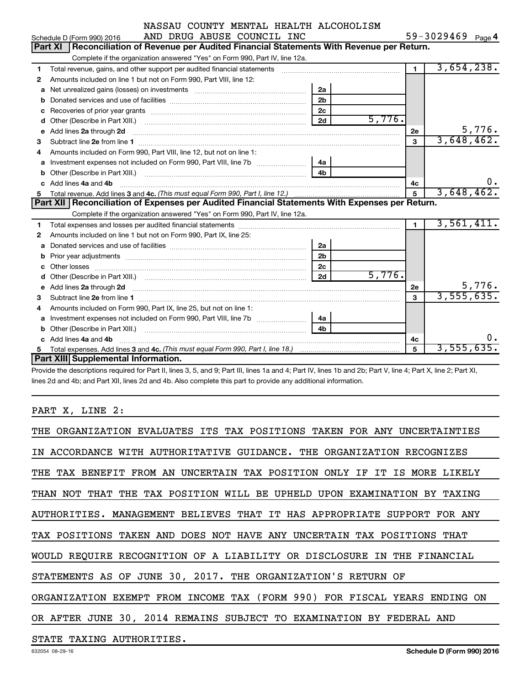| NASSAU COUNTY MENTAL HEALTH ALCOHOLISM |  |
|----------------------------------------|--|
|----------------------------------------|--|

|    | AND DRUG ABUSE COUNCIL INC<br>Schedule D (Form 990) 2016                                                                                                                                                                            |                |        |                | $59 - 3029469$ Page 4 |
|----|-------------------------------------------------------------------------------------------------------------------------------------------------------------------------------------------------------------------------------------|----------------|--------|----------------|-----------------------|
|    | <b>Part XI</b><br>Reconciliation of Revenue per Audited Financial Statements With Revenue per Return.                                                                                                                               |                |        |                |                       |
|    | Complete if the organization answered "Yes" on Form 990, Part IV, line 12a.                                                                                                                                                         |                |        |                |                       |
| 1. | Total revenue, gains, and other support per audited financial statements [11] [11] Total revenue, gains, and other support per audited financial statements                                                                         |                |        | $\mathbf{1}$   | 3,654,238.            |
| 2  | Amounts included on line 1 but not on Form 990, Part VIII, line 12:                                                                                                                                                                 |                |        |                |                       |
| a  | Net unrealized gains (losses) on investments [111] [12] matter and the unrealized gains (losses) on investments                                                                                                                     | 2a             |        |                |                       |
| b  |                                                                                                                                                                                                                                     | 2 <sub>b</sub> |        |                |                       |
| C  | Recoveries of prior year grants [11] matter contracts and prior year grants and prior year grants and prior year grants and prior year of the state of the state of the state of the state of the state of the state of the st      | 2c             |        |                |                       |
| d  | Other (Describe in Part XIII.) <b>Construction Contract Construction</b> Chern Construction Construction Construction                                                                                                               | 2d             | 5,776. |                |                       |
| e  | Add lines 2a through 2d                                                                                                                                                                                                             |                |        | 2e             | 5,776.                |
| 3  |                                                                                                                                                                                                                                     |                |        | 3              | 3,648,462.            |
|    | Amounts included on Form 990, Part VIII, line 12, but not on line 1:                                                                                                                                                                |                |        |                |                       |
| a  |                                                                                                                                                                                                                                     | 4a             |        |                |                       |
| b  |                                                                                                                                                                                                                                     | 4 <sub>b</sub> |        |                |                       |
|    | Add lines 4a and 4b                                                                                                                                                                                                                 |                |        | 4c             | 0.                    |
| 5  |                                                                                                                                                                                                                                     |                |        | 5              | 3,648,462.            |
|    | Part XII Reconciliation of Expenses per Audited Financial Statements With Expenses per Return.                                                                                                                                      |                |        |                |                       |
|    |                                                                                                                                                                                                                                     |                |        |                |                       |
|    | Complete if the organization answered "Yes" on Form 990, Part IV, line 12a.                                                                                                                                                         |                |        |                |                       |
| 1  |                                                                                                                                                                                                                                     |                |        | $\blacksquare$ | 3,561,411.            |
| 2  | Amounts included on line 1 but not on Form 990, Part IX, line 25:                                                                                                                                                                   |                |        |                |                       |
| a  |                                                                                                                                                                                                                                     | 2a             |        |                |                       |
| b  |                                                                                                                                                                                                                                     | 2 <sub>b</sub> |        |                |                       |
|    |                                                                                                                                                                                                                                     | 2c             |        |                |                       |
|    | Other (Describe in Part XIII.) (COLORGIAL CONSERVITY) (CONSERVITY) (CONSERVITY) (CONSERVITY) (CONSERVITY)                                                                                                                           | 2d             | 5,776. |                |                       |
| e  | Add lines 2a through 2d <b>[10]</b> University of the state of the state of the state of the state of the state of the state of the state of the state of the state of the state of the state of the state of the state of the stat |                |        | 2e             | 5,776.                |
| З  |                                                                                                                                                                                                                                     |                |        | $\mathbf{a}$   | 3,555,635.            |
| 4  | Amounts included on Form 990, Part IX, line 25, but not on line 1:                                                                                                                                                                  |                |        |                |                       |
| a  |                                                                                                                                                                                                                                     | 4a             |        |                |                       |
|    | Other (Describe in Part XIII.) (2000) (2000) (2000) (2010) (2010) (2010) (2010) (2010) (2010) (2010) (2010) (20                                                                                                                     | 4 <sub>h</sub> |        |                |                       |
| C. | Add lines 4a and 4b                                                                                                                                                                                                                 |                |        | 4с             | 0.                    |
|    | <b>Part XIII Supplemental Information.</b>                                                                                                                                                                                          |                |        | 5              | 3,555,635.            |

Provide the descriptions required for Part II, lines 3, 5, and 9; Part III, lines 1a and 4; Part IV, lines 1b and 2b; Part V, line 4; Part X, line 2; Part XI, lines 2d and 4b; and Part XII, lines 2d and 4b. Also complete this part to provide any additional information.

# PART X, LINE 2:

| THE ORGANIZATION EVALUATES ITS TAX POSITIONS TAKEN FOR ANY UNCERTAINTIES  |
|---------------------------------------------------------------------------|
| IN ACCORDANCE WITH AUTHORITATIVE GUIDANCE. THE ORGANIZATION RECOGNIZES    |
| THE TAX BENEFIT FROM AN UNCERTAIN TAX POSITION ONLY IF IT IS MORE LIKELY  |
| THAN NOT THAT THE TAX POSITION WILL BE UPHELD UPON EXAMINATION BY TAXING  |
| AUTHORITIES. MANAGEMENT BELIEVES THAT IT HAS APPROPRIATE SUPPORT FOR ANY  |
| TAX POSITIONS TAKEN AND DOES NOT HAVE ANY UNCERTAIN TAX POSITIONS THAT    |
| WOULD REQUIRE RECOGNITION OF A LIABILITY OR DISCLOSURE IN THE FINANCIAL   |
| STATEMENTS AS OF JUNE 30, 2017. THE ORGANIZATION'S RETURN OF              |
| ORGANIZATION EXEMPT FROM INCOME TAX (FORM 990) FOR FISCAL YEARS ENDING ON |
| OR AFTER JUNE 30, 2014 REMAINS SUBJECT TO EXAMINATION BY FEDERAL AND      |
| STATE TAXING AUTHORITIES.                                                 |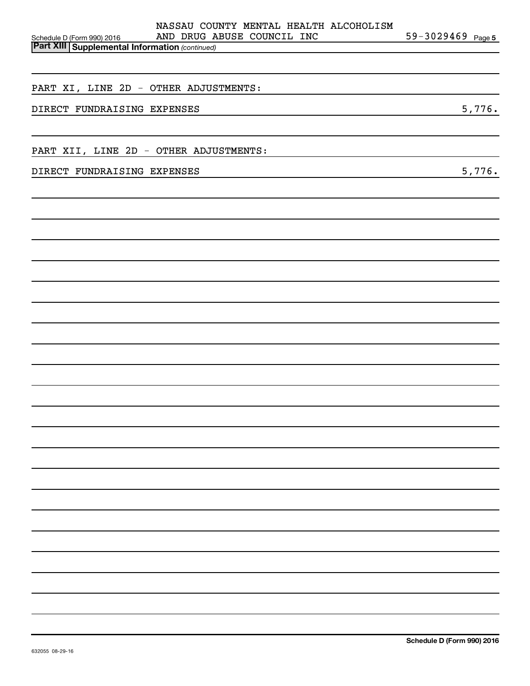| NASSAU COUNTY MENTAL HEALTH ALCOHOLISM<br>AND DRUG ABUSE COUNCIL INC         | 59-3029469 Page 5 |
|------------------------------------------------------------------------------|-------------------|
| Schedule D (Form 990) 2016<br>Part XIII Supplemental Information (continued) |                   |
|                                                                              |                   |
|                                                                              |                   |
| PART XI, LINE 2D - OTHER ADJUSTMENTS:                                        |                   |
| DIRECT FUNDRAISING EXPENSES                                                  | 5,776.            |
|                                                                              |                   |
|                                                                              |                   |
| PART XII, LINE 2D - OTHER ADJUSTMENTS:                                       |                   |
| DIRECT FUNDRAISING EXPENSES                                                  | 5,776.            |
|                                                                              |                   |
|                                                                              |                   |
|                                                                              |                   |
|                                                                              |                   |
|                                                                              |                   |
|                                                                              |                   |
|                                                                              |                   |
|                                                                              |                   |
|                                                                              |                   |
|                                                                              |                   |
|                                                                              |                   |
|                                                                              |                   |
|                                                                              |                   |
|                                                                              |                   |
|                                                                              |                   |
|                                                                              |                   |
|                                                                              |                   |
|                                                                              |                   |
|                                                                              |                   |
|                                                                              |                   |
|                                                                              |                   |
|                                                                              |                   |
|                                                                              |                   |
|                                                                              |                   |
|                                                                              |                   |
|                                                                              |                   |
|                                                                              |                   |
|                                                                              |                   |
|                                                                              |                   |
|                                                                              |                   |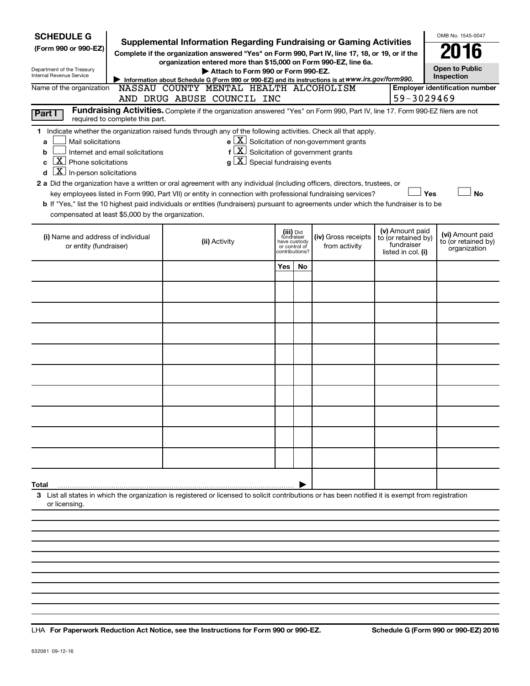| <b>SCHEDULE G</b><br>(Form 990 or 990-EZ)<br>Department of the Treasury<br>Internal Revenue Service                                                                              |                                  | Supplemental Information Regarding Fundraising or Gaming Activities<br>Complete if the organization answered "Yes" on Form 990, Part IV, line 17, 18, or 19, or if the<br>organization entered more than \$15,000 on Form 990-EZ, line 6a.<br>Attach to Form 990 or Form 990-EZ.<br>Information about Schedule G (Form 990 or 990-EZ) and its instructions is at WWW.irs.gov/form990.                                                                                                                                                                                                                          |                               |                                           |                                                              |                                                                            | OMB No. 1545-0047<br>016<br><b>Open to Public</b><br><b>Inspection</b> |
|----------------------------------------------------------------------------------------------------------------------------------------------------------------------------------|----------------------------------|----------------------------------------------------------------------------------------------------------------------------------------------------------------------------------------------------------------------------------------------------------------------------------------------------------------------------------------------------------------------------------------------------------------------------------------------------------------------------------------------------------------------------------------------------------------------------------------------------------------|-------------------------------|-------------------------------------------|--------------------------------------------------------------|----------------------------------------------------------------------------|------------------------------------------------------------------------|
| Name of the organization                                                                                                                                                         |                                  | NASSAU COUNTY MENTAL HEALTH ALCOHOLISM<br>AND DRUG ABUSE COUNCIL INC                                                                                                                                                                                                                                                                                                                                                                                                                                                                                                                                           |                               |                                           |                                                              | 59-3029469                                                                 | <b>Employer identification number</b>                                  |
| Part I                                                                                                                                                                           | required to complete this part.  | Fundraising Activities. Complete if the organization answered "Yes" on Form 990, Part IV, line 17. Form 990-EZ filers are not                                                                                                                                                                                                                                                                                                                                                                                                                                                                                  |                               |                                           |                                                              |                                                                            |                                                                        |
| Mail solicitations<br>a<br>b<br>$\lfloor x \rfloor$ Phone solicitations<br>c<br>$\overline{X}$ In-person solicitations<br>d<br>compensated at least \$5,000 by the organization. | Internet and email solicitations | 1 Indicate whether the organization raised funds through any of the following activities. Check all that apply.<br>$f\left[\frac{X}{X}\right]$ Solicitation of government grants<br>$g\mid X$ Special fundraising events<br>2 a Did the organization have a written or oral agreement with any individual (including officers, directors, trustees, or<br>key employees listed in Form 990, Part VII) or entity in connection with professional fundraising services?<br>b If "Yes," list the 10 highest paid individuals or entities (fundraisers) pursuant to agreements under which the fundraiser is to be |                               |                                           | $e$ $\boxed{\text{X}}$ Solicitation of non-government grants | Yes                                                                        | <b>No</b>                                                              |
| (i) Name and address of individual<br>or entity (fundraiser)                                                                                                                     |                                  | (ii) Activity                                                                                                                                                                                                                                                                                                                                                                                                                                                                                                                                                                                                  | have custody<br>or control of | (iii) Did<br>fundraiser<br>contributions? | (iv) Gross receipts<br>from activity                         | (v) Amount paid<br>to (or retained by)<br>fundraiser<br>listed in col. (i) | (vi) Amount paid<br>to (or retained by)<br>organization                |
|                                                                                                                                                                                  |                                  |                                                                                                                                                                                                                                                                                                                                                                                                                                                                                                                                                                                                                | Yes                           | No.                                       |                                                              |                                                                            |                                                                        |
|                                                                                                                                                                                  |                                  |                                                                                                                                                                                                                                                                                                                                                                                                                                                                                                                                                                                                                |                               |                                           |                                                              |                                                                            |                                                                        |
|                                                                                                                                                                                  |                                  |                                                                                                                                                                                                                                                                                                                                                                                                                                                                                                                                                                                                                |                               |                                           |                                                              |                                                                            |                                                                        |
|                                                                                                                                                                                  |                                  |                                                                                                                                                                                                                                                                                                                                                                                                                                                                                                                                                                                                                |                               |                                           |                                                              |                                                                            |                                                                        |
|                                                                                                                                                                                  |                                  |                                                                                                                                                                                                                                                                                                                                                                                                                                                                                                                                                                                                                |                               |                                           |                                                              |                                                                            |                                                                        |
|                                                                                                                                                                                  |                                  |                                                                                                                                                                                                                                                                                                                                                                                                                                                                                                                                                                                                                |                               |                                           |                                                              |                                                                            |                                                                        |
|                                                                                                                                                                                  |                                  |                                                                                                                                                                                                                                                                                                                                                                                                                                                                                                                                                                                                                |                               |                                           |                                                              |                                                                            |                                                                        |
|                                                                                                                                                                                  |                                  |                                                                                                                                                                                                                                                                                                                                                                                                                                                                                                                                                                                                                |                               |                                           |                                                              |                                                                            |                                                                        |
|                                                                                                                                                                                  |                                  |                                                                                                                                                                                                                                                                                                                                                                                                                                                                                                                                                                                                                |                               |                                           |                                                              |                                                                            |                                                                        |
|                                                                                                                                                                                  |                                  |                                                                                                                                                                                                                                                                                                                                                                                                                                                                                                                                                                                                                |                               |                                           |                                                              |                                                                            |                                                                        |
| Total                                                                                                                                                                            |                                  |                                                                                                                                                                                                                                                                                                                                                                                                                                                                                                                                                                                                                |                               |                                           |                                                              |                                                                            |                                                                        |
| or licensing.                                                                                                                                                                    |                                  | 3 List all states in which the organization is registered or licensed to solicit contributions or has been notified it is exempt from registration                                                                                                                                                                                                                                                                                                                                                                                                                                                             |                               |                                           |                                                              |                                                                            |                                                                        |
|                                                                                                                                                                                  |                                  |                                                                                                                                                                                                                                                                                                                                                                                                                                                                                                                                                                                                                |                               |                                           |                                                              |                                                                            |                                                                        |
|                                                                                                                                                                                  |                                  |                                                                                                                                                                                                                                                                                                                                                                                                                                                                                                                                                                                                                |                               |                                           |                                                              |                                                                            |                                                                        |
|                                                                                                                                                                                  |                                  |                                                                                                                                                                                                                                                                                                                                                                                                                                                                                                                                                                                                                |                               |                                           |                                                              |                                                                            |                                                                        |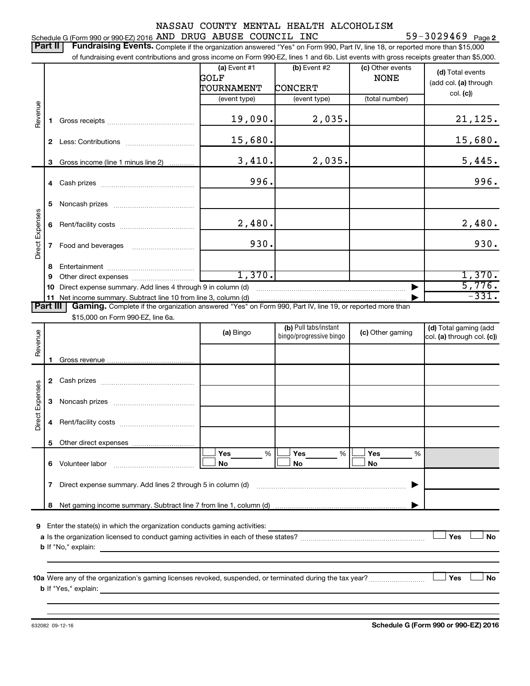NASSAU COUNTY MENTAL HEALTH ALCOHOLISM 59-3029469 <sub>Page 2</sub> Schedule G (Form 990 or 990-EZ) 2016 AND DRUG ABUSE COUNCIL INC  $59-3029469$  Page Part II | Fundraising Events. Complete if the organization answered "Yes" on Form 990, Part IV, line 18, or reported more than \$15,000 of fundraising event contributions and gross income on Form 990-EZ, lines 1 and 6b. List events with gross receipts greater than \$5,000. **(a)** Event  $#1$  **(b)** Event  $#2$ (c) Other events **(d)**  Total events GOLF NONE (add col. (a) through TOURNAMENT CONCERT col. **(c)**) (event type) (event type) (total number) Revenue 19,090. 2,035. 21,125. **1** Gross receipts ~~~~~~~~~~~~~~ 15,680. 15,680. **2** Less: Contributions ~~~~~~~~~~~  $3,410.$  2,035. 1 5,445. **3** Gross income (line 1 minus line 2) . . . . . . . . . . . . 996. 996. **4** Cash prizes ~~~~~~~~~~~~~~~ **5** Noncash prizes ~~~~~~~~~~~~~ Direct Expenses Direct Expenses 2,480. 2,480. **6** Rent/facility costs ~~~~~~~~~~~~ 930. 930. **7** Food and beverages **with the State Proof 8** Entertainment ~~~~~~~~~~~~~~ 1,370. 1,370. **9** Other direct expenses  $\ldots$  **............................** 5,776. **10** Direct expense summary. Add lines 4 through 9 in column (d) ~~~~~~~~~~~~~~~~~~~~~~~~ | -331.**11** Net income summary. Subtract line 10 from line 3, column (d) | Part III | Gaming. Complete if the organization answered "Yes" on Form 990, Part IV, line 19, or reported more than \$15,000 on Form 990-EZ, line 6a. (b) Pull tabs/instant (d) Total gaming (add **(a)** Bingo **a b ingo**/progressive bingo **(c)** Other gaming Revenue bingo/progressive bingo col. (a) through col. (c)) **1** Gross revenue ... **2** Cash prizes ~~~~~~~~~~~~~~~ Direct Expenses Direct Expenses **3** Noncash prizes ~~~~~~~~~~~~~ **4** Rent/facility costs ~~~~~~~~~~~~ **5** Other direct expenses  $|\Box$  Yes  $\qquad \%$   $|\Box$  Yes  $\qquad \%$   $|\Box$ **Yes Yes Yes** % % %  $|\Box$  No  $|\Box$  No  $|\Box$ **6** Volunteer labor ~~~~~~~~~~~~~ **No No No 7** Direct expense summary. Add lines 2 through 5 in column (d) ~~~~~~~~~~~~~~~~~~~~~~~~ |

**9** Enter the state(s) in which the organization conducts gaming activities:

**8** Net gaming income summary. Subtract line 7 from line 1, column (d)

| a Is the organization licensed to conduct gaming activities in each of these states? |  | No |
|--------------------------------------------------------------------------------------|--|----|
| <b>b</b> If "No," explain:                                                           |  |    |

|

**10 a Yes No** Were any of the organization's gaming licenses revoked, suspended, or terminated during the tax year? ~~~~~~~~~ † † **b** If "Yes," explain:

632082 09-12-16

**Schedule G (Form 990 or 990-EZ) 2016**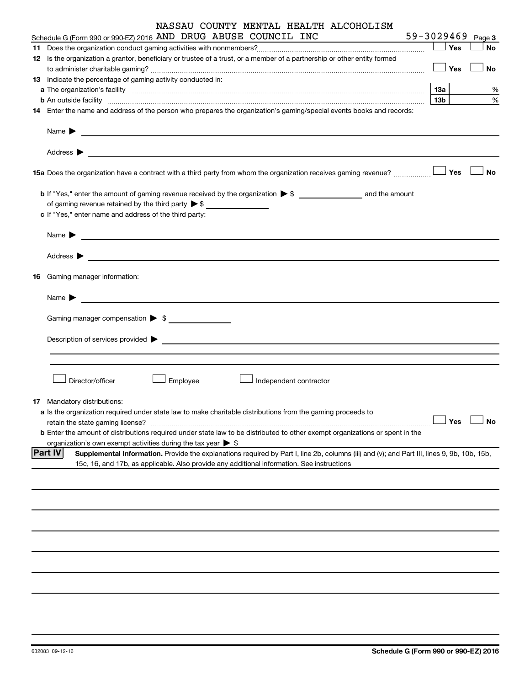|    | NASSAU COUNTY MENTAL HEALTH ALCOHOLISM                                                                                                                                                                                                                                                              |                   |           |
|----|-----------------------------------------------------------------------------------------------------------------------------------------------------------------------------------------------------------------------------------------------------------------------------------------------------|-------------------|-----------|
|    | Schedule G (Form 990 or 990-EZ) 2016 AND DRUG ABUSE COUNCIL INC                                                                                                                                                                                                                                     | 59-3029469 Page 3 |           |
|    |                                                                                                                                                                                                                                                                                                     | $\Box$ Yes        | No        |
|    | 12 Is the organization a grantor, beneficiary or trustee of a trust, or a member of a partnership or other entity formed                                                                                                                                                                            |                   |           |
|    |                                                                                                                                                                                                                                                                                                     | $\Box$ Yes        | No        |
|    | 13 Indicate the percentage of gaming activity conducted in:<br>a The organization's facility <b>contract to the contract of the contract of the contract of the contract of the contract of the contract of the contract of the contract of the contract of the contract of the contract of the</b> |                   | %         |
|    | b An outside facility www.communications.com/news/communications.com/news/communications.com/news/communicatio                                                                                                                                                                                      | 13 <sub>b</sub>   | $\%$      |
|    | 14 Enter the name and address of the person who prepares the organization's gaming/special events books and records:                                                                                                                                                                                |                   |           |
|    |                                                                                                                                                                                                                                                                                                     |                   |           |
|    | Name $\blacktriangleright$<br><u> 1989 - Johann Barn, fransk politik amerikansk politik (d. 1989)</u>                                                                                                                                                                                               |                   |           |
|    | Address $\blacktriangleright$<br>and the control of the control of the control of the control of the control of the control of the control of the                                                                                                                                                   |                   |           |
|    |                                                                                                                                                                                                                                                                                                     |                   | <b>No</b> |
|    |                                                                                                                                                                                                                                                                                                     |                   |           |
|    | of gaming revenue retained by the third party $\triangleright$ \$                                                                                                                                                                                                                                   |                   |           |
|    | c If "Yes," enter name and address of the third party:                                                                                                                                                                                                                                              |                   |           |
|    |                                                                                                                                                                                                                                                                                                     |                   |           |
|    | Name $\blacktriangleright$<br><u> 1989 - John Harry Harry Harry Harry Harry Harry Harry Harry Harry Harry Harry Harry Harry Harry Harry Harry H</u>                                                                                                                                                 |                   |           |
|    |                                                                                                                                                                                                                                                                                                     |                   |           |
|    | Address $\blacktriangleright$                                                                                                                                                                                                                                                                       |                   |           |
| 16 | Gaming manager information:                                                                                                                                                                                                                                                                         |                   |           |
|    |                                                                                                                                                                                                                                                                                                     |                   |           |
|    | Name $\blacktriangleright$<br><u> 1980 - Jan Barnett, fransk politiker (d. 1980)</u>                                                                                                                                                                                                                |                   |           |
|    | Gaming manager compensation > \$                                                                                                                                                                                                                                                                    |                   |           |
|    |                                                                                                                                                                                                                                                                                                     |                   |           |
|    | Description of services provided > example and the contract of the contract of the contract of the contract of                                                                                                                                                                                      |                   |           |
|    |                                                                                                                                                                                                                                                                                                     |                   |           |
|    |                                                                                                                                                                                                                                                                                                     |                   |           |
|    | Director/officer<br>Employee<br>Independent contractor                                                                                                                                                                                                                                              |                   |           |
|    |                                                                                                                                                                                                                                                                                                     |                   |           |
|    | 17 Mandatory distributions:                                                                                                                                                                                                                                                                         |                   |           |
|    | a Is the organization required under state law to make charitable distributions from the gaming proceeds to                                                                                                                                                                                         |                   |           |
|    | retain the state gaming license?                                                                                                                                                                                                                                                                    | Yes               | <b>No</b> |
|    | <b>b</b> Enter the amount of distributions required under state law to be distributed to other exempt organizations or spent in the                                                                                                                                                                 |                   |           |
|    | organization's own exempt activities during the tax year $\triangleright$ \$                                                                                                                                                                                                                        |                   |           |
|    | <b>Part IV</b><br>Supplemental Information. Provide the explanations required by Part I, line 2b, columns (iii) and (v); and Part III, lines 9, 9b, 10b, 15b,<br>15c, 16, and 17b, as applicable. Also provide any additional information. See instructions                                         |                   |           |
|    |                                                                                                                                                                                                                                                                                                     |                   |           |
|    |                                                                                                                                                                                                                                                                                                     |                   |           |
|    |                                                                                                                                                                                                                                                                                                     |                   |           |
|    |                                                                                                                                                                                                                                                                                                     |                   |           |
|    |                                                                                                                                                                                                                                                                                                     |                   |           |
|    |                                                                                                                                                                                                                                                                                                     |                   |           |
|    |                                                                                                                                                                                                                                                                                                     |                   |           |
|    |                                                                                                                                                                                                                                                                                                     |                   |           |
|    |                                                                                                                                                                                                                                                                                                     |                   |           |
|    |                                                                                                                                                                                                                                                                                                     |                   |           |
|    |                                                                                                                                                                                                                                                                                                     |                   |           |
|    |                                                                                                                                                                                                                                                                                                     |                   |           |
|    |                                                                                                                                                                                                                                                                                                     |                   |           |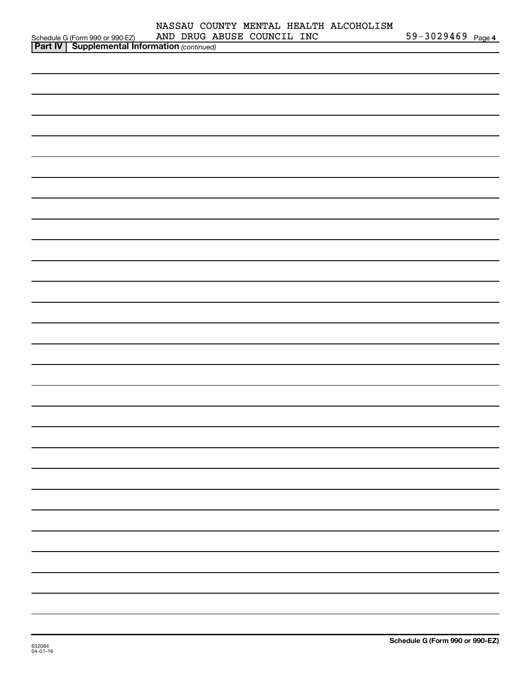|                                                                                                     | NASSAU COUNTY MENTAL HEALTH ALCOHOLISM<br>AND DRUG ABUSE COUNCIL INC | $59 - 3029469$ Page 4 |  |
|-----------------------------------------------------------------------------------------------------|----------------------------------------------------------------------|-----------------------|--|
| Schedule G (Form 990 or 990-EZ) AND DRUG A<br><b>Part IV   Supplemental Information</b> (continued) |                                                                      |                       |  |
|                                                                                                     |                                                                      |                       |  |
|                                                                                                     |                                                                      |                       |  |
|                                                                                                     |                                                                      |                       |  |
|                                                                                                     |                                                                      |                       |  |
|                                                                                                     |                                                                      |                       |  |
|                                                                                                     |                                                                      |                       |  |
|                                                                                                     |                                                                      |                       |  |
|                                                                                                     |                                                                      |                       |  |
|                                                                                                     |                                                                      |                       |  |
|                                                                                                     |                                                                      |                       |  |
|                                                                                                     |                                                                      |                       |  |
|                                                                                                     |                                                                      |                       |  |
|                                                                                                     |                                                                      |                       |  |
|                                                                                                     |                                                                      |                       |  |
|                                                                                                     |                                                                      |                       |  |
|                                                                                                     |                                                                      |                       |  |
|                                                                                                     |                                                                      |                       |  |
|                                                                                                     |                                                                      |                       |  |
|                                                                                                     |                                                                      |                       |  |
|                                                                                                     |                                                                      |                       |  |
|                                                                                                     |                                                                      |                       |  |
|                                                                                                     |                                                                      |                       |  |
|                                                                                                     |                                                                      |                       |  |
|                                                                                                     |                                                                      |                       |  |
|                                                                                                     |                                                                      |                       |  |
|                                                                                                     |                                                                      |                       |  |
|                                                                                                     |                                                                      |                       |  |
|                                                                                                     |                                                                      |                       |  |
|                                                                                                     |                                                                      |                       |  |
|                                                                                                     |                                                                      |                       |  |
|                                                                                                     |                                                                      |                       |  |
|                                                                                                     |                                                                      |                       |  |
|                                                                                                     |                                                                      |                       |  |
|                                                                                                     |                                                                      |                       |  |
|                                                                                                     |                                                                      |                       |  |
|                                                                                                     |                                                                      |                       |  |
|                                                                                                     |                                                                      |                       |  |
|                                                                                                     |                                                                      |                       |  |
|                                                                                                     |                                                                      |                       |  |
|                                                                                                     |                                                                      |                       |  |
|                                                                                                     |                                                                      |                       |  |
|                                                                                                     |                                                                      |                       |  |
|                                                                                                     |                                                                      |                       |  |
|                                                                                                     |                                                                      |                       |  |
|                                                                                                     |                                                                      |                       |  |
|                                                                                                     |                                                                      |                       |  |
|                                                                                                     |                                                                      |                       |  |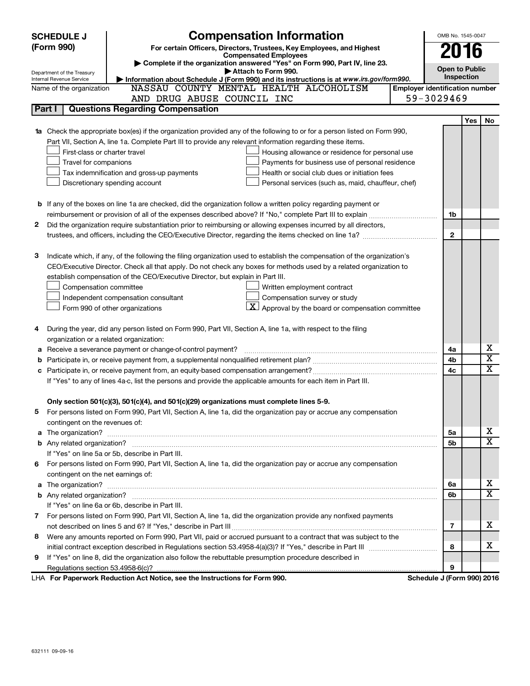|    | <b>SCHEDULE J</b>                                                                                             | <b>Compensation Information</b>                                                                                                                                                                                                                 |                                       | OMB No. 1545-0047          |     |                         |  |  |
|----|---------------------------------------------------------------------------------------------------------------|-------------------------------------------------------------------------------------------------------------------------------------------------------------------------------------------------------------------------------------------------|---------------------------------------|----------------------------|-----|-------------------------|--|--|
|    | (Form 990)                                                                                                    | For certain Officers, Directors, Trustees, Key Employees, and Highest                                                                                                                                                                           |                                       |                            |     |                         |  |  |
|    |                                                                                                               |                                                                                                                                                                                                                                                 | 2016                                  |                            |     |                         |  |  |
|    | Department of the Treasury                                                                                    | Complete if the organization answered "Yes" on Form 990, Part IV, line 23.<br>Attach to Form 990.                                                                                                                                               |                                       | <b>Open to Public</b>      |     |                         |  |  |
|    | Internal Revenue Service                                                                                      | Information about Schedule J (Form 990) and its instructions is at www.irs.gov/form990.                                                                                                                                                         |                                       | Inspection                 |     |                         |  |  |
|    | Name of the organization                                                                                      | NASSAU COUNTY MENTAL HEALTH ALCOHOLISM                                                                                                                                                                                                          | <b>Employer identification number</b> |                            |     |                         |  |  |
|    |                                                                                                               | AND DRUG ABUSE COUNCIL INC                                                                                                                                                                                                                      |                                       | 59-3029469                 |     |                         |  |  |
|    | Part I                                                                                                        | <b>Questions Regarding Compensation</b>                                                                                                                                                                                                         |                                       |                            |     |                         |  |  |
|    |                                                                                                               |                                                                                                                                                                                                                                                 |                                       |                            | Yes | No                      |  |  |
| 1a |                                                                                                               | Check the appropriate box(es) if the organization provided any of the following to or for a person listed on Form 990,                                                                                                                          |                                       |                            |     |                         |  |  |
|    |                                                                                                               | Part VII, Section A, line 1a. Complete Part III to provide any relevant information regarding these items.                                                                                                                                      |                                       |                            |     |                         |  |  |
|    | First-class or charter travel                                                                                 | Housing allowance or residence for personal use                                                                                                                                                                                                 |                                       |                            |     |                         |  |  |
|    | Travel for companions                                                                                         | Payments for business use of personal residence                                                                                                                                                                                                 |                                       |                            |     |                         |  |  |
|    |                                                                                                               | Health or social club dues or initiation fees<br>Tax indemnification and gross-up payments                                                                                                                                                      |                                       |                            |     |                         |  |  |
|    |                                                                                                               | Discretionary spending account<br>Personal services (such as, maid, chauffeur, chef)                                                                                                                                                            |                                       |                            |     |                         |  |  |
|    |                                                                                                               |                                                                                                                                                                                                                                                 |                                       |                            |     |                         |  |  |
|    |                                                                                                               | <b>b</b> If any of the boxes on line 1a are checked, did the organization follow a written policy regarding payment or                                                                                                                          |                                       |                            |     |                         |  |  |
|    |                                                                                                               |                                                                                                                                                                                                                                                 |                                       | 1b                         |     |                         |  |  |
| 2  |                                                                                                               | Did the organization require substantiation prior to reimbursing or allowing expenses incurred by all directors,                                                                                                                                |                                       |                            |     |                         |  |  |
|    |                                                                                                               |                                                                                                                                                                                                                                                 |                                       | $\mathbf{2}$               |     |                         |  |  |
|    |                                                                                                               |                                                                                                                                                                                                                                                 |                                       |                            |     |                         |  |  |
| 3  |                                                                                                               | Indicate which, if any, of the following the filing organization used to establish the compensation of the organization's<br>CEO/Executive Director. Check all that apply. Do not check any boxes for methods used by a related organization to |                                       |                            |     |                         |  |  |
|    |                                                                                                               | establish compensation of the CEO/Executive Director, but explain in Part III.                                                                                                                                                                  |                                       |                            |     |                         |  |  |
|    | Compensation committee                                                                                        | Written employment contract                                                                                                                                                                                                                     |                                       |                            |     |                         |  |  |
|    |                                                                                                               |                                                                                                                                                                                                                                                 |                                       |                            |     |                         |  |  |
|    |                                                                                                               | Compensation survey or study<br>Independent compensation consultant<br>$ \mathbf{X} $ Approval by the board or compensation committee<br>Form 990 of other organizations                                                                        |                                       |                            |     |                         |  |  |
|    |                                                                                                               |                                                                                                                                                                                                                                                 |                                       |                            |     |                         |  |  |
| 4  |                                                                                                               | During the year, did any person listed on Form 990, Part VII, Section A, line 1a, with respect to the filing                                                                                                                                    |                                       |                            |     |                         |  |  |
|    | organization or a related organization:                                                                       |                                                                                                                                                                                                                                                 |                                       |                            |     |                         |  |  |
| а  |                                                                                                               | Receive a severance payment or change-of-control payment?                                                                                                                                                                                       |                                       | 4a                         |     | х                       |  |  |
| b  |                                                                                                               |                                                                                                                                                                                                                                                 |                                       | 4b                         |     | $\overline{\textbf{X}}$ |  |  |
| с  |                                                                                                               |                                                                                                                                                                                                                                                 |                                       | 4c                         |     | X                       |  |  |
|    | If "Yes" to any of lines 4a-c, list the persons and provide the applicable amounts for each item in Part III. |                                                                                                                                                                                                                                                 |                                       |                            |     |                         |  |  |
|    |                                                                                                               |                                                                                                                                                                                                                                                 |                                       |                            |     |                         |  |  |
|    |                                                                                                               | Only section 501(c)(3), 501(c)(4), and 501(c)(29) organizations must complete lines 5-9.                                                                                                                                                        |                                       |                            |     |                         |  |  |
|    |                                                                                                               | For persons listed on Form 990, Part VII, Section A, line 1a, did the organization pay or accrue any compensation                                                                                                                               |                                       |                            |     |                         |  |  |
|    | contingent on the revenues of:                                                                                |                                                                                                                                                                                                                                                 |                                       |                            |     |                         |  |  |
|    |                                                                                                               |                                                                                                                                                                                                                                                 |                                       | 5a                         |     | х                       |  |  |
|    |                                                                                                               |                                                                                                                                                                                                                                                 |                                       | 5b                         |     | X                       |  |  |
|    |                                                                                                               | If "Yes" on line 5a or 5b, describe in Part III.                                                                                                                                                                                                |                                       |                            |     |                         |  |  |
| 6  |                                                                                                               | For persons listed on Form 990, Part VII, Section A, line 1a, did the organization pay or accrue any compensation                                                                                                                               |                                       |                            |     |                         |  |  |
|    | contingent on the net earnings of:                                                                            |                                                                                                                                                                                                                                                 |                                       |                            |     |                         |  |  |
|    |                                                                                                               |                                                                                                                                                                                                                                                 |                                       | 6а                         |     | х                       |  |  |
|    |                                                                                                               |                                                                                                                                                                                                                                                 |                                       | 6b                         |     | $\overline{\text{X}}$   |  |  |
|    |                                                                                                               | If "Yes" on line 6a or 6b, describe in Part III.                                                                                                                                                                                                |                                       |                            |     |                         |  |  |
|    |                                                                                                               | 7 For persons listed on Form 990, Part VII, Section A, line 1a, did the organization provide any nonfixed payments                                                                                                                              |                                       |                            |     |                         |  |  |
|    |                                                                                                               |                                                                                                                                                                                                                                                 |                                       | 7                          |     | x                       |  |  |
| 8  |                                                                                                               | Were any amounts reported on Form 990, Part VII, paid or accrued pursuant to a contract that was subject to the                                                                                                                                 |                                       |                            |     |                         |  |  |
|    |                                                                                                               |                                                                                                                                                                                                                                                 |                                       | 8                          |     | x                       |  |  |
| 9  |                                                                                                               | If "Yes" on line 8, did the organization also follow the rebuttable presumption procedure described in                                                                                                                                          |                                       |                            |     |                         |  |  |
|    |                                                                                                               |                                                                                                                                                                                                                                                 |                                       | 9                          |     |                         |  |  |
|    |                                                                                                               | LHA For Paperwork Reduction Act Notice, see the Instructions for Form 990.                                                                                                                                                                      |                                       | Schedule J (Form 990) 2016 |     |                         |  |  |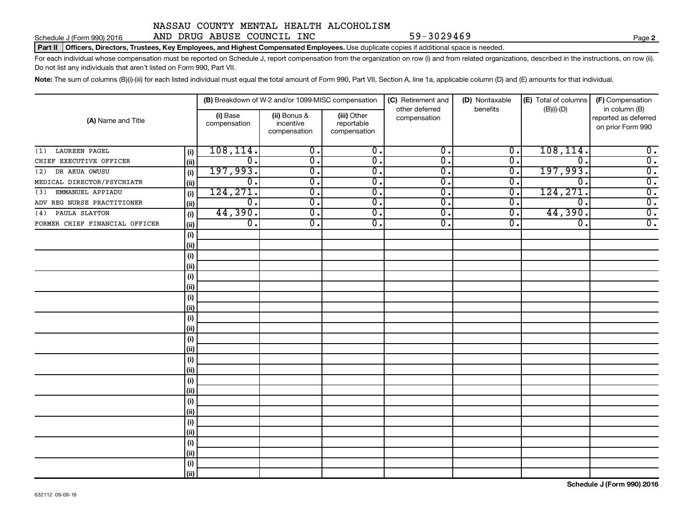Schedule J (Form 990) 2016 AND DRUG ABUSE COUNCIL INC 59-3029469

**2**

Part II | Officers, Directors, Trustees, Key Employees, and Highest Compensated Employees. Use duplicate copies if additional space is needed.

For each individual whose compensation must be reported on Schedule J, report compensation from the organization on row (i) and from related organizations, described in the instructions, on row (ii). Do not list any individuals that aren't listed on Form 990, Part VII.

Note: The sum of columns (B)(i)-(iii) for each listed individual must equal the total amount of Form 990, Part VII, Section A, line 1a, applicable column (D) and (E) amounts for that individual.

|                                |             |                          | (B) Breakdown of W-2 and/or 1099-MISC compensation |                                           | (C) Retirement and             | (D) Nontaxable              | (E) Total of columns        | (F) Compensation                                           |  |
|--------------------------------|-------------|--------------------------|----------------------------------------------------|-------------------------------------------|--------------------------------|-----------------------------|-----------------------------|------------------------------------------------------------|--|
| (A) Name and Title             |             | (i) Base<br>compensation | (ii) Bonus &<br>incentive<br>compensation          | (iii) Other<br>reportable<br>compensation | other deferred<br>compensation | benefits                    | $(B)(i)-(D)$                | in column (B)<br>reported as deferred<br>on prior Form 990 |  |
| <b>LAUREEN PAGEL</b><br>(1)    | (i)         | 108, 114.                | $\overline{0}$ .                                   | $\overline{\mathfrak{o}}$ .               | $\overline{0}$ .               | $\overline{\mathfrak{o}}$ . | 108, 114.                   | $\overline{0}$ .                                           |  |
| CHIEF EXECUTIVE OFFICER        | (ii)        | $\overline{0}$ .         | $\overline{0}$ .                                   | σ.                                        | $\overline{\mathfrak{o}}$ .    | $\overline{0}$ .            | $\overline{\mathfrak{o}}$ . | $\overline{0}$ .                                           |  |
| DR AKUA OWUSU<br>(2)           | (i)         | 197,993.                 | $\overline{0}$ .                                   | σ.                                        | σ.                             | σ.                          | 197,993.                    | $\overline{0}$ .                                           |  |
| MEDICAL DIRECTOR/PSYCHIATR     | (ii)        | $\overline{0}$ .         | $\overline{0}$ .                                   | σ.                                        | σ.                             | $\overline{0}$ .            | $\overline{\mathfrak{o}}$ . | $\overline{0}$ .                                           |  |
| EMMANUEL APPIADU<br>(3)        | (i)         | 124, 271.                | $\overline{0}$ .                                   | σ.                                        | σ.                             | $\overline{0}$ .            | 124, 271.                   | $\overline{0}$ .                                           |  |
| ADV REG NURSE PRACTITIONER     | (ii)        | $\overline{0}$ .         | $\overline{0}$ .                                   | $\overline{0}$ .                          | $\overline{0}$ .               | $\overline{0}$ .            | σ.                          | $\overline{0}$ .                                           |  |
| PAULA SLAYTON<br>(4)           | (i)         | 44,390.                  | $\overline{0}$ .                                   | $\overline{0}$ .                          | $\overline{0}$ .               | $\overline{0}$ .            | 44,390.                     | $\overline{0}$ .                                           |  |
| FORMER CHIEF FINANCIAL OFFICER | (ii)        | $\overline{0}$ .         | $\overline{0}$ .                                   | $\overline{0}$ .                          | σ.                             | σ.                          | $\overline{0}$ .            | $\overline{0}$ .                                           |  |
|                                | $(\sf{i})$  |                          |                                                    |                                           |                                |                             |                             |                                                            |  |
|                                | (ii)        |                          |                                                    |                                           |                                |                             |                             |                                                            |  |
|                                | (i)         |                          |                                                    |                                           |                                |                             |                             |                                                            |  |
|                                | (ii)        |                          |                                                    |                                           |                                |                             |                             |                                                            |  |
|                                | (i)         |                          |                                                    |                                           |                                |                             |                             |                                                            |  |
|                                | (ii)        |                          |                                                    |                                           |                                |                             |                             |                                                            |  |
|                                | (i)         |                          |                                                    |                                           |                                |                             |                             |                                                            |  |
|                                | (ii)        |                          |                                                    |                                           |                                |                             |                             |                                                            |  |
|                                | (i)         |                          |                                                    |                                           |                                |                             |                             |                                                            |  |
|                                | (ii)        |                          |                                                    |                                           |                                |                             |                             |                                                            |  |
|                                | (i)         |                          |                                                    |                                           |                                |                             |                             |                                                            |  |
|                                | (ii)        |                          |                                                    |                                           |                                |                             |                             |                                                            |  |
|                                | (i)         |                          |                                                    |                                           |                                |                             |                             |                                                            |  |
|                                | (ii)        |                          |                                                    |                                           |                                |                             |                             |                                                            |  |
|                                | (i)         |                          |                                                    |                                           |                                |                             |                             |                                                            |  |
|                                | (ii)        |                          |                                                    |                                           |                                |                             |                             |                                                            |  |
|                                | (i)         |                          |                                                    |                                           |                                |                             |                             |                                                            |  |
|                                | (ii)        |                          |                                                    |                                           |                                |                             |                             |                                                            |  |
|                                | (i)<br>(ii) |                          |                                                    |                                           |                                |                             |                             |                                                            |  |
|                                |             |                          |                                                    |                                           |                                |                             |                             |                                                            |  |
|                                | (i)<br>(ii) |                          |                                                    |                                           |                                |                             |                             |                                                            |  |
|                                | (i)         |                          |                                                    |                                           |                                |                             |                             |                                                            |  |
|                                | (ii)        |                          |                                                    |                                           |                                |                             |                             |                                                            |  |
|                                |             |                          |                                                    |                                           |                                |                             |                             |                                                            |  |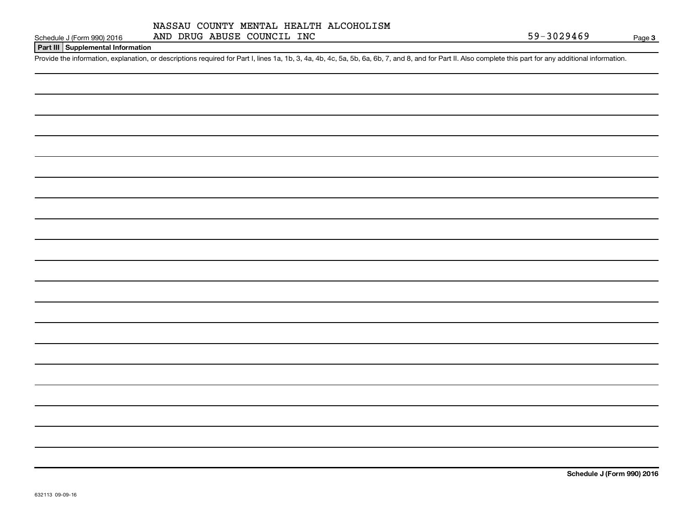**Part III Supplemental Information**

Provide the information, explanation, or descriptions required for Part I, lines 1a, 1b, 3, 4a, 4b, 4c, 5a, 5b, 6a, 6b, 7, and 8, and for Part II. Also complete this part for any additional information.

**Schedule J (Form 990) 2016**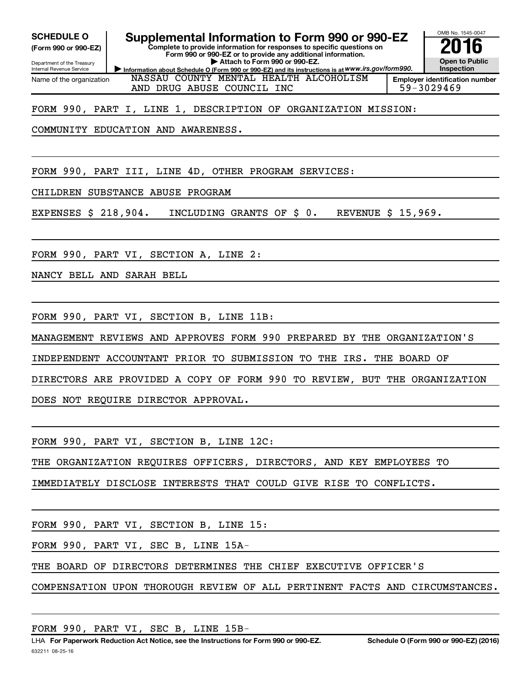**(Form 990 or 990-EZ)**

Department of the Treasury Internal Revenue Service Name of the organization

**SCHEDULE O Supplemental Information to Form 990 or 990-EZ 2016**

**Information about Schedule O (Form 990 or 990-EZ) and its instructions is at WWW.irs.gov/form990. Complete to provide information for responses to specific questions on Form 990 or 990-EZ or to provide any additional information. | Attach to Form 990 or 990-EZ.**



NASSAU COUNTY MENTAL HEALTH ALCOHOLISM AND DRUG ABUSE COUNCIL INC  $\vert$  59-3029469

FORM 990, PART I, LINE 1, DESCRIPTION OF ORGANIZATION MISSION:

COMMUNITY EDUCATION AND AWARENESS.

FORM 990, PART III, LINE 4D, OTHER PROGRAM SERVICES:

CHILDREN SUBSTANCE ABUSE PROGRAM

EXPENSES \$ 218,904. INCLUDING GRANTS OF \$ 0. REVENUE \$ 15,969.

FORM 990, PART VI, SECTION A, LINE 2:

NANCY BELL AND SARAH BELL

FORM 990, PART VI, SECTION B, LINE 11B:

MANAGEMENT REVIEWS AND APPROVES FORM 990 PREPARED BY THE ORGANIZATION'S

INDEPENDENT ACCOUNTANT PRIOR TO SUBMISSION TO THE IRS. THE BOARD OF

DIRECTORS ARE PROVIDED A COPY OF FORM 990 TO REVIEW, BUT THE ORGANIZATION

DOES NOT REQUIRE DIRECTOR APPROVAL.

FORM 990, PART VI, SECTION B, LINE 12C:

THE ORGANIZATION REQUIRES OFFICERS, DIRECTORS, AND KEY EMPLOYEES TO

IMMEDIATELY DISCLOSE INTERESTS THAT COULD GIVE RISE TO CONFLICTS.

FORM 990, PART VI, SECTION B, LINE 15:

FORM 990, PART VI, SEC B, LINE 15A-

THE BOARD OF DIRECTORS DETERMINES THE CHIEF EXECUTIVE OFFICER'S

COMPENSATION UPON THOROUGH REVIEW OF ALL PERTINENT FACTS AND CIRCUMSTANCES.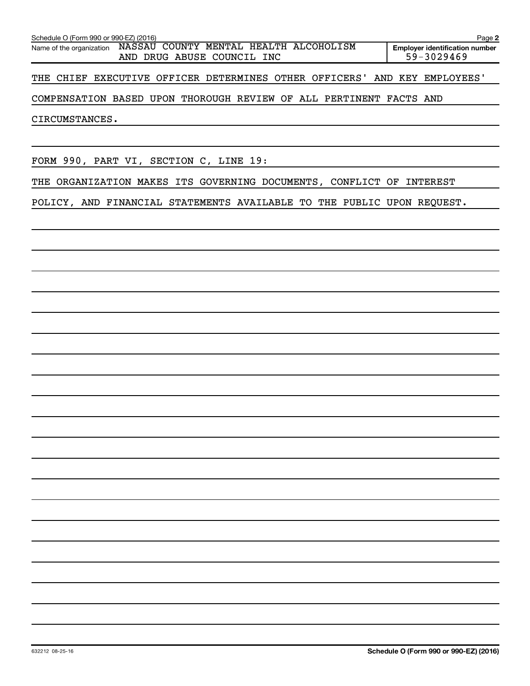|                 | Name of the organization  NASSAU  COUNTY  MENTAL  HEALTH  ALCOHOLISM<br>AND DRUG ABUSE COUNCIL INC |  | <b>Employer identification number</b><br>59-3029469 |
|-----------------|----------------------------------------------------------------------------------------------------|--|-----------------------------------------------------|
|                 | THE CHIEF EXECUTIVE OFFICER DETERMINES OTHER OFFICERS' AND KEY EMPLOYEES'                          |  |                                                     |
|                 | COMPENSATION BASED UPON THOROUGH REVIEW OF ALL PERTINENT FACTS AND                                 |  |                                                     |
| CIRCUMSTANCES.  |                                                                                                    |  |                                                     |
|                 |                                                                                                    |  |                                                     |
|                 | FORM 990, PART VI, SECTION C, LINE 19:                                                             |  |                                                     |
|                 | THE ORGANIZATION MAKES ITS GOVERNING DOCUMENTS, CONFLICT OF INTEREST                               |  |                                                     |
|                 | POLICY, AND FINANCIAL STATEMENTS AVAILABLE TO THE PUBLIC UPON REQUEST.                             |  |                                                     |
|                 |                                                                                                    |  |                                                     |
|                 |                                                                                                    |  |                                                     |
|                 |                                                                                                    |  |                                                     |
|                 |                                                                                                    |  |                                                     |
|                 |                                                                                                    |  |                                                     |
|                 |                                                                                                    |  |                                                     |
|                 |                                                                                                    |  |                                                     |
|                 |                                                                                                    |  |                                                     |
|                 |                                                                                                    |  |                                                     |
|                 |                                                                                                    |  |                                                     |
|                 |                                                                                                    |  |                                                     |
|                 |                                                                                                    |  |                                                     |
|                 |                                                                                                    |  |                                                     |
|                 |                                                                                                    |  |                                                     |
|                 |                                                                                                    |  |                                                     |
|                 |                                                                                                    |  |                                                     |
|                 |                                                                                                    |  |                                                     |
|                 |                                                                                                    |  |                                                     |
|                 |                                                                                                    |  |                                                     |
|                 |                                                                                                    |  |                                                     |
|                 |                                                                                                    |  |                                                     |
| 632212 08-25-16 |                                                                                                    |  | Schedule O (Form 990 or 990-EZ) (2016)              |
|                 |                                                                                                    |  |                                                     |
|                 |                                                                                                    |  |                                                     |

Schedule O (Form 990 or 990-EZ) (2016)

Name of the organization NASSAU COUNTY MENTAL HEALTH ALCOHOLISM

**2**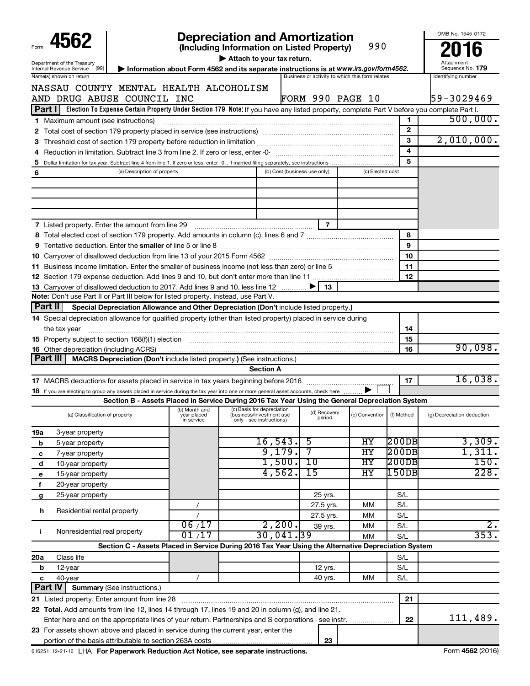|                                                                                                                                                                                                                                  |                                                                                                     |                                            | <b>Depreciation and Amortization</b>                   |        |                              |  |                             |                | OMB No. 1545-0172                                                                                                                         |  |
|----------------------------------------------------------------------------------------------------------------------------------------------------------------------------------------------------------------------------------|-----------------------------------------------------------------------------------------------------|--------------------------------------------|--------------------------------------------------------|--------|------------------------------|--|-----------------------------|----------------|-------------------------------------------------------------------------------------------------------------------------------------------|--|
| 4562<br>990<br>(Including Information on Listed Property)<br>Form                                                                                                                                                                |                                                                                                     |                                            |                                                        |        |                              |  |                             |                |                                                                                                                                           |  |
| Attach to your tax return.<br>Department of the Treasury<br>Attachment<br>Sequence No. 179                                                                                                                                       |                                                                                                     |                                            |                                                        |        |                              |  |                             |                |                                                                                                                                           |  |
| Information about Form 4562 and its separate instructions is at www.irs.gov/form4562.<br>(99)<br>Internal Revenue Service<br>Business or activity to which this form relates<br>Name(s) shown on return<br>Identifying number    |                                                                                                     |                                            |                                                        |        |                              |  |                             |                |                                                                                                                                           |  |
| NASSAU COUNTY MENTAL HEALTH ALCOHOLISM                                                                                                                                                                                           |                                                                                                     |                                            |                                                        |        |                              |  |                             |                |                                                                                                                                           |  |
| AND DRUG ABUSE COUNCIL INC                                                                                                                                                                                                       |                                                                                                     |                                            |                                                        |        |                              |  | <b>FORM 990 PAGE 10</b>     |                | 59-3029469                                                                                                                                |  |
| Part I                                                                                                                                                                                                                           |                                                                                                     |                                            |                                                        |        |                              |  |                             |                | Election To Expense Certain Property Under Section 179 Note: If you have any listed property, complete Part V before you complete Part I. |  |
| Maximum amount (see instructions)<br>1.                                                                                                                                                                                          |                                                                                                     |                                            |                                                        |        |                              |  |                             | $\mathbf{1}$   | 500,000.                                                                                                                                  |  |
|                                                                                                                                                                                                                                  |                                                                                                     |                                            |                                                        |        |                              |  |                             |                |                                                                                                                                           |  |
| Threshold cost of section 179 property before reduction in limitation measurements are all the section 179 property before reduction in limitation measurements and the section 179 property before reduction in limitation<br>3 |                                                                                                     |                                            |                                                        |        |                              |  |                             | 3              | 2,010,000.                                                                                                                                |  |
| 4                                                                                                                                                                                                                                |                                                                                                     |                                            |                                                        |        |                              |  |                             | $\overline{4}$ |                                                                                                                                           |  |
| 5                                                                                                                                                                                                                                |                                                                                                     |                                            |                                                        |        |                              |  |                             |                |                                                                                                                                           |  |
| 6                                                                                                                                                                                                                                | (a) Description of property                                                                         |                                            |                                                        |        | (b) Cost (business use only) |  | (c) Elected cost            |                |                                                                                                                                           |  |
|                                                                                                                                                                                                                                  |                                                                                                     |                                            |                                                        |        |                              |  |                             |                |                                                                                                                                           |  |
|                                                                                                                                                                                                                                  |                                                                                                     |                                            |                                                        |        |                              |  |                             |                |                                                                                                                                           |  |
|                                                                                                                                                                                                                                  |                                                                                                     |                                            |                                                        |        |                              |  |                             |                |                                                                                                                                           |  |
|                                                                                                                                                                                                                                  |                                                                                                     |                                            |                                                        |        |                              |  |                             |                |                                                                                                                                           |  |
| 7 Listed property. Enter the amount from line 29 [11] [12] [12] Listed property. Enter the amount from line 29                                                                                                                   |                                                                                                     |                                            |                                                        |        | $\overline{7}$               |  |                             |                |                                                                                                                                           |  |
|                                                                                                                                                                                                                                  |                                                                                                     |                                            |                                                        |        |                              |  |                             | 8              |                                                                                                                                           |  |
|                                                                                                                                                                                                                                  |                                                                                                     |                                            |                                                        |        |                              |  |                             | 9              |                                                                                                                                           |  |
|                                                                                                                                                                                                                                  |                                                                                                     |                                            |                                                        |        |                              |  |                             | 10             |                                                                                                                                           |  |
| 11.                                                                                                                                                                                                                              |                                                                                                     |                                            |                                                        |        |                              |  |                             | 11             |                                                                                                                                           |  |
|                                                                                                                                                                                                                                  |                                                                                                     |                                            |                                                        |        |                              |  |                             | 12             |                                                                                                                                           |  |
| 13 Carryover of disallowed deduction to 2017. Add lines 9 and 10, less line 12<br>Note: Don't use Part II or Part III below for listed property. Instead, use Part V.                                                            |                                                                                                     |                                            |                                                        |        | - 13                         |  |                             |                |                                                                                                                                           |  |
| Part II                                                                                                                                                                                                                          | Special Depreciation Allowance and Other Depreciation (Don't include listed property.)              |                                            |                                                        |        |                              |  |                             |                |                                                                                                                                           |  |
| 14 Special depreciation allowance for qualified property (other than listed property) placed in service during                                                                                                                   |                                                                                                     |                                            |                                                        |        |                              |  |                             |                |                                                                                                                                           |  |
|                                                                                                                                                                                                                                  |                                                                                                     |                                            |                                                        |        |                              |  |                             | 14             |                                                                                                                                           |  |
| the tax year                                                                                                                                                                                                                     |                                                                                                     |                                            |                                                        |        |                              |  |                             | 15             |                                                                                                                                           |  |
| 16 Other depreciation (including ACRS)                                                                                                                                                                                           |                                                                                                     |                                            |                                                        |        |                              |  |                             | 16             | 90,098.                                                                                                                                   |  |
| Part III                                                                                                                                                                                                                         | MACRS Depreciation (Don't include listed property.) (See instructions.)                             |                                            |                                                        |        |                              |  |                             |                |                                                                                                                                           |  |
|                                                                                                                                                                                                                                  |                                                                                                     |                                            | <b>Section A</b>                                       |        |                              |  |                             |                |                                                                                                                                           |  |
|                                                                                                                                                                                                                                  |                                                                                                     |                                            |                                                        |        |                              |  |                             | 17             | 16,038.                                                                                                                                   |  |
| 18 If you are electing to group any assets placed in service during the tax year into one or more general asset accounts, check here                                                                                             |                                                                                                     |                                            |                                                        |        |                              |  |                             |                |                                                                                                                                           |  |
|                                                                                                                                                                                                                                  | Section B - Assets Placed in Service During 2016 Tax Year Using the General Depreciation System     |                                            |                                                        |        |                              |  |                             |                |                                                                                                                                           |  |
| (a) Classification of property                                                                                                                                                                                                   |                                                                                                     | (b) Month and<br>year placed<br>in service | (c) Basis for depreciation<br>(business/investment use |        | (d) Recovery<br>period       |  | (e) Convention   (f) Method |                | (g) Depreciation deduction                                                                                                                |  |
|                                                                                                                                                                                                                                  |                                                                                                     |                                            | only - see instructions)                               |        |                              |  |                             |                |                                                                                                                                           |  |
| 3-year property<br>19a                                                                                                                                                                                                           |                                                                                                     |                                            | 16, 543.                                               |        | $\overline{5}$               |  | ΗY                          | 200DB          | 3,309.                                                                                                                                    |  |
| 5-year property<br>b<br>7-year property                                                                                                                                                                                          |                                                                                                     |                                            |                                                        | 9,179. | 7                            |  | НY                          | 200DB          | 1,311.                                                                                                                                    |  |
| с<br>10-year property<br>d                                                                                                                                                                                                       |                                                                                                     |                                            |                                                        | 1,500. | 10                           |  | HY                          | 200DB          | 150.                                                                                                                                      |  |
| 15-year property<br>е                                                                                                                                                                                                            |                                                                                                     |                                            |                                                        | 4,562. | $\overline{15}$              |  | НY                          | 150DB          | 228.                                                                                                                                      |  |
| f<br>20-year property                                                                                                                                                                                                            |                                                                                                     |                                            |                                                        |        |                              |  |                             |                |                                                                                                                                           |  |
| 25-year property<br>g                                                                                                                                                                                                            |                                                                                                     |                                            |                                                        |        | 25 yrs.                      |  |                             | S/L            |                                                                                                                                           |  |
|                                                                                                                                                                                                                                  |                                                                                                     | $\prime$                                   |                                                        |        | 27.5 yrs.                    |  | MМ                          | S/L            |                                                                                                                                           |  |
| h<br>Residential rental property                                                                                                                                                                                                 |                                                                                                     | $\prime$                                   |                                                        |        | 27.5 yrs.                    |  | MМ                          | S/L            |                                                                                                                                           |  |
|                                                                                                                                                                                                                                  |                                                                                                     | 06/17                                      |                                                        | 2,200. | 39 yrs.                      |  | MМ                          | S/L            | $2\cdot$                                                                                                                                  |  |
| Nonresidential real property<br>j.                                                                                                                                                                                               |                                                                                                     | 01/17                                      | 30,041.39                                              |        |                              |  | MM                          | S/L            | 353.                                                                                                                                      |  |
|                                                                                                                                                                                                                                  | Section C - Assets Placed in Service During 2016 Tax Year Using the Alternative Depreciation System |                                            |                                                        |        |                              |  |                             |                |                                                                                                                                           |  |
| Class life<br>20a                                                                                                                                                                                                                |                                                                                                     |                                            |                                                        |        |                              |  |                             | S/L            |                                                                                                                                           |  |
| b<br>12-year                                                                                                                                                                                                                     |                                                                                                     |                                            |                                                        |        | 12 yrs.                      |  |                             | S/L            |                                                                                                                                           |  |
| 40-year<br>с                                                                                                                                                                                                                     |                                                                                                     | $\prime$                                   |                                                        |        | 40 yrs.                      |  | MМ                          | S/L            |                                                                                                                                           |  |
| Part IV                                                                                                                                                                                                                          | <b>Summary (See instructions.)</b>                                                                  |                                            |                                                        |        |                              |  |                             |                |                                                                                                                                           |  |
| 21 Listed property. Enter amount from line 28                                                                                                                                                                                    |                                                                                                     |                                            |                                                        |        |                              |  |                             | 21             |                                                                                                                                           |  |
| 22 Total. Add amounts from line 12, lines 14 through 17, lines 19 and 20 in column (g), and line 21.                                                                                                                             |                                                                                                     |                                            |                                                        |        |                              |  |                             |                |                                                                                                                                           |  |
| Enter here and on the appropriate lines of your return. Partnerships and S corporations - see instr.                                                                                                                             |                                                                                                     |                                            |                                                        |        |                              |  |                             | 22             | 111,489.                                                                                                                                  |  |
| 23 For assets shown above and placed in service during the current year, enter the                                                                                                                                               |                                                                                                     |                                            |                                                        |        |                              |  |                             |                |                                                                                                                                           |  |
|                                                                                                                                                                                                                                  |                                                                                                     |                                            |                                                        |        | 23                           |  |                             |                |                                                                                                                                           |  |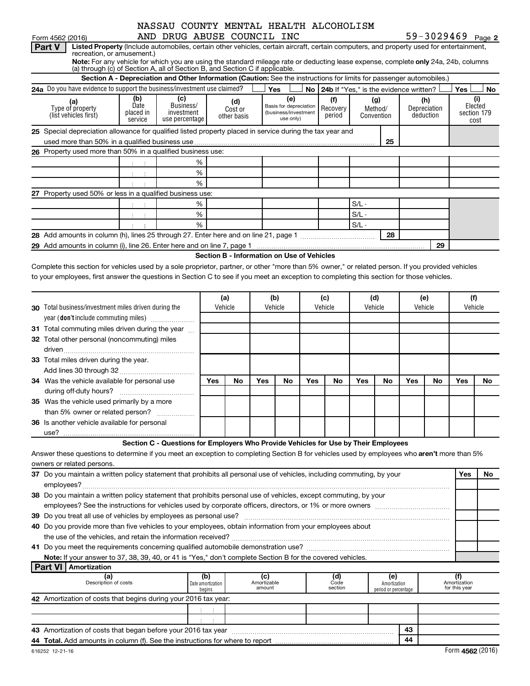|                                                                                                                                                                                                                     |                              | NASSAU COUNTY MENTAL HEALTH ALCOHOLISM<br>AND DRUG ABUSE COUNCIL INC                                                 |                             |                                            |                       |                                                             |     |                                             |                       |                                      |     |                           | 59-3029469 Page 2             |                                |
|---------------------------------------------------------------------------------------------------------------------------------------------------------------------------------------------------------------------|------------------------------|----------------------------------------------------------------------------------------------------------------------|-----------------------------|--------------------------------------------|-----------------------|-------------------------------------------------------------|-----|---------------------------------------------|-----------------------|--------------------------------------|-----|---------------------------|-------------------------------|--------------------------------|
| Form 4562 (2016)<br>Listed Property (Include automobiles, certain other vehicles, certain aircraft, certain computers, and property used for entertainment,<br>Part V                                               |                              |                                                                                                                      |                             |                                            |                       |                                                             |     |                                             |                       |                                      |     |                           |                               |                                |
| recreation, or amusement.)                                                                                                                                                                                          |                              |                                                                                                                      |                             |                                            |                       |                                                             |     |                                             |                       |                                      |     |                           |                               |                                |
| Note: For any vehicle for which you are using the standard mileage rate or deducting lease expense, complete only 24a, 24b, columns<br>(a) through (c) of Section A, all of Section B, and Section C if applicable. |                              |                                                                                                                      |                             |                                            |                       |                                                             |     |                                             |                       |                                      |     |                           |                               |                                |
|                                                                                                                                                                                                                     |                              | Section A - Depreciation and Other Information (Caution: See the instructions for limits for passenger automobiles.) |                             |                                            |                       |                                                             |     |                                             |                       |                                      |     |                           |                               |                                |
| 24a Do you have evidence to support the business/investment use claimed?                                                                                                                                            |                              |                                                                                                                      |                             |                                            |                       | Yes                                                         |     | No   24b If "Yes," is the evidence written? |                       |                                      |     |                           | Yes                           | No                             |
| (a)                                                                                                                                                                                                                 | (b)                          | (c)                                                                                                                  |                             | (d)                                        |                       | (e)                                                         |     | (f)                                         | (g)                   |                                      |     | (h)                       |                               | (i)                            |
| Type of property<br>(list vehicles first)                                                                                                                                                                           | Date<br>placed in<br>service | Business/<br>investment<br>use percentage                                                                            |                             | Cost or<br>other basis                     |                       | Basis for depreciation<br>(business/investment<br>use only) |     | Recovery<br>period                          | Method/<br>Convention |                                      |     | Depreciation<br>deduction |                               | Elected<br>section 179<br>cost |
| 25 Special depreciation allowance for qualified listed property placed in service during the tax year and                                                                                                           |                              |                                                                                                                      |                             |                                            |                       |                                                             |     |                                             |                       |                                      |     |                           |                               |                                |
|                                                                                                                                                                                                                     |                              |                                                                                                                      |                             |                                            |                       |                                                             |     |                                             |                       | 25                                   |     |                           |                               |                                |
| 26 Property used more than 50% in a qualified business use:                                                                                                                                                         |                              |                                                                                                                      |                             |                                            |                       |                                                             |     |                                             |                       |                                      |     |                           |                               |                                |
|                                                                                                                                                                                                                     | ÷                            | %                                                                                                                    |                             |                                            |                       |                                                             |     |                                             |                       |                                      |     |                           |                               |                                |
|                                                                                                                                                                                                                     | 生产生                          | %<br>%                                                                                                               |                             |                                            |                       |                                                             |     |                                             |                       |                                      |     |                           |                               |                                |
| 27 Property used 50% or less in a qualified business use:                                                                                                                                                           | $\cdot$                      |                                                                                                                      |                             |                                            |                       |                                                             |     |                                             |                       |                                      |     |                           |                               |                                |
|                                                                                                                                                                                                                     |                              | %                                                                                                                    |                             |                                            |                       |                                                             |     |                                             | $S/L -$               |                                      |     |                           |                               |                                |
|                                                                                                                                                                                                                     | 主义<br>4. 14                  | %                                                                                                                    |                             |                                            |                       |                                                             |     |                                             | $S/L -$               |                                      |     |                           |                               |                                |
|                                                                                                                                                                                                                     | $\mathcal{X}$ .<br>$\pm$     | %                                                                                                                    |                             |                                            |                       |                                                             |     |                                             | $S/L -$               |                                      |     |                           |                               |                                |
|                                                                                                                                                                                                                     |                              |                                                                                                                      |                             |                                            |                       |                                                             |     |                                             |                       | 28                                   |     |                           |                               |                                |
|                                                                                                                                                                                                                     |                              |                                                                                                                      |                             |                                            |                       |                                                             |     |                                             |                       |                                      |     | 29                        |                               |                                |
|                                                                                                                                                                                                                     |                              |                                                                                                                      |                             | Section B - Information on Use of Vehicles |                       |                                                             |     |                                             |                       |                                      |     |                           |                               |                                |
| Complete this section for vehicles used by a sole proprietor, partner, or other "more than 5% owner," or related person. If you provided vehicles                                                                   |                              |                                                                                                                      |                             |                                            |                       |                                                             |     |                                             |                       |                                      |     |                           |                               |                                |
| to your employees, first answer the questions in Section C to see if you meet an exception to completing this section for those vehicles.                                                                           |                              |                                                                                                                      |                             |                                            |                       |                                                             |     |                                             |                       |                                      |     |                           |                               |                                |
|                                                                                                                                                                                                                     |                              |                                                                                                                      |                             |                                            |                       |                                                             |     |                                             |                       |                                      |     |                           |                               |                                |
|                                                                                                                                                                                                                     |                              |                                                                                                                      |                             | (a)                                        |                       | (b)                                                         |     | (c)                                         | (d)                   |                                      |     | (e)                       | (f)                           |                                |
| <b>30</b> Total business/investment miles driven during the                                                                                                                                                         |                              |                                                                                                                      | Vehicle                     |                                            |                       | Vehicle                                                     |     | Vehicle<br>Vehicle                          |                       | Vehicle                              |     | Vehicle                   |                               |                                |
| year (don't include commuting miles)                                                                                                                                                                                |                              |                                                                                                                      |                             |                                            |                       |                                                             |     |                                             |                       |                                      |     |                           |                               |                                |
| 31 Total commuting miles driven during the year                                                                                                                                                                     |                              |                                                                                                                      |                             |                                            |                       |                                                             |     |                                             |                       |                                      |     |                           |                               |                                |
| <b>32</b> Total other personal (noncommuting) miles                                                                                                                                                                 |                              |                                                                                                                      |                             |                                            |                       |                                                             |     |                                             |                       |                                      |     |                           |                               |                                |
|                                                                                                                                                                                                                     |                              |                                                                                                                      |                             |                                            |                       |                                                             |     |                                             |                       |                                      |     |                           |                               |                                |
| 33 Total miles driven during the year.                                                                                                                                                                              |                              |                                                                                                                      |                             |                                            |                       |                                                             |     |                                             |                       |                                      |     |                           |                               |                                |
|                                                                                                                                                                                                                     |                              |                                                                                                                      |                             |                                            |                       |                                                             |     |                                             |                       |                                      |     |                           |                               |                                |
| <b>34</b> Was the vehicle available for personal use                                                                                                                                                                |                              |                                                                                                                      | Yes                         | No                                         | Yes                   | No                                                          | Yes | No                                          | Yes                   | No                                   | Yes | No                        | Yes                           | No                             |
|                                                                                                                                                                                                                     |                              |                                                                                                                      |                             |                                            |                       |                                                             |     |                                             |                       |                                      |     |                           |                               |                                |
| 35 Was the vehicle used primarily by a more                                                                                                                                                                         |                              |                                                                                                                      |                             |                                            |                       |                                                             |     |                                             |                       |                                      |     |                           |                               |                                |
| than 5% owner or related person?                                                                                                                                                                                    |                              |                                                                                                                      |                             |                                            |                       |                                                             |     |                                             |                       |                                      |     |                           |                               |                                |
| <b>36</b> Is another vehicle available for personal                                                                                                                                                                 |                              |                                                                                                                      |                             |                                            |                       |                                                             |     |                                             |                       |                                      |     |                           |                               |                                |
|                                                                                                                                                                                                                     |                              |                                                                                                                      |                             |                                            |                       |                                                             |     |                                             |                       |                                      |     |                           |                               |                                |
|                                                                                                                                                                                                                     |                              | Section C - Questions for Employers Who Provide Vehicles for Use by Their Employees                                  |                             |                                            |                       |                                                             |     |                                             |                       |                                      |     |                           |                               |                                |
| Answer these questions to determine if you meet an exception to completing Section B for vehicles used by employees who aren't more than 5%                                                                         |                              |                                                                                                                      |                             |                                            |                       |                                                             |     |                                             |                       |                                      |     |                           |                               |                                |
| owners or related persons.                                                                                                                                                                                          |                              |                                                                                                                      |                             |                                            |                       |                                                             |     |                                             |                       |                                      |     |                           |                               |                                |
| 37 Do you maintain a written policy statement that prohibits all personal use of vehicles, including commuting, by your                                                                                             |                              |                                                                                                                      |                             |                                            |                       |                                                             |     |                                             |                       |                                      |     |                           | Yes                           | No.                            |
| 38 Do you maintain a written policy statement that prohibits personal use of vehicles, except commuting, by your                                                                                                    |                              |                                                                                                                      |                             |                                            |                       |                                                             |     |                                             |                       |                                      |     |                           |                               |                                |
|                                                                                                                                                                                                                     |                              |                                                                                                                      |                             |                                            |                       |                                                             |     |                                             |                       |                                      |     |                           |                               |                                |
|                                                                                                                                                                                                                     |                              |                                                                                                                      |                             |                                            |                       |                                                             |     |                                             |                       |                                      |     |                           |                               |                                |
| 40 Do you provide more than five vehicles to your employees, obtain information from your employees about                                                                                                           |                              |                                                                                                                      |                             |                                            |                       |                                                             |     |                                             |                       |                                      |     |                           |                               |                                |
|                                                                                                                                                                                                                     |                              |                                                                                                                      |                             |                                            |                       |                                                             |     |                                             |                       |                                      |     |                           |                               |                                |
|                                                                                                                                                                                                                     |                              |                                                                                                                      |                             |                                            |                       |                                                             |     |                                             |                       |                                      |     |                           |                               |                                |
| Note: If your answer to 37, 38, 39, 40, or 41 is "Yes," don't complete Section B for the covered vehicles.                                                                                                          |                              |                                                                                                                      |                             |                                            |                       |                                                             |     |                                             |                       |                                      |     |                           |                               |                                |
| <b>Part VI</b><br>Amortization                                                                                                                                                                                      |                              |                                                                                                                      |                             |                                            |                       |                                                             |     |                                             |                       |                                      |     |                           |                               |                                |
| (a)                                                                                                                                                                                                                 |                              |                                                                                                                      | (b)                         |                                            | (c)                   |                                                             |     | (d)                                         |                       | (e)                                  |     |                           | (f)                           |                                |
| Description of costs                                                                                                                                                                                                |                              |                                                                                                                      | Date amortization<br>begins |                                            | Amortizable<br>amount |                                                             |     | Code<br>section                             |                       | Amortization<br>period or percentage |     |                           | Amortization<br>for this year |                                |
| 42 Amortization of costs that begins during your 2016 tax year:                                                                                                                                                     |                              |                                                                                                                      |                             |                                            |                       |                                                             |     |                                             |                       |                                      |     |                           |                               |                                |
|                                                                                                                                                                                                                     |                              |                                                                                                                      |                             |                                            |                       |                                                             |     |                                             |                       |                                      |     |                           |                               |                                |
|                                                                                                                                                                                                                     |                              |                                                                                                                      |                             |                                            |                       |                                                             |     |                                             |                       |                                      |     |                           |                               |                                |
| 43 Amortization of costs that began before your 2016 tax year                                                                                                                                                       |                              |                                                                                                                      |                             |                                            |                       |                                                             |     |                                             |                       |                                      | 43  |                           |                               |                                |

**44 Total.** Add amounts in column (f). See the instructions for where to report

# NAS IND THE THE TALL OF THE VE

**43 44**